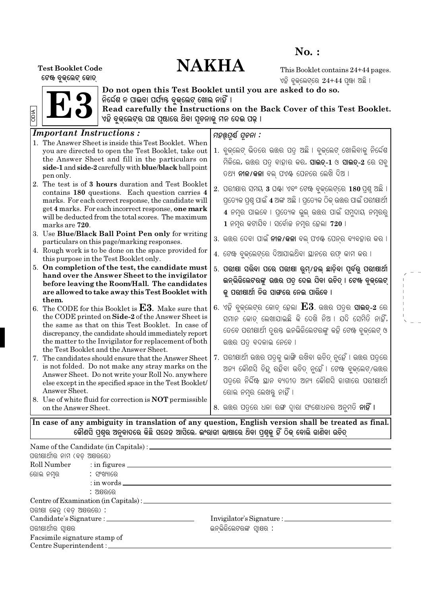## $No.$ :

# **NAKHA**

**Test Booklet Code** ଟେଖ ବୃକ୍ଲେଟ୍ କୋଡ୍

This Booklet contains 24+44 pages. ଏହି ବୁକ୍ଲେଟ୍ରେ  $24 + 44$  ପୂଖା ଅଛି ।



Do not open this Test Booklet until you are asked to do so.<br>ନିର୍ଦ୍ଦେଶ ନ ପାଇବା ପର୍ଯ୍ୟନ୍ତ ବୁଜ୍ଲେଟ୍ ଖୋଲ ନାହିଁ ।<br>Read carefully the Instructions on the Back Cover of this Test Booklet.<br>ଏହି ବୁଜ୍ଲେଟ୍ର ପଛ ପୃଷାରେ ଥିବା ସୂଚନାଜୁ ମନ

| <b>Important Instructions:</b>                                                                      |                                                                             |
|-----------------------------------------------------------------------------------------------------|-----------------------------------------------------------------------------|
| 1. The Answer Sheet is inside this Test Booklet. When                                               | ମହର୍ଉପୂର୍ଣ ସୂଚନା :                                                          |
| you are directed to open the Test Booklet, take out                                                 | 1. ବୁକ୍ଲେଟ୍ ଭିତରେ ଉତ୍ତର ପତ୍ର ଅଛି । ବୁକ୍ଲେଟ୍ ଖୋଲିବାକୁ ନିର୍ଦ୍ଦେଶ              |
| the Answer Sheet and fill in the particulars on                                                     |                                                                             |
| side-1 and side-2 carefully with blue/black ball point                                              | ମିଳିଲେ, ଉତ୍ତର ପତ୍ର ବାହାର କର, <b>ସାଇତ୍-1</b> ଓ <b>ସାଇତ୍-2</b> ରେ ସବୁ         |
| pen only.                                                                                           | ତଥ୍ୟ <b>ନୀଳ/କଳା</b> ବଲ୍ ପଏ଼ି ପେନରେ ଲେଖି ଦିଅ ।                               |
| 2. The test is of 3 hours duration and Test Booklet                                                 |                                                                             |
| contains 180 questions. Each question carries 4                                                     | 2. ପରୀକ୍ଷାର ସମୟ 3 ଘ୍ଞା ଏବଂ ଟେଝ ବୁକ୍ଲେଟ୍ରେ 180 ପ୍ରଶୁ ଅଛି ।                   |
| marks. For each correct response, the candidate will                                                | ପ୍ରତ୍ୟେକ ପ୍ରଶ୍ନ ପାଇଁ 4 ଅଙ୍କ ଅଛି । ପ୍ରତ୍ୟେକ ଠିକ୍ ଉତ୍ତର ପାଇଁ ପରୀକ୍ଷାର୍ଥୀ      |
| get 4 marks. For each incorrect response, one mark                                                  | 4 ନମ୍ର ପାଇବେ । ପ୍ରତ୍ୟେକ ଭୁଲ୍ ଉତ୍ତର ପାଇଁ ସମୁଦାୟ ନମ୍ବରରୁ                      |
| will be deducted from the total scores. The maximum                                                 |                                                                             |
| marks are 720.                                                                                      | 1 ନମ୍ର କଟାଯିବ । ସର୍ବୋଚ୍ଚ ନମ୍ର ହେଲା 720  ।                                   |
| 3. Use Blue/Black Ball Point Pen only for writing                                                   | 3. ଉତ୍ତର ଦେବା ପାଇଁ <b>ନୀଳ/କଳା</b> ବଲ୍ ପଏ଼ି ପେନ୍ର ବ୍ୟବହାର କର ।               |
| particulars on this page/marking responses.                                                         |                                                                             |
| 4. Rough work is to be done on the space provided for                                               | 4. ଟେଝ ବୁକ୍ଲେଟ୍ରେ ଦିଆଯାଇଥିବା ୟାନରେ ରଫ୍ କାମ କର ।                             |
| this purpose in the Test Booklet only.<br>5. On completion of the test, the candidate must          |                                                                             |
| hand over the Answer Sheet to the invigilator                                                       | 5. ପରୀଷା ସରିବା ପରେ ପରୀଷା ରୁମ୍/ହଲ୍ ଛାଡ଼ିବା ପୂର୍ବରୁ ପରୀଷାର୍ଥୀ                 |
| before leaving the Room/Hall. The candidates                                                        | ଇନ୍ଭିଜିଲେଟରଙ୍କୁ ଉତ୍ତର ପତ୍ର ଦେଇ ଯିବା ଉଚିତ୍ । ଟେଖ ବୁଜ୍ଲେଟ୍                    |
| are allowed to take away this Test Booklet with                                                     | କୁ ପରାଷାର୍ଥୀ ନିଜ ସାଙ୍ଗରେ ନେଇ ପାରିବେ ।                                       |
| them.                                                                                               |                                                                             |
| 6. The CODE for this Booklet is $E3$ . Make sure that                                               | $6.$ ଏହି ବୁକ୍ଲେଟ୍ର କୋଡ୍ ହେଲା $\mathbf{E3}$ . ଉତ୍ତର ପତ୍ର ସା <b>ଇତ୍</b> -2 ରେ |
| the CODE printed on Side-2 of the Answer Sheet is                                                   | ସମାନ କୋଡ଼ ଲେଖାଯାଇଛି କି ଦେଖି ନିଅ । ଯଦି ସେମିତି ନାହିଁ,                         |
| the same as that on this Test Booklet. In case of                                                   |                                                                             |
| discrepancy, the candidate should immediately report                                                | ତେବେ ପରୀକ୍ଷାର୍ଥୀ ତୂରତ୍ତ ଇନଭିଜିଲେଟରଙ୍କୁ କହି ଟେଖ ବୁକ୍ଲେଟ୍ ଓ                   |
| the matter to the Invigilator for replacement of both                                               | ଉତ୍ତର ପତ୍ ବଦଳାଇ ନେବେ ।                                                      |
| the Test Booklet and the Answer Sheet.                                                              |                                                                             |
| 7. The candidates should ensure that the Answer Sheet                                               | 7. ପରୀଷାର୍ଥୀ ଉତ୍ତର ପତ୍ରକୁ ଭାଙ୍ଗି ରଖିବା ଉଚିତ୍ ନୁହେଁ । ଉତ୍ତର ପତ୍ରରେ           |
| is not folded. Do not make any stray marks on the                                                   | ଅନ୍ୟ କୌଣସି ଚିନ୍ଦୁ ରହିବା ଉଚିତ୍ ନୁହେଁ । ଟେଷ ବୁକ୍ଲେଟ୍/ଉଉର                      |
| Answer Sheet. Do not write your Roll No. anywhere                                                   | ପତ୍ରେ ନିର୍ଦ୍ଦିଷ୍ଟ ସ୍ଥାନ ବ୍ୟତୀତ ଅନ୍ୟ କୌଣସି ଜାଗାରେ ପରୀକ୍ଷାର୍ଥୀ                |
| else except in the specified space in the Test Booklet/                                             |                                                                             |
| Answer Sheet.                                                                                       | ରୋଲ ନମ୍ବର ଲେଖକୁ ନାହିଁ ।                                                     |
| 8. Use of white fluid for correction is NOT permissible                                             |                                                                             |
| on the Answer Sheet.                                                                                | 8. ଉତ୍ତର ପତ୍ରରେ ଧଳା ରଙ୍ଗ ଦ୍ୱାରା ସଂଶୋଧନର ଅନୁମତି <b>ନାହିଁ ।</b>               |
| In case of any ambiguity in translation of any question, English version shall be treated as final. |                                                                             |
| ଜୌଣସି ପଶର ଅନବାଦରେ କିଛି ସନ୍ଦେନ ଆସିଲେ, ଇଂରାଜୀ ଭାଷାରେ ଥିବା ପଶକ ନିଁ ଠିକ ବୋଲି ଜାଣିବା ଉଚିତ                |                                                                             |

| ପରୀକ୍ଷାର୍ଥୀର ନାମ (ବଡ଼ ଅକ୍ଷରରେ)    |                                   |                          |  |
|-----------------------------------|-----------------------------------|--------------------------|--|
|                                   | Roll Number : in figures          |                          |  |
| ରୋଲ ନମ୍ବର              : ସଂଖ୍ୟାରେ |                                   |                          |  |
|                                   | $\therefore$ in words $\qquad$    |                          |  |
|                                   | : ଅକ୍ଷରରେ                         |                          |  |
|                                   |                                   |                          |  |
| ପରୀକ୍ଷା କେନ୍ଦ୍ (ବଡ଼ ଅକ୍ଷରରେ) :    |                                   |                          |  |
|                                   |                                   |                          |  |
| ପରୀକ୍ଷାର୍ଥୀର ସ୍ୱାକ୍ଷର             |                                   | ଇନଭିଜିଲେଟରଙ୍କ ସ୍ୱାକ୍ଷର : |  |
| Facsimile signature stamp of      |                                   |                          |  |
|                                   | Centre Superintendent : _________ |                          |  |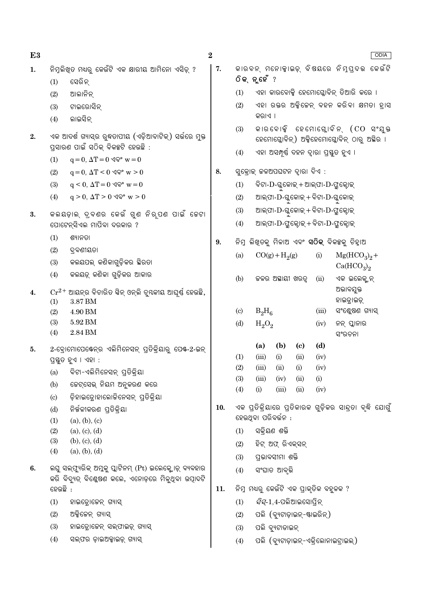E<sub>3</sub>  $\bf{2}$ **ODIA** କାରବନ୍ ମନୋକ୍ୱାଇଡ୍ ବିଷୟରେ ନିମ୍ପଦଭ କେଉଁଟି  $\overline{7}$ . ନିମୁଲିଖୁତ ମଧ୍ୟରୁ କେଉଁଟି ଏକ କ୍ଷାରୀୟ ଆମିନୋ ଏସିଡ଼୍ ?  $\mathbf{1}$ . ଠିକ୍ନ୍ ହେଁ ? ସେରିନ  $(1)$ ଏହା କାରବୋକ୍ସି ହେମୋଗ୍ଲୋବିନ୍ ତିଆରି କରେ ।  $(1)$  $(2)$ ଆଲାନିନ୍ ଏହା ରକ୍ତର ଅକ୍ଟିକେନ ବହନ କରିବା କ୍ଷମତା ହାସ  $(2)$  $(3)$ ଟାଇରୋସିନ କରାଏ ।  $(4)$ ଲାଇସିନ  $(3)$ କାରବୋକ୍କି ହେମୋଗୋବିନ (CO ସଂଯକ୍ତ ଏକ ଆଦର୍ଶ ଗ୍ୟାସ୍ର ରୁଦ୍ଧତାପୀୟ (ଏଡ଼ିଆବାଟିକ୍) ସର୍ଭରେ ମୁକ୍ତ  $2.$ ହେମୋଗ୍ଲୋବିନ୍) ଅକ୍ସିହେମୋଗ୍ଲୋବିନ୍ ଠାର୍ ଅସ୍ଥିର । ପ୍ରସାରଣ ପାଇଁ ସଠିକ୍ ବିକଳ୍ପଟି ହେଉଛି : ଏହା ଅସମ୍ପୂର୍ଣ୍ଣ ଦହନ ଦ୍ୱାରା ପ୍ରସ୍ତୁତ ହୁଏ ।  $(4)$  $q = 0$ ,  $\Delta T = 0$   $\Im \mathcal{P}$  w  $= 0$  $(1)$ 8. ସ୍ୱକୋକ୍ କଳଅପଘଟନ ଦ୍ୱାରା ଦିଏ :  $(2)$  $q = 0$ ,  $\Delta T < 0$   $\Im \mathcal{P}$  w  $> 0$  $(3)$  $q \leq 0$ ,  $\Delta T = 0$   $\Im \mathcal{P}^{\circ}$  w  $= 0$ ବିଟା-D-ଗ୍ଳୁକୋଇ୍ + ଆଲ୍ଫା-D-ଫ୍ରୁକ୍ଟୋଇ୍  $(1)$  $q > 0$ ,  $\Delta T > 0$   $\sqrt{Q}$ ° w > 0  $(4)$  $(2)$ ଆଲ୍ଫା-D-ଗ୍ଳକୋଇ୍ + ବିଟା-D-ଗ୍ଳକୋଇ୍ ଆଲ୍ଫା- $\mathrm{D}$ -ଗ୍ଳୁକୋଇ୍ + ବିଟା- $\mathrm{D}$ -ଫ୍ରୁଲ୍ଲୋଇ୍  $(3)$ କଲୟଡ଼ାଲ୍ ଦ୍ବଣର କେଉଁ ଗୁଣ ନିର୍ପଣ ପାଇଁ କେଟା  $\overline{3}$ . ଆଲଫା-D-ଫୁକ୍ଲୋକ୍ସ୍ + ବିଟା-D-ଫୁକ୍ଲୋକ୍  $(4)$ ପୋଟେନ୍ସିଏଲ ମାପିବା ଦରକାର ?  $(1)$ ଶ୍ୟାନତା 9. ନିମ୍ନ ଲିଖିତକୁ ମିଳାଅ ଏବଂ **ସଠିକ୍** ବିକଳ୍ପକୁ ଚିହ୍ନାଅ  $(2)$ ଦ୍ରବଣୀୟତା  $Mg(HCO<sub>3</sub>)<sub>2</sub> +$  $CO(g) + H<sub>2</sub>(g)$  $(a)$  $(i)$ କଲୟପଲ୍ କଣିକାଗୁଡ଼ିକର ଛିରତା  $(3)$  $Ca(HCO<sub>3</sub>)<sub>2</sub>$ କଲୟଡ୍ କଣିକା ଗୁଡ଼ିକର ଆକାର  $(4)$  $(b)$ କଳର ଅସ୍ଥାୟୀ ଖରତ୍ ଏକ ଇଲେକ୍କ୍ ନ୍  $(ii)$ ଅଭାବଯୁକ୍ତ  $\mathrm{Cr^{2+}}$  ଆୟନ୍ର ବିଚାରିତ ସିନ୍ ଓନ୍ଲି ଚୃ୍ୟକୀୟ ଆଘୁର୍ଷ୍ ହେଉଛି,  $\overline{4}$ . ହାଇଡ଼ାଇଡ଼୍  $(1)$ 3.87 BM  $B_2H_6$ ସଂଶ୍ଳେଷଣ ଗ୍ୟାସ୍  $(2)$ 4.90 BM  $\left( \mathrm{c}\right)$  $(iii)$ 5.92 BM  $(3)$  $(d)$  $H_2O_2$ ନନ୍ ପ୍ଲାନାର  $(iv)$ 2.84 BM  $(4)$ ସଂରଚନା  $(b)$  $(d)$  $(a)$  $\left( \mathrm{e}\right)$  $5<sub>1</sub>$ 2-ବୋମୋପେଷେନ୍ର ଏଲିମିନେସନ୍ ପ୍ରତିକ୍ରିୟାରୁ ପେଷ-2-ଇନ୍  $(1)$  $(iii)$  $(i)$  $(ii)$  $(iv)$ ପ୍ରସ୍ତୁତ ହୁଏ । ଏହା :  $(2)$  $(iii)$  $(ii)$  $(i)$  $(iv)$ ବିଟା-ଏଲିମିନେସନ୍ ପ୍ରତିକ୍ରିୟା  $(a)$  $(3)$  $(iii)$  $(iv)$  $(ii)$  $(i)$ ଜେଟ୍ସେଭ୍ ନିୟମ ଅନୁକରଣ କରେ  $(b)$  $(4)$  $(i)$  $(iii)$  $(ii)$  $(iv)$  $(c)$ ଡ଼ିହାଇଡ଼ୋହାଲୋକିନେସନ୍ ପ୍ରତିକ୍ରିୟା ଏକ ପ୍ରତିକ୍ରିୟାରେ ପ୍ରତିକାରକ ଗୁଡ଼ିକର ସାନ୍ଦ୍ରତା ବୃଦ୍ଧି ଯୋଗୁଁ 10. ନିର୍ଜଳୀକରଣ ପ୍ତିକିୟା  $(d)$ ହେଉଥିବା ପରିବର୍ତ୍ତନ :  $(1)$  $(a), (b), (c)$ ସକିୟଣ ଶକ୍ତି  $(2)$  $(a), (c), (d)$  $(1)$  $(3)$  $(b), (c), (d)$ ହିଟ୍ ଅଫ୍ ରିଏକ୍ସନ୍  $(2)$  $(4)$  $(a), (b), (d)$  $(3)$ ପ୍ତଭାବସୀମା ଶକ୍ତି ଲଘ ସଲ୍ଫ୍ୟରିକ୍ ଅମୁକ୍ ପ୍ଲାଟିନମ୍ (Pt) ଇଲେକ୍ଲୋଡ୍ ବ୍ୟବହାର  $6.$  $(4)$ ସଂଘାତ ଆବ୍ଭି କରି ବିଦ୍ୟତ୍ ବିଶ୍ଳେଷଣ କଲେ, ଏନୋଡ଼ରେ ମିଳ୍ଥବା ଉପାଦଟି ହେଉଛି : ନିମ୍ନ ମଧ୍ୟରୁ କେଉଁଟି ଏକ ପ୍ରାକୃତିକ ବହୁଳକ ? 11. *ସିସ୍*-1,4-ପଲିଆଇସୋପିନ୍  $(1)$ ହାଇଡ୍ରୋଜେନ୍ ଗ୍ୟାସ୍  $(1)$  $(2)$ ଅକ୍ସିଜେନ୍ ଗ୍ୟାସ୍ ପଲି (ବ୍ୟୁଟାଡ଼ାଇନ୍-ଷ୍ଟାଇରିନ୍)  $(2)$  $(3)$ ହାଇଡ୍ରୋଜେନ୍ ସଲ୍ଫାଇଡ଼୍ ଗ୍ୟାସ୍  $(3)$ ପଲି ବ୍ୟୁଟାଡାଇନ୍

ସଲ୍ଫର ଡ଼ାଇଅକ୍ସାଇଡ୍ ଗ୍ୟାସ୍  $(4)$ 

ପଲି (ବ୍ୟୁଟାଡ଼ାଇନ୍-ଏକ୍ଲୋନାଇଟ୍ୱାଇଲ୍)  $(4)$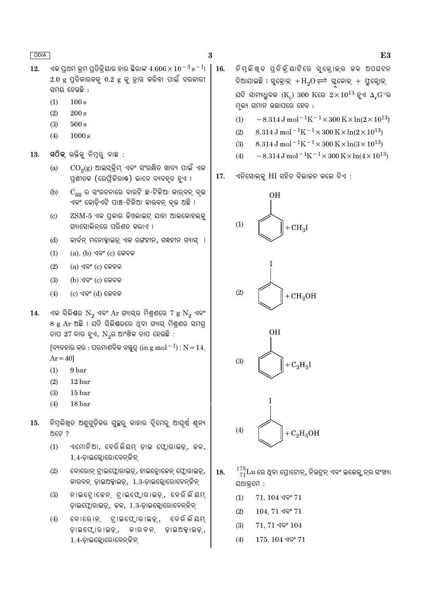16.

- $12.$ ଏକ ପ୍ରଥମ କ୍ରମ ପ୍ରତିକ୍ରିୟାର ହାର ସ୍ଥିରାଙ୍କ  $4.606 \times 10^{-3}$   $\mathrm{s}^{-1}$ ।  $2.0$  g ପ୍ରତିକାରକକୁ  $0.2$  g କୁ ହ୍ରାସ କରିବା ପାଇଁ ଦରକାରୀ ସମୟ ହେଉଛି :
	- $(1)$  $100 s$
	- $(2)$  $200 s$
	- $(3)$  $500 s$
	- $(4)$  $1000 s$
- ସ $\widehat{O}$ କ୍ ଉକ୍ତିକୁ ନିମୁରୁ ବାଛ $:$ 13.
	- $\mathrm{CO}_2(\mathrm{g})$  ଆଇସ୍କ୍ରିମ୍ ଏବଂ ସଂରକ୍ଷିତ ଖାଦ୍ୟ ପାଇଁ ଏକ  $(a)$ ପ୍ରଶୀତକ (ରେଫ୍ରିକିରାଷ୍ଟ) ଭାବେ ବ୍ୟବହୂତ ହୁଏ ।
	- $C_{60}$  ର ସଂରଚନାରେ ବାରଟି ଛ-ଟିକିଆ କାର୍ବନ୍ ବୃଭ  $(b)$ ଏବଂ କୋଡ଼ିଏଟି ପାଞ୍ଚ-ଟିକିଆ କାରବନ୍ ବୃଭ ଅଛି ।
	- $\overline{\text{ZSM-5}}$  ଏକ ପ୍ରକାର କିଓଲାଇଟ୍ ଯାହା ଆଲକୋହଲ୍କ୍  $(c)$ ଗ୍ୟାସୋଲିନ୍ରେ ପରିଣତ କରାଏ ।
	- କାର୍ବନ୍ ମନୋକ୍ସାଇଡ୍ ଏକ ରଙ୍ଗହୀନ, ଗନ୍ଧହୀନ ଗ୍ୟାସ୍ ।  $(d)$
	- $(a)$ ,  $(b)$  ଏବଂ  $(c)$  କେବଳ  $(1)$
	- $(2)$  $(a)$  ଏବଂ  $(c)$  କେବଳ
	- $(3)$  $(b)$  ଏବଂ  $(c)$  କେବଳ
	- $(4)$  $(c)$  ଏବଂ  $(d)$  କେବଳ
- ଏକ ସିଲିଶ୍ର  $N_2$  ଏବଂ  $Ar$  ଗ୍ୟାସ୍ର ମିଶ୍ରଣରେ 7  $g N_2$  ଏବଂ 14. 8 g Ar ଅଛି । ଯଦି ସିଲିଣ୍ଠରରେ ଥିବା ଗ୍ୟାସ୍ ମିଶ୍ରଣର ସମଗ୍ର ଚାପ 27 ବାର ହୁଏ,  $N_{2}$ ର ଆଂଶିକ ଚାପ ହେଉଛି :

[ବ୍ୟବହାର କର : ପରମାଣବିକ ବସ୍ତୁତ୍ୱ (in g mol $^{-1}$ ) :  $N = 14$ ,  $Ar = 40$ 

- 9 bar  $(1)$
- $(2)$  $12<sub>bar</sub>$
- $(3)$  $15<sub>bar</sub>$
- $(4)$ 18 bar
- ନିମ୍ନଲିଖ୍ଡ ଅଣୁଗୁଡ଼ିକର ଗୁଚ୍ଛରୁ କାହାର ଦୃିମେରୁ ଆଘୁର୍ଷ ଶୂନ୍ୟ 15. ଅଟେ ?
	- ଏମୋନିଆ, ବେରିଲିୟମ୍ ଡ଼ାଇ ଫ୍ଲୋରାଇଡ଼୍, କଳ,  $(1)$ 1,4-ଡ଼ାଇକ୍ଲୋରୋବେନ୍ କିନ୍
	- $(2)$ ବୋରୋନ୍ ଟ୍ରାଇଫ୍ଲୋରାଇଡ଼୍, ହାଇଡ୍ରୋଜେନ୍ ଫ୍ଲୋରାଇଡ଼୍, କାରବନ୍ ଡ଼ାଇଅକ୍ସାଇଡ୍, 1,3-ଡ଼ାଇକ୍ଲୋରୋବେନ୍ଟିନ୍
	- $(3)$ ନାଇଟ୍ରୋଜେନ୍ଟ୍ରାଇଫ୍ଲୋରାଇଡ଼୍, ବେରିଲିୟମ୍ ଡ଼ାଇଫ୍ଲୋରାଇଡ଼୍, ଜଳ, 1,3-ଡ଼ାଇକ୍ଲୋରୋବେନ୍ଟିନ୍
	- $(4)$ ବୋରୋନ୍ ଟାଇଫ୍ଲୋରାଇଡ୍, ବେରି ଲିୟମ ଡ଼ାଇଫ୍ଲୋରାଇଡ଼୍, କାର ବନ୍ ଡ଼ାଇଅକ୍ସାଇଡ୍, 1,4-ଡ଼ାଇକ୍ଲୋରୋବେନ୍ କିନ୍

ନିମ୍ଳିଖ୍ଡ ପ୍ତିକ୍ିୟାଟିରେ ସୁକ୍ୋକ୍ର କଳ ଅପଘଟନ ଦିଆଯାଇଛି । ସୁକ୍ରୋକ୍ $+H_2O \rightleftharpoons$  ଗ୍ଳକୋକ୍ $+$  ପ୍ରୁକ୍ଟୋକ୍ ଯଦି ସାମ୍ୟଧୁବକ ( $\rm K_{\rm c}$ )  $300$   $\rm K$ ରେ  $2\times10^{13}$  ହୁଏ  $\rm \Delta_{\rm r}G$ ିର ମ୍ନଲ୍ୟ ସମାନ ଉତ୍ତାପରେ ହେବ :

- $-8.314 \,\mathrm{J} \,\mathrm{mol}^{-1} \mathrm{K}^{-1} \times 300 \,\mathrm{K} \times \ln(2 \times 10^{13})$  $(1)$
- 8.314 J mol<sup>-1</sup>K<sup>-1</sup> × 300 K × ln(2 × 10<sup>13</sup>)  $(2)$
- 8.314 J mol<sup>-1</sup>K<sup>-1</sup> × 300 K × ln(3 × 10<sup>13</sup>)  $(3)$
- $-8.314 \,\mathrm{J}$  mol<sup>-1</sup>K<sup>-1</sup>×300 K×ln(4×10<sup>13</sup>)  $(4)$
- ଏନିସୋଲ୍କୁ HI ସହିତ ବିଭାଜନ କଲେ ଦିଏ : 17.



- $\frac{175}{71} \text{Lu}$  ରେ ଥିବା ପ୍ରୋଟୋନ୍, ନିଉଟ୍ରନ୍ ଏବଂ ଇଲେକ୍ଟ୍ରନ୍ର ସଂଖ୍ୟା 18. ଯଥାକ୍ୱମେ :
	- $(1)$  $71, 104$  ଏବଂ  $71$
	- $(2)$  $104, 71$  ଏବଂ  $71$
	- $(3)$  $71, 71$  ଏବଂ  $104$
	- $175, 104$  ଏବଂ  $71$  $(4)$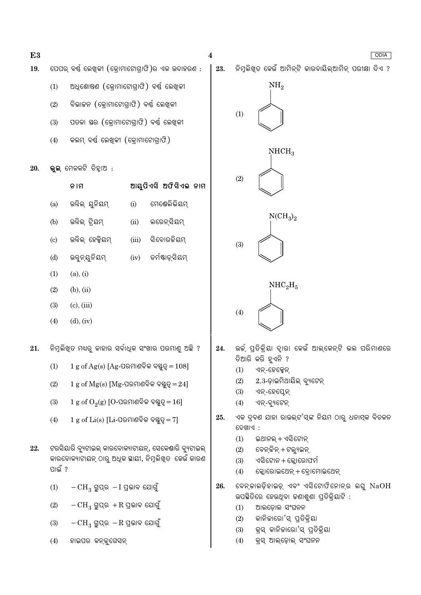

E<sub>3</sub> 19.

20.

21.

22.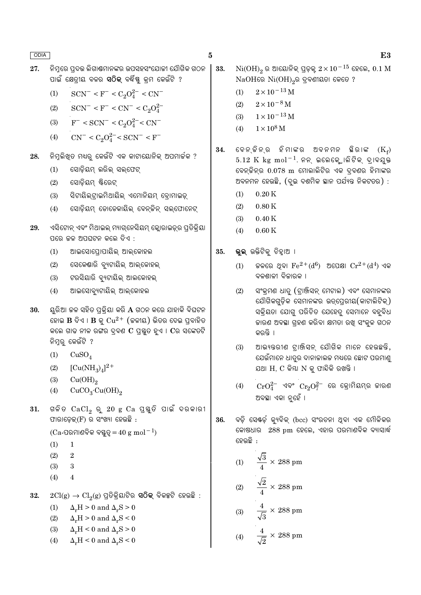27. ନିମ୍ନରେ ପ୍ରଦତ୍ତ ଲିଗାଣ୍ଟମାନଙ୍କର ଉପସହସଂଯୋଜୀ ଯୌଗିକ ଗଠନ ପାଇଁ କ୍ଷେତ୍ରୀୟ ବଳର **ସଠିକ୍** ବର୍ଦ୍ଧିଷ୍ଣ କ୍ରମ କେଉଁଟି ?

$$
(1) \qquad {\rm SCN}^- < F^- < C_2O_4^{2-} < CN^-
$$

- $(2)$  $SCN^- < F^- < CN^- < C_2O_4^{2-}$
- $F^-$  < SCN<sup>-</sup> < C<sub>2</sub>O<sub>4</sub><sup>2</sup><sup>-</sup>< CN<sup>-</sup>  $(3)$
- $CN^{-} < C_2O_4^{2-} < SCN^{-} < F^{-}$  $(4)$
- ନିମ୍ନଲିଖିତ ମଧ୍ୟରୁ କେଉଁଟି ଏକ କାଟାୟୋନିକ୍ ଅପମାର୍ଚ୍ଚକ ? 28.
	- $(1)$ ସୋଡ଼ିୟମ୍ ଲରିଲ୍ ସଲ୍ଫେଟ୍
	- ସୋଡିୟମ ଷ୍ଟିରେଟ  $(2)$
	- ସିଟାୟିଲ୍ଟାଇମିଥାୟିଲ୍ ଏମୋନିୟମ୍ ବୋମାଇଡ୍  $(3)$
	- ସୋଡ଼ିୟମ୍ ଡୋଡେକାୟିଲ୍ ବେନ୍ଜିନ୍ ସଲ୍ଫୋନେଟ୍  $(4)$
- ଏସିଟୋନ୍ ଏବଂ ମିଥାଇଲ୍ ମ୍ୟାଗ୍ନେସିୟମ୍ କ୍ଲୋରାଇଡ୍ର୍ର ପ୍ରତିକ୍ରିୟା 29. ପରେ ଚ୍ଚଳ ଅପଘଟନ କଲେ ଦିଏ :
	- $(1)$ ଆଇସୋପ୍ରୋପାୟିଲ୍ ଆଲ୍କୋହଲ
	- ସେକେଣ୍ଡାରି ବ୍ୟୁଟାୟିଲ୍ ଆଲ୍କୋହଲ୍  $(2)$
	- ଟରସିୟାରି ବ୍ୟୁଟାୟିଲ୍ ଆଲକୋହଲ୍  $(3)$
	- ଆଇସୋବ୍ୟୁଟାୟିଲ୍ ଆଲ୍କୋହଲ  $(4)$
- 30. ୟୁରିଆ ଚ୍ଚଳ ସହିତ ପ୍ରକ୍ରିୟା କରି  $\bf A$  ଗଠନ କରେ ଯାହାକି ବିଘଟନ ହୋଇ  $\bf{B}$  ଦିଏ ।  $\bf{B}$  କୁ  $\rm Cu^{2+}$  (କଳୀୟ) ଭିତର ଦେଇ ପ୍ରବାହିତ କଲେ ଗାଢ ନୀଳ ରଙ୍ଗର ଦ୍ରବଣ  $C$  ପ୍ରସ୍ତୁତ ହୁଏ ।  $C$ ର ସଙ୍କେତଟି ନିମ୍ନରୁ କେଉଁଟି ?
	- $(1)$  $CuSO<sub>4</sub>$
	- $[Cu(NH_3)_4]^{2+}$  $(2)$
	- $(3)$  $Cu(OH)<sub>2</sub>$
	- $CuCO<sub>3</sub>·Cu(OH)<sub>2</sub>$  $(4)$
- ଗଳିତ  $CaCl_2$  ରୁ 20 g  $Ca$  ପୁୟୁତି ପାଇଁ ଦରକାରୀ 31. ଫାରାଡେକ୍ $(F)$  ର ସଂଖ୍ୟା ହେଉଛି :

```
(Ca-ପରମାଣବିକ ବୟୁତ୍=40 \text{ g mol}^{-1}
```
- $(1)$  $\mathbf{1}$
- $(2)$ 2
- $(3)$  $\mathbf{a}$
- $(4)$  $\overline{A}$
- $2Cl(g) \rightarrow Cl_2(g)$  ପ୍ରତିକ୍ରିୟାଟିର **ସଠିକ୍** ବିକଳ୍ପଟି ହେଉଛି : 32.
	- $\Delta_r H > 0$  and  $\Delta_r S > 0$  $(1)$
	- $(2)$  $\Delta_r H > 0$  and  $\Delta_r S < 0$
	- $\Delta_r H < 0$  and  $\Delta_r S > 0$  $(3)$
	- $\Delta_r H < 0$  and  $\Delta_r S < 0$  $(4)$
- $Ni(OH)_{2}$ ର ଆୟୋନିକ୍ ପ୍ରଡ଼କ୍  $2 \times 10^{-15}$  ହେଲେ,  $0.1 \text{ M}$ 33.  $NaOH$ ରେ  $Ni(OH)_{2}$ ର ଦ୍ରବଣୀୟତା କେତେ ?
	- $2 \times 10^{-13}$  M  $(1)$
	- $2\times10^{-8}\,\rm{M}$  $(2)$
	- $1 \times 10^{-13}$  M  $(3)$
	- $1 \times 10^8$  M  $(4)$
- ବେନ୍ ଜିନ୍ର ହିମାଙ୍କର ଅବନମନ ଛିରାଙ୍କ  $(K_f)$ 34.  $5.12 \text{ K}$  kg mol<sup>-1</sup>. ନନ୍ ଇଲେକ୍ଟ୍ରୋଲିଟିକ୍ ଦ୍ରାବଯୁକ୍ତ ବେନ୍ତିନ୍ର 0.078 m ମୋଲାଲିଟିର ଏକ ଦ୍ବଣର ହିମାଙ୍କର ଅବନମନ ହେଉଛି, (ଦୁଇ ଦଶମିକ ସ୍ଥାନ ପର୍ଯ୍ୟନ୍ତ ନିକଟତର) :
	- $0.20K$  $(1)$
	- $(2)$  $0.80K$
	- $0.40K$  $(3)$
	- $(4)$  $0.60K$
- ଭୁଲ୍ ଉକ୍ତିଟିକୁ ଚିହାଅ । 35.
	- ଜଳରେ ଥବା  $\rm Fe^{2+}(d^6)$  ଅପେକ୍ଷା  $\rm Cr^{2+}(d^4)$  ଏକ  $(1)$ ବଳଶାଳୀ ବିଜାରକ ।
	- ସଂକ୍ରମଣ ଧାତ୍ର (ଟାଞ୍ଜିସନ୍ ମେଟାଲ) ଏବଂ ସେମାନଙ୍କର  $(2)$ ଯୌଗିକଗଡ଼ିକ ସେମାନଙ୍କର ଉତ୍ପେରୀୟ(କାଟାଲିଟିକ୍) ସକ୍ରିୟତା ଯୋଗୁ ପରିଚିତ ଯେହେତୁ ସେମାନେ ବହୁବିଧ ଜାରଣ ଅବସ୍ଥା ଗହଣ କରିବା କ୍ଷମତା ରଖ ସଂକ୍ଳ ଗଠନ କରନ୍ତି ।
	- $(3)$ ଆଭ୍ୟନ୍ତରୀଣ ଟାଞ୍ଜିସନ୍ ଯୌଗିକ ମାନେ ହେଉଛନ୍ତି, ଯେଉଁମାନେ ଧାତ୍ର ଦାନାକାଲକ ମଧ୍ୟରେ ଛୋଟ ପରମାଣ୍ ଯଥା H, C କିୟା N କ୍ ଫାନ୍ଦିକି ରଖନ୍ତି ।
	- $CrO_4^{2-}$  ଏବଂ  $Cr_2O_7^{2-}$  ରେ କ୍ରୋମିୟମ୍ର କାରଣ  $(4)$ ଅବସ୍ଥା ଏକା ନୃହେଁ ।
- ବଡ଼ି ସେଷ୍ଡ଼ି କ୍ୟୁବିକ୍ (bcc) ସଂରଚନା ଥିବା ଏକ ମୌଳିକର 36. କୋଷଧାର 288 pm ହେଲେ, ଏହାର ପରମାଣବିକ ବ୍ୟାସାର୍ଦ୍ଧ ହେଉଛି :

(1) 
$$
\frac{\sqrt{3}}{4} \times 288 \text{ pm}
$$
  
(2) 
$$
\frac{\sqrt{2}}{4} \times 288 \text{ pm}
$$
  
(3) 
$$
\frac{4}{\sqrt{3}} \times 288 \text{ pm}
$$
  
(4) 
$$
\frac{4}{\sqrt{5}} \times 288 \text{ pm}
$$

$$
\boldsymbol{\mathrm{E3}}
$$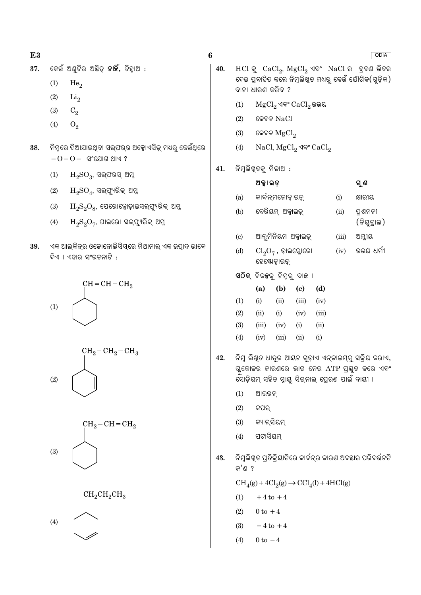- କେଉଁ ଅଣ୍ଟିର ଅଛିତ୍ର **ନାହିଁ**, ଚିହ୍ୱାଅ : 37.
	- $(1)$ He<sub>o</sub>
	- $(2)$  $Li<sub>2</sub>$
	- $C_2$  $(3)$
	- $(4)$  $O<sub>2</sub>$
- ିନିମ୍ନରେ ଦିଆଯାଇଥିବା ସଲ୍ଫର୍ର ଅକ୍ସୋଏସିଡ଼୍ ମଧ୍ୟରୁ କେଉଁଥିରେ 38.  $-O-O-$  ସଂଯୋଗ ଥାଏ ?
	- $\mathrm{H_{2}SO_{3}}$ , ସଲ୍ଫରସ୍ ଅମ୍ଳ  $(1)$
	- ${\rm H_2SO}_{4}$ , ସଲ୍ଫ୍ୟୁରିକ୍ ଅମ୍ଳ  $(2)$
	- $\mathrm{H_{2}S_{2}O_{8}}$ , ପେରୋକ୍ସୋଡ଼ାଇସଲ୍ଫ୍ୟୁରିକ୍ ଅମ୍ଳ  $(3)$
	- $\rm H_2S_2O_7$ , ପାଇରୋ ସଲ୍ଫ୍ୟୁରିକ୍ ଅମ୍ଳ  $(4)$
- ଏକ ଆଲ୍କିନ୍ର ଓଜୋନୋଲିସିସ୍ରେ ମିଥାନାଲ୍ ଏକ ଉତ୍ପାଦ ଭାବେ 39. ଦିଏ । ଏହାର ସଂରଚନାଟି :









 $\bf{6}$ 

 $HCl$  କୁ  $CaCl<sub>2</sub>$ ,  $MgCl<sub>2</sub>$  ଏବଂ  $NaCl$  ର ଦ୍ରବଣ ଭିତର 40. ଦେଇ ପ୍ରବାହିତ କଲେ ନିମ୍ନଲିଖ୍ତ ମଧ୍ୟରୁ କେଉଁ ଯୌଗିକ(ଗୁଡ଼ିକ) ଦାନା ଧାରଣ କରିବ ?

**ODIA** 

- MgCl<sub>2</sub> ଏବଂ CaCl<sub>2</sub> ଉଭୟ  $(1)$
- $(2)$ କେବଳ NaCl
- $(3)$ କେବଳ  $MgCl<sub>2</sub>$
- $(4)$ NaCl,  $MgCl_2$  ଏବଂ  $CaCl_2$
- ନିମ୍ନଲିଖୁତକୁ ମିଳାଅ : 41.

|                             | ଅକ୍କାଇଡ଼                                                                           |                     |       | ଗୁ ଶ                   |     |                                                      |  |  |  |  |
|-----------------------------|------------------------------------------------------------------------------------|---------------------|-------|------------------------|-----|------------------------------------------------------|--|--|--|--|
| (a)                         |                                                                                    | କାର୍ବନ୍ମନୋକ୍ସାଇଡ୍   |       |                        | (i) | କ୍ଷାରୀୟ                                              |  |  |  |  |
| (b)                         |                                                                                    | ବେରିୟମ୍ ଅକ୍କାଇଡ଼୍   | (ii)  | ପ୍ରଶମନୀ<br>(ନିୟୁଟ୍ରାଲ) |     |                                                      |  |  |  |  |
| $\left( \mathrm{c} \right)$ |                                                                                    | ଆଲୁମିନିୟମ ଅକ୍କାଇଡ଼୍ | (iii) | ଅମ୍ଳୀୟ                 |     |                                                      |  |  |  |  |
| (d)                         | ଉଭୟ ଧର୍ମୀ<br>(iv)<br>$\text{\rm Cl}_2\text{\rm O}_7$ , ଡ଼ାଇକ୍ଲୋରୋ<br>ହେଷ୍ଟୋକ୍ସାଇଡ୍ |                     |       |                        |     |                                                      |  |  |  |  |
|                             | ସଠିକ୍ ବିକ <sub>ଞ୍</sub> କୁ ନିମ୍ନରୁ ବାଛ ।                                           |                     |       |                        |     |                                                      |  |  |  |  |
|                             | (a)                                                                                | (b)                 | (c)   | (d)                    |     |                                                      |  |  |  |  |
| (1)                         | (i)                                                                                | (ii)                | (iii) | (iv)                   |     |                                                      |  |  |  |  |
| (2)                         | (ii)                                                                               | (i)                 | (iv)  | (iii)                  |     |                                                      |  |  |  |  |
| (3)                         | (iii)                                                                              | (iv)                | (i)   | (ii)                   |     |                                                      |  |  |  |  |
| (4)                         | (iv)                                                                               | (iii)               | (ii)  | (i)                    |     |                                                      |  |  |  |  |
|                             |                                                                                    |                     |       |                        |     | ନିମ୍ନ ଲିଖ୍ଡ ଧାତୁର ଆୟନ ଗୁଡ଼ାଏ ଏନ୍କାଇମ୍କୁ ସକ୍ରିୟ କରାଏ, |  |  |  |  |

- ଗ୍ଲକୋକର କାରଣରେ ଭାଗ ନେଇ ATP ପ୍ରସ୍ତୁତ କରେ ଏବଂ ସୋଡ଼ିୟମ୍ ସହିତ ସ୍ୱାୟୁ ସିଗ୍ନାଲ୍ ପ୍ରେରଣ ପାଇଁ ଦାୟୀ ।
	- $(1)$ ଆଇରନ୍

42.

- $(2)$ କପର
- କ୍ୟାଲସିୟମ  $(3)$
- ପଟାସିୟମ୍  $(4)$
- ନିମୁଲିଖୁତ ପ୍ରତିକ୍ରିୟାଟିରେ କାର୍ବନ୍ର ଜାରଣ ଅବସ୍ଥାର ପରିବର୍ତ୍ତନଟି 43. କ'ଣ ?

 $CH<sub>4</sub>(g) + 4Cl<sub>2</sub>(g) \rightarrow CCl<sub>4</sub>(l) + 4HCl(g)$ 

- $+4$  to  $+4$  $(1)$
- $(2)$  $0$  to  $+4$
- $(3)$  $-4$  to  $+4$
- $(4)$  $0 \text{ to } -4$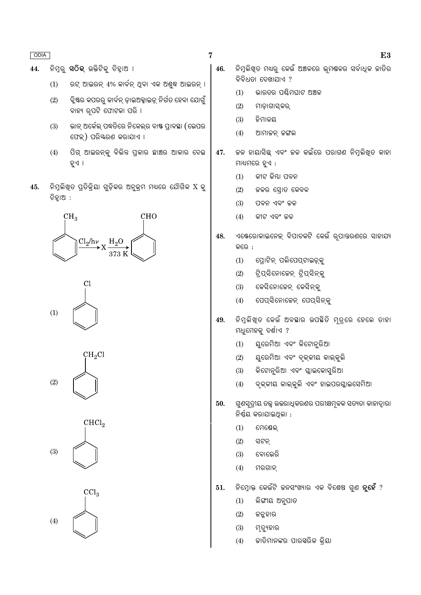ନିମ୍ର **ସଠିକ୍** ଉକ୍ତିଟିକ୍ ଚିହାଅ । 44.

- ରଟ୍ ଆଇରନ୍ 4% କାର୍ବନ୍ ଥିବା ଏକ ଅଶ୍ୱଦ୍ଧ ଆଇରନ୍ ।  $(1)$
- ବ୍ଲିଷ୍ଟର କପରର୍ କାର୍ବନ୍ ଡ଼ାଇଅକ୍ସାଇଡ୍ ନିର୍ଗତ ହେବା ଯୋଗୁଁ  $(2)$ ବାହ୍ୟ ରପଟି ଫୋଟକା ପରି ।
- ଭାନ୍ ଅର୍କେଲ୍ ପଦ୍ଧତିରେ ନିକେଲ୍ର ବାଷ୍ଟ ପ୍ରାବସ୍ଥା (ଭେପର  $(3)$ ଫେକ୍) ପରିୟରଣ କରାଯାଏ ।
- ପିଗ୍ ଆଇରନ୍କ୍ ବିଭିନ୍ନ ପ୍ରକାର ଛାଞ୍ଚର ଆକାର ଦେଇ  $(4)$ ହୁଏ ।
- ନିମ୍ନଲିଖ୍ତ ପ୍ରତିକ୍ରିୟା ଗୁଡ଼ିକର ଅନୁକ୍ରମ ମଧ୍ୟରେ ଯୌଗିକ X କୁ 45. ଚିହାଅ :





 $CH<sub>2</sub>Cl$  $(2)$ 





- ନିମୁଲିଖତ ମଧ୍ୟର କେଉଁ ଅଞ୍ଚଳରେ ଭ୍ରମଣ୍ଟଳର ସର୍ବାଧିକ ଜାତିର 46. ବିବିଧତା ଦେଖାଯାଏ ?
	- $(1)$ ଭାରତର ପଶ୍ଚିମଘାଟ ଅଞ୍ଚଳ
	- $(2)$ ମାଡ଼ାଗାସ୍କର୍
	- $(3)$ ହିମାଳୟ
	- ଆମାଜନ କଙ୍ଗଲ  $(4)$
- କଳ ହାୟାସିଛ ଏବଂ କଳ କଇଁରେ ପରାଗଣ ନିମଲିଖତ କାହା 47. ମାଧ୍ୟମରେ ହୁଏ :
	- କୀଟ କିୟା ପବନ  $(1)$
	- $(2)$ ଜଳର ସୋତ କେବଳ
	- $(3)$ ପବନ ଏବଂ ଜଳ
	- $(4)$ କୀଟ ଏବଂ ଜଳ
- ଏକ୍ଟେରୋକାଇନେକ୍ ବିପାଚକଟି କେଉଁ ରପାନ୍ତରଣରେ ସାହାଯ୍ୟ 48. କରେ :
	- $(1)$ ପ୍ରୋଟିନ୍ ପଲିପେପ୍ଟାଇଡ଼୍କୁ
	- ଟିପ୍ସିନୋଜେନ୍ ଟିପ୍ସିନ୍କୁ  $(2)$
	- କେସିନୋଜେନ୍ କେସିନ୍କ  $(3)$
	- ପେପ୍ସିନୋଜେନ୍ ପେପ୍ସିନ୍କୁ  $(4)$
- ନିମ୍ନଲିଖ୍ତ କେଉଁ ଅବସ୍ଥାର ଉପସ୍ଥିତି ମୂତ୍ରରେ ହେଲେ ତାହା 49. ମଧୁମେହକୁ ଦର୍ଶାଏ ?
	- ୟୁରେମିଆ ଏବଂ କିଟୋନ୍ତରିଆ  $(1)$
	- ୟୁରେମିଆ ଏବଂ ବୃକ୍କୀୟ କାଲ୍କୁଲି  $(2)$
	- କିଟୋନ୍ରିଆ ଏବଂ ଗ୍ଲାଇକୋସ୍ରିଆ  $(3)$
	- ବୃକ୍କୀୟ କାଲ୍କୁଲି ଏବଂ ହାଇପରଘ୍ଲାଇସେମିଆ  $(4)$
- 50. ଗୁଣସୂତ୍ରୀୟ ତତ୍ତ୍ୱ ଉତ୍ତରାଧିକରଣର ପରୀକ୍ଷମୂଳକ ସତ୍ୟତା କାହାଦ୍ୱାରା ନିର୍ଣ୍ଣୟ କରାଯାଇଥିଲା :
	- $(1)$ ମେଷେଲ୍
	- $(2)$ ସଟନ
	- $(3)$ ବୋଲେରି
	- $(4)$ ମରଗାନ୍
- ନିମ୍ନୋକ୍ତ କେଉଁଟି ଜନସଂଖ୍ୟାର ଏକ ବିଶେଷ ଗୁଣ **ନୃହେଁ** ? 51.
	- $(1)$ ଲିଙ୍ଗୀୟ ଅନୁପାତ
	- $(2)$ ଜନ୍ନହାର
	- $(3)$ ମୃତ୍ୟୁହାର
	- କାତିମାନଙ୍କର ପାରସ୍କରିକ କ୍ରିୟା  $(4)$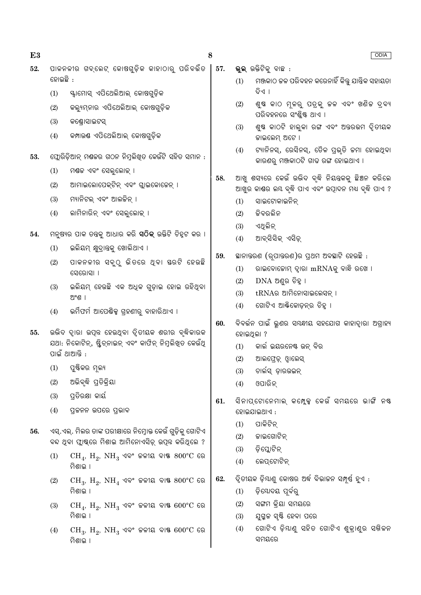ପାଳନଳୀର ଗବ୍ଲେଟ୍ କୋଷଗ୍ଡିକ କାହାଠାର୍ ପରିବର୍ତ୍ତିତ ଡୋଲଛି :

- ୍ୟାମୋସ୍ ଏପିଥେଲିଆଲ୍ କୋଷଗୁଡ଼ିକ  $(1)$
- କଲ୍ୟୁମ୍ନାର ଏପିଥେଲିଆଲ୍ କୋଷଗୁଡ଼ିକ  $(2)$
- $(3)$ କଣ୍ଠୋସାଇଟସ

E<sub>3</sub>

 $52.$ 

- କମ୍ପାଉଷ ଏପିଥେଲିଆଲ୍ କୋଷଗ୍ଡିକ  $(4)$
- ପ୍ଲୋରିଡ଼ିଆନ୍ ମଣ୍ଡକର ଗଠନ ନିମ୍ନଲିଖତ କେଉଁଟି ସହିତ ସମାନ : 53.
	- ମଶ୍ଚଳ ଏବଂ ସେଲୁଲୋକ୍ ।  $(1)$
	- ଆମାଇଲୋପେକ୍ଟିନ୍ ଏବଂ ଗ୍ଲାଇକୋଜେନ୍ ।  $(2)$
	- $(3)$ ମ୍ୟାନିଟଲ ଏବଂ ଆଲଚ୍ଚିନ ।
	- ଲାମିନାରିନ୍ ଏବଂ ସେଲଲୋକ ।  $(4)$
- ମନ୍ଷ୍ୟର ପାକ ତନ୍ତକ୍ ଆଧାର କରି **ସଠିକ୍** ଉକ୍ତିଟି ଚିହ୍ଟ କର । 54.
	- ଇଲିୟମ୍ କ୍ଷୁଦ୍ୱାନ୍ତକୁ ଖୋଲିଥାଏ ।  $(1)$
	- $(2)$ ପାକନଳୀର ସବୁଠୁ ଭିତରେ ଥିବା ୟରଟି ହେଉଛି ସେରୋସା ।
	- ଇଲିୟମ୍ ହେଉଛି ଏକ ଅଧିକ ଗୁଡ଼ାଇ ହୋଇ ରହିଥିବା  $(3)$ ଅଂଶ ।
	- ଭର୍ମିଫର୍ମ ଆପେଷିକ୍ସ ଗ୍ରହଣୀରୁ ବାହାରିଥାଏ ।  $(4)$
- ଉଭିଦ ଦ୍ୱାରା ଉତ୍ପନ୍ନ ହେଉଥିବା ଦୃିତୀୟକ ଶରୀର ବୃଦ୍ଧିକାରକ 55. ଯଥା: ନିକୋଟିନ୍, ଷ୍ଟ୍ରିଚ୍ନାଇନ୍ ଏବଂ କାଫିନ୍ ନିମୁଲିଖ୍ଡ କେଉଁଥି ପାଇଁ ଥାଆନ୍ତି:
	- $(1)$ ପୁଷ୍ଟିକର ମୁଲ୍ୟ
	- ଅଭିବୃଦ୍ଧି ପ୍ରତିକ୍ରିୟା  $(2)$
	- ପତିରକ୍ଷା କାର୍ୟ  $(3)$
	- $(4)$ ପ୍ରକନନ ଉପରେ ପ୍ରଭାବ
- ଏସ୍.ଏଲ୍. ମିଲର ତାଙ୍କ ପରୀକ୍ଷାରେ ନିମ୍ନୋକ୍ତ କେଉଁ ଗୁଡ଼ିକୁ ଗୋଟିଏ 56. ବନ୍ଦ ଥବା ପ୍ଲାଷ୍କରେ ମିଶାଇ ଆମିନୋଏସିଡ୍ ଉପ୍ନ କରିଥିଲେ ?
	- $CH_4$ ,  $H_2$ ,  $NH_3$  ଏବଂ ଜଳୀୟ ବାଷ୍ଟ  $800^{\circ}$ C ରେ  $(1)$ ମିଶାଇ ।
	- $CH_3$ ,  $H_2$ ,  $NH_4$  ଏବଂ ଜଳୀୟ ବାଷ  $800^{\circ}$ C ରେ  $(2)$ ମିଶାଇ ।
	- $CH_4$ ,  $H_2$ ,  $NH_3$  ଏବଂ ଜଳୀୟ ବାଷ  $600^{\circ}$ C ରେ  $(3)$ ମିଶାଇ ।
	- $(4)$  $CH_3$ ,  $H_2$ ,  $NH_3$  ଏବଂ ଜଳୀୟ ବାଷ  $600^{\circ}$ C ରେ ମିଶାଳ ।
- 57. ଭ୍ରଲ୍ ଉକ୍ତିଟିକ୍ ବାଛ :
	- ମଞ୍ଜକାଠ କଳ ପରିବହନ କରେନାହିଁ କିନ୍ତୁ ଯାନ୍ତ୍ରିକ ସହାୟତା  $(1)$ ନିଏ ।
	- ଶୁଷ କାଠ ମୂଳରୁ ପତ୍ରକୁ ଚଳ ଏବଂ ଖଣିଚ ଦ୍ର୍ୟ  $(2)$ ପରିବହନରେ ସଂଶ୍ରିଷ୍ଟ ଥାଏ ।
	- $(3)$ ଶୁଷ କାଠଟି ହାଲୁକା ରଙ୍ଗ ଏବଂ ଅନ୍ତରଭମ ଦୃିତୀୟକ ଜାଇଲେମ୍ ଅଟେ ।
	- ଟ୍ୟାନିନସ୍, ରେସିନସ୍, ତୈଳ ପ୍ରଭୃତି କମା ହୋଇଥିବା  $(4)$ କାରଣରୁ ମଞ୍ଜକାଠଟି ଗାଢ ରଙ୍ଗ ହୋଇଥାଏ ।
- ଆଖ ଶସ୍ୟରେ କେଉଁ ଉଦ୍ଭିଦ ବଦ୍ଧି ନିୟନ୍ତକକ୍ ଛିଞ୍ଚନ କରିଲେ 58. ଆଖୁର କାଣ୍ଡର ଲୟ ବୃଦ୍ଧି ପାଏ ଏବଂ ଉତ୍ପାଦନ ମଧ୍ୟ ବୃଦ୍ଧି ପାଏ ?
	- ସାଇଟୋକାଇନିନ୍  $(1)$
	- କିବରଲିନ  $(2)$
	- ଏଥିଲିନ୍  $(3)$
	- $(4)$ ଆବ୍ସିସିକ୍ ଏସିଡ଼୍
- ସ୍ଥାନାନ୍ତରଣ (ରୂପାନ୍ତରଣ)ର ପ୍ରଥମ ଅବସ୍ଥାଟି ହେଉଛି : 59.
	- ରାଇବୋଜୋମ୍ ଦ୍ୱାରା mRNAକୁ ବାନ୍ଧି ରଖେ ।  $(1)$
	- $(2)$  $DNA$  ଅଣ୍ଡର ଚିହ୍ନା
	- tRNAର ଆମିନୋସାଇଲେସନ ।  $(3)$
	- $(4)$ ଗୋଟିଏ ଆର୍ଷିକୋଡ଼ନ୍ର ଚିହୁ ।
- ବିବର୍ତ୍ତନ ପାଇଁ ଭଣର ସ୍ୟନ୍ଧୀୟ ସହଯୋଗ କାହାଦାରା ଅଗାହ୍ୟ 60. ହୋଇଥିଲା ?
	- କାର୍ଲ ଇୟରନେଷ୍ଟ ଉନ ବିର  $(1)$
	- ଆଲଫ୍ରେଡ଼୍ ଓ୍ୱାଲେସ୍  $(2)$
	- $(3)$ ଚାର୍ଲସ୍ ଡ଼ାରଉଇନ୍
	- ଓପାରିନ୍  $(4)$
- ସିନାପ୍ଟୋନେମାଲ୍ କମ୍ପ୍କେ କେଉଁ ସମୟରେ ଭାଙ୍ଗି ନଷ୍ଟ 61. ହୋଇଯାଇଥାଏ :
	- $(1)$ ପାକିଟିନ
	- କାଇଗୋଟିନ୍  $(2)$
	- ଡ଼ିପ୍ଲୋଟିନ୍  $(3)$
	- $(4)$ ଲେପଟୋଟିନ
- ଦ୍ୱିତୀୟକ ଡ଼ିୟାଣୁ କୋଷର ଅର୍ଦ୍ଧ ବିଭାଜନ ସମ୍ପୂର୍ଣ୍ଣ ହୁଏ : 62.
	- ଡିଯୋଦୟ ପର୍ବର  $(1)$
	- $(2)$ ସଙ୍ଗମ କିୟା ସମୟରେ
	- ଯୁଗୁଳ ସୃଷ୍ଟି ହେବା ପରେ  $(3)$
	- ଗୋଟିଏ ଡି଼ୟାଣ୍ ସହିତ ଗୋଟିଏ ଶ୍କାଣ୍ର ସ୍ନିଳନ  $(4)$ ସମୟରେ

8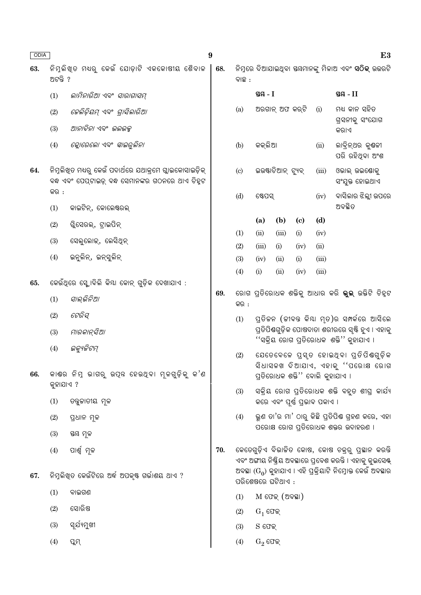| ODIA |           |                                                                                                               | 9   |                                                                                     |                                                                                                    |                   |                                           |             |                                                                                                                   | E <sub>3</sub> |
|------|-----------|---------------------------------------------------------------------------------------------------------------|-----|-------------------------------------------------------------------------------------|----------------------------------------------------------------------------------------------------|-------------------|-------------------------------------------|-------------|-------------------------------------------------------------------------------------------------------------------|----------------|
| 63.  | ଅଟନ୍ତି ?  | ନିମୁଲିଖ୍ଡ ମଧ୍ୟରୁ କେଉଁ ଯୋଡ଼ାଟି ଏକକୋଷୀୟ ଶୈବାଳ                                                                   | 68. | ବାଛ :                                                                               |                                                                                                    |                   |                                           |             | ନିମ୍ନରେ ଦିଆଯାଇଥିବା ସୟମାନଙ୍କୁ ମିଳାଅ ଏବଂ <b>ସଠିକ୍</b> ଉତ୍ତରଟି                                                       |                |
|      | (1)       | ଲାମିନାରିଆ ଏବଂ ସାରାଗାସମ୍                                                                                       |     |                                                                                     | ସ୍ତୟ $-I$                                                                                          |                   |                                           |             | ସ୍ତୟ $-II$                                                                                                        |                |
|      | (2)       | ଜେଲିଡ଼ିୟମ୍ ଏବଂ ଗ୍ରାସିଲାରିଆ                                                                                    |     | (a)                                                                                 |                                                                                                    | ଅରଗାନ୍ ଅଫ କର୍ଟି   |                                           | (i)         | ମଧ୍ୟ କାନ ସହିତ<br>ଗ୍ରସନୀକୁ ସଂଯୋଗ                                                                                   |                |
|      | (3)       | ଆନାବିନା ଏବଂ  ଭଲଭକ୍ନ                                                                                           |     |                                                                                     |                                                                                                    |                   |                                           |             | କର।ଏ                                                                                                              |                |
|      | (4)       | କ୍ଲୋରେଲୋ ଏବଂ <i>ସ୍କାଇରୁଲିନା</i>                                                                               |     | (b)                                                                                 | କକ୍ଲିଆ                                                                                             |                   |                                           | (ii)        | ଲାବ୍ରିନ୍ଥର କୁଣ୍ଠଳୀ<br>ପରି ରହିଥିବା ଅଂଶ                                                                             |                |
| 64.  |           | ନିମୁଲିଖ୍ଡ ମଧ୍ୟରୁ କେଉଁ ପଦାର୍ଥରେ ଯଥାକ୍ରମେ ଗ୍ଲାଇକୋସାଇଡ଼ିକ୍<br>ବନ୍ଧ ଏବଂ ପେପ୍ଟାଇଡ଼୍ ବନ୍ଧ ସେମାନଙ୍କର ଗଠନରେ ଥାଏ ଚିହୁଟ |     | (c)                                                                                 | ଇଉଷ୍ଟାଚିଆନ୍ ଟ୍ୟୁବ୍<br>(iii)                                                                        |                   |                                           |             | ଓଭାଲ୍ ଉଇଷୋକ୍<br>ସଂଯୁକ୍ତ ହୋଇଥାଏ                                                                                    |                |
|      | କର :      |                                                                                                               |     | (d)                                                                                 | ଷ୍ଟେପସ୍                                                                                            |                   |                                           | (iv)        | ବାସିଲାର ଝିଲ୍ଲୀ ଉପରେ                                                                                               |                |
|      | (1)       | କାଇଟିନ୍, କୋଲେଷ୍ଟରଲ୍                                                                                           |     |                                                                                     |                                                                                                    |                   |                                           |             | ଅବସ୍ଥିତ                                                                                                           |                |
|      | (2)       | ଗୁିସେରଲ୍, ଟ୍ରାଇପିନ୍                                                                                           |     | (1)                                                                                 | (a)<br>(ii)                                                                                        | (b)<br>(iii)      | (c)<br>(i)                                | (d)<br>(iv) |                                                                                                                   |                |
|      | (3)       | ସେଲୁଲୋଇ୍, ଲେସିଥିନ୍                                                                                            |     | (2)                                                                                 | (iii)                                                                                              | (i)               | (iv)                                      | (ii)        |                                                                                                                   |                |
|      | (4)       | ଇନୁଲିନ୍, ଇନ୍ସୁଲିନ୍                                                                                            |     | (3)                                                                                 | (iv)                                                                                               | (ii)              | (i)                                       | (iii)       |                                                                                                                   |                |
|      |           |                                                                                                               |     | (4)                                                                                 | (i)                                                                                                | (ii)              | (iv)                                      | (iii)       |                                                                                                                   |                |
| 65.  |           | କେଉଁଥିରେ ସ୍କ୍ରୋବିଲି କିୟା କୋନ୍ ଗୁଡ଼ିକ ଦେଖାଯାଏ :                                                                |     |                                                                                     |                                                                                                    |                   |                                           |             |                                                                                                                   |                |
|      | (1)       | ସାଲ୍ଭିନିଆ                                                                                                     | 69. | କର :                                                                                |                                                                                                    |                   |                                           |             | ରୋଗ ପ୍ରତିରୋଧକ ଶକ୍ତିକୁ ଆଧାର କରି <b>ଭୁଲ୍</b> ଉକ୍ତିଟି ଚିହୁଟ                                                          |                |
|      | (2)       | ଟେରିସ୍                                                                                                        |     | (1)                                                                                 | ପ୍ରତିଚ୍ଚନ (ଚ୍ଚୀବନ୍ତ କିୟା ମୃତ)ର ସମ୍ପର୍କରେ ଆସିଲେ<br>ପ୍ରତିପିଶ୍ଚଗୁଡ଼ିକ ପୋଷଦାତା ଶରୀରରେ ସ୍ୟି ହୁଏ । ଏହାକୁ |                   |                                           |             |                                                                                                                   |                |
|      | (3)       | ମାରକାନ୍ସିଆ                                                                                                    |     |                                                                                     |                                                                                                    |                   | ''ସକ୍ରିୟ ରୋଗ ପ୍ରତିରୋଧକ  ଶକ୍ତି'' କୁହାଯାଏ । |             |                                                                                                                   |                |
|      | (4)       | ଇକ୍ୟୁଜିଟମ୍                                                                                                    |     | (2)                                                                                 |                                                                                                    |                   |                                           |             | ଯେତେବେଳେ ପୁସ୍ତ ହୋଇଥିବା ପ୍ତିପିଷଗୁଡ଼ିକ                                                                              |                |
| 66.  | କୁହାଯାଏ ? | କାଶର ନିମ୍ନ ଭାଗରୁ ଉପ୍ନ ହେଉଥ୍ବା ମୂଳଗୁଡ଼ିକୁ କ'ଣ                                                                  |     | ସିଧାସଳଖ ଦିଆଯାଏ, ଏହାକ୍ ''ପରୋକ୍ଷ ରୋଗ<br>ପ୍ରତିରୋଧକ ଶକ୍ତି <sup>'</sup> ' ବୋଲି କୁହାଯାଏ । |                                                                                                    |                   |                                           |             |                                                                                                                   |                |
|      | (1)       | ତବୁଜାତୀୟ ମୂଳ                                                                                                  |     | (3)                                                                                 | ସକ୍ରିୟ ରୋଗ ପ୍ରତିରୋଧକ ଶକ୍ତି ବହୁତ ଶୀଘ୍ର କାର୍ଯ୍ୟ<br>କରେ ଏବଂ ପୂର୍ଣ୍ଣ ପ୍ରଭାବ ପକାଏ ।                     |                   |                                           |             |                                                                                                                   |                |
|      | (2)       | ପ୍ରଧାନ ମୂଳ                                                                                                    |     | (4)                                                                                 |                                                                                                    |                   |                                           |             | ଭୁଣ ତା'ର ମା' ଠାରୁ କିଛି ପ୍ରତିପିଷ ଗ୍ରହଣ କରେ, ଏହା                                                                    |                |
|      | (3)       | ସ୍ତୟ ମୂଳ                                                                                                      |     |                                                                                     |                                                                                                    |                   |                                           |             | ପରୋକ୍ଷ ରୋଗ ପ୍ତିରୋଧକ ଶକ୍ତର ଉଦାହରଣ ।                                                                                |                |
|      | (4)       | ପାର୍ଶ୍ୱ ମୂଳ                                                                                                   | 70. |                                                                                     |                                                                                                    |                   |                                           |             | କେତେଗୁଡ଼ିଏ ବିଭାଜିତ କୋଷ, କୋଷ ଚକ୍ରରୁ ପ୍ରସ୍ଥାନ କରନ୍ତି<br>ଏବଂ ଅଙ୍ଗୀୟ ନିଷ୍କିୟ ଅବସ୍ଥାରେ ପ୍ରବେଶ କରନ୍ତି । ଏହାକୁ କୁଇସେଷ୍ଟ୍ |                |
| 67.  |           | ନିମ୍ନଲିଖିତ କେଉଁଟିରେ ଅର୍ଦ୍ଧ ଅପକୃଷ୍ଟ ଗର୍ଭାଶୟ ଥାଏ ?                                                              |     |                                                                                     | ପରିଶେଷରେ ଘଟିଥାଏ :                                                                                  |                   |                                           |             | ଅବସ୍ଥା ( $G_0$ ) କୁହାଯାଏ । ଏହି ପ୍ରକ୍ରିୟାଟି ନିମ୍ନୋକ୍ତ କେଉଁ ଅବସ୍ଥାର                                                 |                |
|      | (1)       | ବାଇଗଣ                                                                                                         |     | (1)                                                                                 |                                                                                                    | $M$ ଫେକ୍ (ଅବସ୍ଥା) |                                           |             |                                                                                                                   |                |
|      | (2)       | ସୋରିଷ                                                                                                         |     | (2)                                                                                 | $G_1$ ଫେକ୍<br>$S$ ଫେକ୍                                                                             |                   |                                           |             |                                                                                                                   |                |
|      | (3)       | ସୂର୍ଯ୍ୟମୁଖୀ                                                                                                   |     | (3)                                                                                 |                                                                                                    |                   |                                           |             |                                                                                                                   |                |
|      | (4)       | ପ୍ଲମ୍                                                                                                         |     | (4)                                                                                 | $G_2$ ଫେକ୍                                                                                         |                   |                                           |             |                                                                                                                   |                |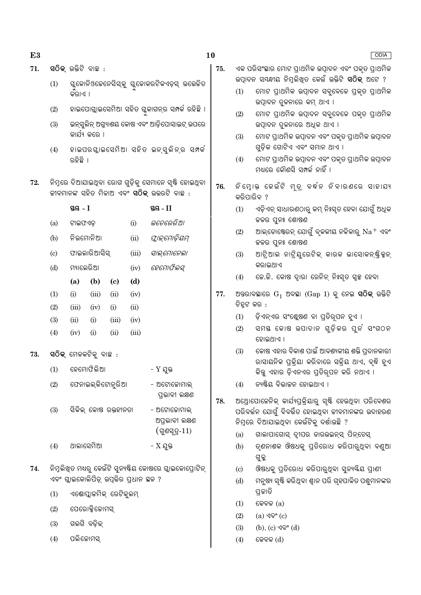73.

- $71.$ ସଠିକ୍ ଉକ୍ତିଟି ବାଛ :
	- ଗୁକୋନିଓଚେନେସିସ୍କୁ ଗୁକୋକରଟିକଏଡ଼ସ୍ ଉତ୍ତେକିତ  $(1)$ କରାଏ ।
	- ହାଇପୋଗ୍ଲାଇସେମିଆ ସହିତ ଗ୍ଳକାଗନ୍ର ସମ୍ପର୍କ ରହିଛି ।  $(2)$
	- $(3)$ ଇନ୍ସ୍ରଲିନ୍ ଅଗ୍ନ୍ୟାଶୟ କୋଷ ଏବଂ ଆଡ଼ିପୋସାଇଟ୍ ଉପରେ କାର୍ଯ୍ୟ କରେ ।
	- ହାଇପରଗ୍ଲାଇସେମିଆ ସହିତ ଇନ୍ସୁଲିନ୍ର ସମ୍ବର୍କ  $(4)$ ରହିଛି ।
- 72. ନିମ୍ନରେ ଦିଆଯାଇଥିବା ରୋଗ ଗୁଡ଼ିକୁ ସେମାନେ ସ୍ୟି ହୋଇଥିବା ଜୀବମାନଙ୍କ ସହିତ ମିଳାଅ ଏବଂ **ସଠିକ୍** ଉତ୍ତରଟି ବାଛ :

|     | ସ୍ତୟ - I          |                                                 | ସ୍ଥନ୍ତ - 11 |       |                                                    |  |  |  |  |
|-----|-------------------|-------------------------------------------------|-------------|-------|----------------------------------------------------|--|--|--|--|
| (a) | ଟାଇଫଏଡ଼           |                                                 |             | (i)   | ଭଚେରେରିଆ                                           |  |  |  |  |
| (b) | ନିଭମୋନିଆ          |                                                 |             | (ii)  | ଫ୍ଲାଇମୋଡ଼ିୟମ୍                                      |  |  |  |  |
| (c) |                   | ଫାଇଲାରିଆସିସ୍                                    |             | (iii) | ସାଲ୍ମୋନେଲା                                         |  |  |  |  |
| (d) | ମ୍ୟାଲେରିଆ         |                                                 |             | (iv)  | ହେମୋଫିଲସ୍                                          |  |  |  |  |
|     | (a)               | (b)                                             | (c)         | (d)   |                                                    |  |  |  |  |
| (1) | (i)               | (iii)                                           | (ii)        | (iv)  |                                                    |  |  |  |  |
| (2) | (iii)             | (iv)                                            | (i)         | (ii)  |                                                    |  |  |  |  |
| (3) | (ii)              | (i)                                             | (iii)       | (iv)  |                                                    |  |  |  |  |
| (4) | (iv)              | (i)                                             | (ii)        | (iii) |                                                    |  |  |  |  |
|     |                   | ସ $\widehat{\mathsf{O}}$ କ୍ ମେଳକଟିକୁ ବାଛ $\,$ : |             |       |                                                    |  |  |  |  |
| (1) | ହେମୋଫିଲି <b>ଆ</b> |                                                 |             |       | - Y ଯୁକ୍ତ                                          |  |  |  |  |
| (2) |                   | ଫେନାଇଲ୍କିଟୋନୁରିଆ                                |             |       | - ଅଟୋଜୋମାଲ୍<br>ପ୍ତଭାବୀ ଲକ୍ଷଣ                       |  |  |  |  |
| (3) |                   | ସିକିଲ୍ କୋଷ ରକ୍ତହୀନତା                            |             |       | - ଅଟୋଜୋମାଲ୍<br>ଅପ୍ରଭାବୀ ଲକ୍ଷଣ<br>$($ ଗୁଣସ୍ତ $-11)$ |  |  |  |  |
| (4) | ଥାଲାସେମିଆ         |                                                 |             |       | - $X$ ଯୁକ୍ତ                                        |  |  |  |  |
|     |                   |                                                 |             |       |                                                    |  |  |  |  |

- 74. ିନିମ୍ନଲିଖିତ ମଧ୍ୟରୁ କେଉଁଟି ସୁନ୍ୟଷ୍ଟିୟ କୋଷରେ ଗ୍ଲାଇକୋପ୍ରୋଟିନ୍ ଏବଂ ଗ୍ଲାଇକୋଲିପିଡ଼୍ ଉପଭିର ପ୍**ଧାନ ସ୍ଥଳ** ?
	- ଏଣ୍ଟୋପ୍ଲାକମିକ୍ ରେଟିକ୍ଲନ୍  $(1)$
	- ପେରୋକ୍ସିକୋମସ୍  $(2)$
	- ଗଲଗି ବଡିକ  $(3)$
	- ପଲିକୋମସ୍  $(4)$

- 75. ଏକ ପରିସଂସ୍ଥାର ମୋଟ ପ୍ରାଥମିକ ଉପାଦନ ଏବଂ ପକ୍ତ ପ୍ରାଥମିକ ଉତ୍ପାଦନ ସୟନ୍ଧୀୟ ନିମ୍ନଲିଖିତ କେଉଁ ଉକ୍ତିଟି **ସଠିକ୍** ଅଟେ ?
	- ମୋଟ ପ୍ରାଥମିକ ଉତ୍ପାଦନ ସବ୍ରବେଳେ ପକୃତ ପ୍ରାଥମିକ  $(1)$ ଉତ୍ପାଦନ ତୁଳନାରେ କମ୍ ଥାଏ ।
	- $(2)$ ମୋଟ ପ୍ରାଥମିକ ଉତ୍ପାଦନ ସବ୍ରବେଳେ ପକୃତ ପ୍ରାଥମିକ ଉତ୍ପାଦନ ତୁଳନାରେ ଅଧିକ ଥାଏ ।
	- ମୋଟ ପ୍ରାଥମିକ ଉତ୍ପାଦନ ଏବଂ ପକୃତ ପ୍ରାଥମିକ ଉତ୍ପାଦନ  $(3)$ ଗୁଡ଼ିକ ଗୋଟିଏ ଏବଂ ସମାନ ଥାଏ ।
	- $(4)$ ମୋଟ ପ୍ରାଥମିକ ଉତ୍ପାଦନ ଏବଂ ପକୃତ ପ୍ରାଥମିକ ଉତ୍ପାଦନ ମଧ୍ୟରେ କୌଣସି ସମ୍ପର୍କ ନାହିଁ ।
- ନିମ୍ନୋକ କେଉଁଟି ମୃତ୍ ବର୍ଦ୍ଧନ ନିବାରଣରେ ସାହାଯ୍ୟ 76. କରିପାରିବ ?
	- ଏଡ଼ିଏଚ୍ ସାଧାରଣଠାରୁ କମ୍ ନିଃସ୍ତ ହେବା ଯୋଗୁଁ ଅଧିକ  $(1)$ ଜଳର ପୁନଃ ଶୋଷଣ
	- ଆଲ୍ଡୋଷ୍ଟେରନ୍ ଯୋଗୁଁ ବୃକକୀୟ ନଳିକାରୁ  $\mathrm{Na^+}$  ଏବଂ  $(2)$ ଜଳର ପୁନଃ ଶୋଷଣ
	- ଆଟ୍ରିଆଲ ନାଟ୍ରିୟୁରେଟିକ୍ କାରକ ଭାସୋକନ୍ଷ୍ଟିକ୍ସନ୍  $(3)$ କରାଇଥାଏ
	- ଜେ.ଜି. କୋଷ ଦ୍ୱାରା ରେନିନ୍ ନିଃସ୍ତ ସ୍ୱଳ୍ପ ହେବା  $(4)$
- 77. ଅନ୍ତରାବସ୍ଥାରେ  $G_1$  ଅବସ୍ଥା ( $Gap 1$ ) କୁ ନେଇ **ସଠିକ୍** ଉକ୍ତିଟି ଚିହ୍ନଟ କର :
	- ଡ଼ିଏନ୍ଏର ସଂଶ୍ଲେଷଣ ବା ପ୍ରତିରୂପନ ହୁଏ ।  $(1)$
	- $(2)$ ସମୟ କୋଷ ଉପାଦାନ ଗୁଡ଼ିକର ପୁର୍ନ ସଂଗଠନ ହୋଇଥାଏ ।
	- କୋଷ ଏହାର ବିକାଶ ପାଇଁ ଆବଶ୍ୟକୀୟ ଶକ୍ତି ପ୍ରଦାନକାରୀ  $(3)$ ରାସାୟନିକ ପକିୟା କରିବାରେ ସକିୟ ଥାଏ, ବ୍ଦି ହଏ କିନ୍ତୁ ଏହାର ଡ଼ିଏନଏର ପ୍ରତିର୍ପନ କରି ନଥାଏ ।
	- $(4)$ ନ୍ୟଷ୍ଟିୟ ବିଭାଜନ ହୋଇଥାଏ ।
- 78. ଅଥ୍ରୋପୋଜେନିକ୍ କାର୍ଯ୍ୟପ୍ରକ୍ରିୟାରୁ ସୃଷ୍ଟି ହେଉଥିବା ପରିବେଶର ପରିବର୍ତ୍ତନ ଯୋଗୁଁ ବିବର୍ତ୍ତିତ ହୋଇଥିବା ଜୀବମାନଙ୍କର ଉଦାହରଣ ନିମ୍ନରେ ଦିଆଯାଇଥିବା କେଉଁଟିକୁ ଦର୍ଶାଉଛି ?
	- $(a)$ ଗାଲାପାଗୋସ୍ ଦ୍ୱୀପର ଡାରଉଇନ୍ସ୍ ପିନ୍ଚେସ୍
	- ତ୍ଶନାଶକ ଔଷଧକୁ ପ୍ରତିରୋଧ କରିପାରୁଥିବା ବଣୁଆ  $(b)$ ଗୁଳ୍ଲ
	- ଔଷଧକୁ ପ୍ରତିରୋଧ କରିପାରୁଥିବା ସୁନ୍ୟୟିୟ ପ୍ରାଣୀ  $(c)$
	- ମନୁଷ୍ୟ ସ୍ୟି କରିଥିବା ଶ୍ୱାନ ପରି ଗୃହପାଳିତ ପଶୁମାନଙ୍କର  $(d)$ ପ୍ତକାତି
	- $(1)$ କେବଳ $(a)$
	- (a) ଏବଂ (c)  $(2)$
	- $(3)$  $(b)$ ,  $(c)$  ଏବଂ  $(d)$
	- କେବଳ (d)  $(4)$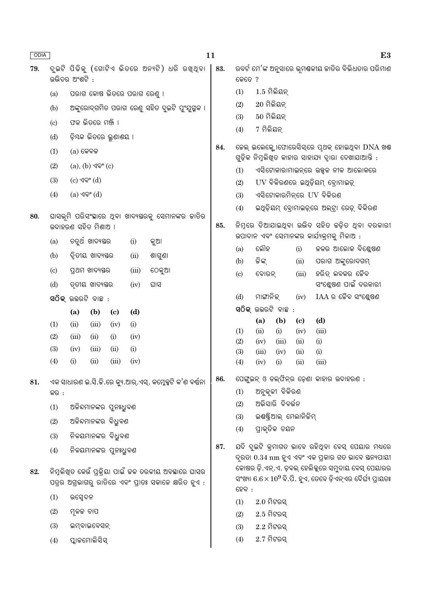| ODIA |                             |                                            |                               |                             |                            |                                                                                                               | 11  |                                                                                                  |                                                                                              |                                     |                     | E3                                                                                                     |  |  |
|------|-----------------------------|--------------------------------------------|-------------------------------|-----------------------------|----------------------------|---------------------------------------------------------------------------------------------------------------|-----|--------------------------------------------------------------------------------------------------|----------------------------------------------------------------------------------------------|-------------------------------------|---------------------|--------------------------------------------------------------------------------------------------------|--|--|
| 79.  |                             |                                            |                               |                             |                            | ଦୁଇଟି ପିଢିକୁ (ଗୋଟିଏ ଭିତରେ ଅନ୍ୟଟି) ଧରି ରଖୁଥିବା                                                                 | 83. |                                                                                                  |                                                                                              |                                     |                     | ରବର୍ଟ ମେ'ଙ୍କ ଅନୁସାରେ ଭୂମୟଳୀୟ ଜାତିର ବିଭିଧତାର ପରିମାଣ                                                     |  |  |
|      |                             | ଉଭିଦର ଅଂଶଟି :                              |                               |                             |                            |                                                                                                               |     | କେତେ ?                                                                                           |                                                                                              |                                     |                     |                                                                                                        |  |  |
|      | (a)                         |                                            |                               |                             | ପରାଗ କୋଷ ଭିତରେ ପରାଗ ରେଣୁ । |                                                                                                               |     | (1)                                                                                              | $1.5$ ମିଲିୟନ୍<br>$20$ ମିଲିୟନ୍                                                                |                                     |                     |                                                                                                        |  |  |
|      | (b)                         |                                            |                               |                             |                            | ଅଙ୍କୁରୋଦ୍ଗମିତ ପରାଗ ରେଣୁ ସହିତ ଦୁଇଟି ପୁଂଯୁଗ୍ମକ ।                                                                |     | (2)                                                                                              |                                                                                              |                                     |                     |                                                                                                        |  |  |
|      | (c)                         |                                            | ଫଳ ଭିତରେ ମଞ୍ଜି ।              |                             |                            |                                                                                                               |     | (3)                                                                                              | $50$ ମିଲିୟନ୍                                                                                 |                                     |                     |                                                                                                        |  |  |
|      | (d)                         |                                            | ଡ଼ିୟକ ଭିତରେ ଭୁଣାଶୟ ।          |                             |                            |                                                                                                               |     | 7 ମିଲିୟନ୍<br>(4)                                                                                 |                                                                                              |                                     |                     |                                                                                                        |  |  |
|      | (1)                         | $(a)$ କେବଳ                                 |                               |                             |                            |                                                                                                               | 84. | କେଲ୍ ଇଲେକ୍ଟୋଫୋରେସିସ୍ରେ ପୃଥକ୍ ହୋଇଥିବା DNA ଖଣ୍ଡ                                                    |                                                                                              |                                     |                     |                                                                                                        |  |  |
|      | (2)                         |                                            | $(a), (b)$ $\sqrt{9}$ ° $(c)$ |                             |                            |                                                                                                               |     | ଗୁଡ଼ିକ ନିମ୍ନଲିଖିତ କାହାର ସାହାଯ୍ୟ ଦ୍ୱାରା ଦେଖାଯାଆନ୍ତି :<br>ଏସିଟୋକାରାମାଇନ୍ରେ ଉଜ୍ଜଳ ନୀଳ ଆଲୋକରେ<br>(1) |                                                                                              |                                     |                     |                                                                                                        |  |  |
|      | (3)                         | $(c)$ ଏବଂ $(d)$                            |                               |                             |                            |                                                                                                               |     | (2)                                                                                              |                                                                                              |                                     |                     | UV ବିକିରଣରେ ଇଥିଡ଼ିୟମ୍ ବ୍ରୋମାଇଡ଼୍                                                                       |  |  |
|      | (4)                         | (a) ଏବଂ (d)                                |                               |                             |                            |                                                                                                               |     | (3)                                                                                              |                                                                                              | ଏସିଟୋକାରମିନ୍ରେ UV ବିକିରଣ            |                     |                                                                                                        |  |  |
|      |                             |                                            |                               |                             |                            |                                                                                                               |     | (4)                                                                                              |                                                                                              |                                     |                     | ଇଥିଡ଼ିୟମ୍ ବୋମାଇଡ଼୍ରେ ଅଲ୍ଟା ରେଡ଼୍ ବିକିରଣ                                                                |  |  |
| 80.  |                             |                                            |                               |                             |                            | ଘାସଭୂମି ପରିସଂସ୍ଥାରେ ଥିବା ଖାଦ୍ୟୟରକୁ ସେମାନଙ୍କର ଜାତିର                                                            |     |                                                                                                  |                                                                                              |                                     |                     |                                                                                                        |  |  |
|      | (a)                         | ଉଦାହରଣ ସହିତ ମିଶାଅ ।                        |                               |                             | (i)                        | କୁଆ                                                                                                           | 85. |                                                                                                  | ନିମ୍ନରେ ଦିଆଯାଇଥିବା ଉଭିଦ ସହିତ କଡ଼ିତ ଥିବା ଦରକାରୀ<br>ଉପାଦାନ ଏବଂ ସେମାନଙ୍କର କାର୍ଯ୍ୟକ୍ରମକୁ ମିଳାଅ : |                                     |                     |                                                                                                        |  |  |
|      |                             | ଚତୁର୍ଥ ଖାଦ୍ୟୟର<br>ଦ୍ୱିତୀୟ ଖାଦ୍ୟସ୍ତର<br>(b) |                               |                             |                            |                                                                                                               | (a) | ଲୌହ                                                                                              |                                                                                              |                                     | ଚ୍ଚଳର ଆଲୋକ ବିଶ୍ଳେଷଣ |                                                                                                        |  |  |
|      |                             |                                            |                               | (ii)                        | ଶାଗୁଣା                     |                                                                                                               | (b) | ଜିଙ୍କ୍                                                                                           |                                                                                              | (ii)                                | ପରାଗ ଅଙ୍କୁରୋଦଗମ୍    |                                                                                                        |  |  |
|      | $\left( \mathrm{c} \right)$ |                                            | ପ୍ରଥମ ଖାଦ୍ୟଷ୍ଠର               |                             | (iii)                      | ଠେକୁଆ                                                                                                         |     | (c)                                                                                              | ବୋରନ୍                                                                                        |                                     | (iii)               | ହରିତ୍ ଲବକର ଜୈବ                                                                                         |  |  |
|      | (d)                         |                                            | ତୃତୀୟ ଖାଦ୍ୟସ୍ତର               |                             | (iv)                       | ଘାସ                                                                                                           |     |                                                                                                  |                                                                                              |                                     |                     | ସଂଶ୍ଳେଷଣ ପାଇଁ ଦରକାରୀ                                                                                   |  |  |
|      |                             | ସ $\widehat{O}$ କ୍ ଉତ୍ତରଟି ବାଛ $:$         |                               |                             |                            |                                                                                                               |     | (d)                                                                                              | ମାଙ୍ଗାନିକ୍                                                                                   | ସଠିକ୍ ଉଭରଟି ବାଛ :                   | (iv)                | $IAA$ ର ଚୈବ ସଂଶ୍ଳେଷଣ                                                                                   |  |  |
|      |                             | (a)                                        | (b)                           | $\left( \mathbf{c} \right)$ | (d)                        |                                                                                                               |     |                                                                                                  | (a)                                                                                          | (b)                                 | (c)                 | (d)                                                                                                    |  |  |
|      | (1)                         | (ii)                                       | (iii)                         | (iv)                        | (i)                        |                                                                                                               |     | (1)                                                                                              | (ii)                                                                                         | (i)                                 | (iv)                | (iii)                                                                                                  |  |  |
|      | (2)<br>(3)                  | (iii)<br>(iv)                              | (ii)<br>(iii)                 | (i)<br>(ii)                 | (iv)<br>(i)                |                                                                                                               |     | (2)                                                                                              | (iv)                                                                                         | (iii)                               | (ii)                | (i)                                                                                                    |  |  |
|      | (4)                         | (i)                                        | (ii)                          | (iii)                       | (iv)                       |                                                                                                               |     | (3)<br>(4)                                                                                       | (iii)                                                                                        | (iv)<br>(i)                         | (ii)<br>(ii)        | (i)<br>(iii)                                                                                           |  |  |
|      |                             |                                            |                               |                             |                            |                                                                                                               |     |                                                                                                  | (iv)                                                                                         |                                     |                     |                                                                                                        |  |  |
| 81.  |                             |                                            |                               |                             |                            | ଏକ ସାଧାରଣ ଇ.ସି.କି.ରେ କ୍ୟୁ.ଆର୍.ଏସ୍. କମ୍ଳେକ୍ସଟି କ'ଣ ବର୍ଷନା                                                      | 86. |                                                                                                  |                                                                                              |                                     |                     | ପେଙ୍ଗୁଇନ୍ ଓ ଡଲ୍ଫିନ୍ର ଡ଼େଣା କାହାର ଉଦାହରଣ :                                                              |  |  |
|      | କର :                        |                                            |                               |                             |                            |                                                                                                               |     | (1)                                                                                              |                                                                                              | ଅନୁକୂଳୀ ବିକିରଣ<br>ଅଭିସାରି ବିବର୍ତ୍ତନ |                     |                                                                                                        |  |  |
|      | (1)                         |                                            | ଅଳିନ୍ଦମାନଙ୍କର ପୁନଃଧ୍ରୁବଣ      |                             |                            |                                                                                                               |     | (2)<br>(3)                                                                                       |                                                                                              | ଇଷ୍ୟ୍ତ୍ରିଆଲ୍ ମେଲାନିଜିମ୍             |                     |                                                                                                        |  |  |
|      | (2)                         |                                            | ଅଳିନ୍ଦମାନଙ୍କର ବିଧ୍ୟୁବଣ        |                             |                            |                                                                                                               |     | (4)                                                                                              |                                                                                              | ପ୍ରାକୃତିକ ଚୟନ                       |                     |                                                                                                        |  |  |
|      | (3)                         |                                            | ନିଳୟମାନଙ୍କର ବିଧ୍ରୁବଣ          |                             |                            |                                                                                                               |     |                                                                                                  |                                                                                              |                                     |                     |                                                                                                        |  |  |
|      | (4)                         |                                            | ନିଳୟମାନଙ୍କର ପୁନଃଧୁବଣ          |                             |                            |                                                                                                               | 87. |                                                                                                  |                                                                                              |                                     |                     | ଯଦି ଦୁଇଟି କ୍ରମାଗତ ଭାବେ ରହିଥିବା ବେସ୍ ପେୟାର ମଧ୍ୟରେ<br>ଦୃରତା 0.34 nm ହୁଏ ଏବଂ ଏକ ପ୍ରକାର ଗତ ଭାବେ ସ୍ତନ୍ୟପାୟୀ |  |  |
|      |                             |                                            |                               |                             |                            |                                                                                                               |     |                                                                                                  |                                                                                              |                                     |                     | କୋଷର ଡ଼ି.ଏନ୍.ଏ. ଡ଼ବଲ୍ ହେଲିକୁରେ ସମୁଦାୟ ବେସ୍ ପେୟାରର                                                      |  |  |
| 82.  |                             |                                            |                               |                             |                            | ନିମ୍ନଲିଖିତ କେଉଁ ପ୍ରକ୍ରିୟା ପାଇଁ କଳ ତରଳୀୟ ଅବସ୍ଥାରେ ଘାସର<br>ପତ୍ରର ଅଗ୍ରଭାଗରୁ ରାତିରେ ଏବଂ ପ୍ରାତଃ ସକାଳେ କ୍ଷରିତ ହୁଏ : |     |                                                                                                  |                                                                                              |                                     |                     | ସଂଖ୍ୟା $6.6 \times 10^9$ ବି.ପି. ହୁଏ, ତେବେ ଡ଼ିଏନ୍ଏର ଦୈର୍ଘ୍ୟ ପ୍ରାୟତଃ                                     |  |  |
|      | (1)                         | ଉପ୍ସେଦନ                                    |                               |                             |                            |                                                                                                               |     | $\Omega$ ବେ :                                                                                    | $2.0$ ମିଟରସ୍                                                                                 |                                     |                     |                                                                                                        |  |  |
|      | (2)                         | ମ୍ନଳକ ଚାପ                                  |                               |                             |                            |                                                                                                               |     | (1)<br>(2)                                                                                       | $2.5$ ମିଟରସ୍                                                                                 |                                     |                     |                                                                                                        |  |  |
|      | (3)                         |                                            | ଇମ୍ବାଇବେସନ୍                   |                             |                            |                                                                                                               |     | (3)                                                                                              | $2.2$ ମିଟରସ୍                                                                                 |                                     |                     |                                                                                                        |  |  |
|      | (4)                         |                                            |                               |                             |                            |                                                                                                               |     | (4)                                                                                              | $2.7$ ମିଟରସ୍                                                                                 |                                     |                     |                                                                                                        |  |  |
|      | ପ୍ଲାକମୋଲିସିସ୍               |                                            |                               |                             |                            |                                                                                                               |     |                                                                                                  |                                                                                              |                                     |                     |                                                                                                        |  |  |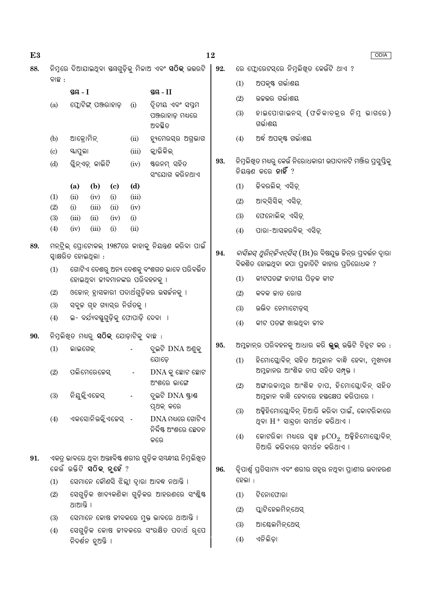| E3  |                                                                                                                                        |                                              |                             |               |                                                             | 12  | <b>ODIA</b>                            |                                                                                                                     |  |  |
|-----|----------------------------------------------------------------------------------------------------------------------------------------|----------------------------------------------|-----------------------------|---------------|-------------------------------------------------------------|-----|----------------------------------------|---------------------------------------------------------------------------------------------------------------------|--|--|
| 88. |                                                                                                                                        |                                              |                             |               | ନିମ୍ନରେ ଦିଆଯାଇଥିବା ଷୟଗୁଡ଼ିକୁ ମିଳାଅ ଏବଂ <b>ସଠିକ୍</b> ଉତ୍ତରଟି | 92. | ରେ ଫ୍ଲୋରେଟସ୍ରେ ନିମ୍ନଲିଖିତ କେଉଁଟି ଥାଏ ? |                                                                                                                     |  |  |
|     | ବାଛ :                                                                                                                                  |                                              |                             |               |                                                             |     | (1)                                    | ଅପକୃଷ୍ଟ ଗର୍ଭାଶୟ                                                                                                     |  |  |
|     |                                                                                                                                        | ସ୍ତୟ - I                                     |                             |               | ସ୍ଥ $-II$                                                   |     | (2)                                    | ଉଚ୍ଚଭର ଗର୍ଭାଶୟ                                                                                                      |  |  |
|     | (a)                                                                                                                                    | ଫ୍ଲୋଟିଙ୍ଗ୍ ପଞ୍ଜରାହାଡ଼<br>ଆକ୍ରୋମିନ୍<br>ୟାପୁଲା |                             | (i)           | ଦ୍ୱିତୀୟ ଏବଂ ସପ୍ତମ<br>ପଞ୍ଜରାହାଡ଼ ମଧ୍ୟରେ<br>ଅବସ୍ଥିତ           |     | (3)                                    | ହାଇପୋଗାଇନସ୍ (ଫଳିକାଚକ୍ର ନିମ୍ନ ଭାଗରେ)<br>ଗର୍ଭାଶୟ                                                                      |  |  |
|     | (b)                                                                                                                                    |                                              |                             | (ii)          | ହ୍ୟୁମେରସ୍ର ଅଗ୍ରଭାଗ                                          |     | (4)                                    | ଅର୍ଦ୍ଧ ଅପକୃଷ୍ଟ ଗର୍ଭାଶୟ                                                                                              |  |  |
|     | $\left( \circ \right)$                                                                                                                 |                                              |                             | (iii)         | କ୍ଲାଭିକିଲ୍                                                  |     |                                        |                                                                                                                     |  |  |
|     | (d)                                                                                                                                    | ଗ୍ଳିନ୍ଏଡ଼୍ କାଭିଟି                            |                             | (iv)          | ଷ୍ଟରନମ୍ ସହିତ<br>ସଂଯୋଗ କରିନଥାଏ                               | 93. |                                        | ିନିମୁଲିଖିତ ମଧ୍ୟରୁ କେଉଁ ନିରୋଧକାରୀ ଉପାଦାନଟି ମଞ୍ଜିର ପ୍ରସ୍ତୁସ୍ତିକୁ<br>ନିୟନ୍ତଣ କରେ <b>ନାହିଁ</b> ?                        |  |  |
|     |                                                                                                                                        | (b)<br>(a)                                   | $\left( \mathbf{c} \right)$ | (d)           |                                                             |     | (1)                                    | ଚ୍ଚିବରଲିକ୍ ଏସିଡ଼୍                                                                                                   |  |  |
|     | (1)<br>(2)                                                                                                                             | (ii)<br>(iv)<br>(i)<br>(iii)                 | (i)<br>(ii)                 | (iii)<br>(iv) |                                                             |     | (2)                                    | ଆବ୍ସିସିକ୍ ଏସିଡ଼୍                                                                                                    |  |  |
|     | (3)                                                                                                                                    | (iii)<br>(ii)                                | (iv)                        | (i)           |                                                             |     | (3)                                    | ଫେନୋଲିକ୍ ଏସିଡ଼୍                                                                                                     |  |  |
|     | (4)                                                                                                                                    | (ii)<br>(iv)<br>(iii)<br>(i)                 |                             |               |                                                             |     | (4)                                    | ପାରା-ଆସକରବିକ୍ ଏସିଡ଼୍                                                                                                |  |  |
| 89. | ମନ୍ଟ୍ରିଲ୍ ପ୍ରୋଟୋକଲ୍ 1987ରେ କାହାକୁ ନିୟନ୍ତ୍ରଣ କରିବା ପାଇଁ<br>ସ୍ୱାକ୍ଷରିତ ହୋଇଥିଲା :<br>ଗୋଟିଏ ଦେଶରୁ ଅନ୍ୟ ଦେଶକୁ ବଂଶଗତ ଭାବେ ପରିବର୍ତ୍ତିତ<br>(1) |                                              |                             |               |                                                             | 94. |                                        | <i>ବାସିଲସ୍ ଥୁରିନ୍ଚିଏନ୍ସିସ୍</i> (Bt)ର ବିଷଯୁକ୍ତ ଜିନ୍ର ପ୍ବର୍ଭନ ଦାୁରା<br>ବିକଶିତ ହୋଇଥିବା କପା ପ୍ରଜାତିଟି କାହାର ପ୍ରତିରୋଧକ ? |  |  |
|     |                                                                                                                                        | ହୋଇଥିବା ଜୀବମାନଙ୍କର ପରିବହନକୁ ।                |                             |               |                                                             |     | (1)                                    | କୀଟପତଙ୍ଗ ଜାତୀୟ ପିଡ଼କ କୀଟ                                                                                            |  |  |
|     | (2)                                                                                                                                    |                                              |                             |               | ଓକୋନ୍ ହ୍ରାସକାରୀ ପଦାର୍ଥଗୁଡ଼ିକର ଭସର୍ଜନକୁ ।                    |     | (2)                                    | କବକ କାତ ରୋଗ                                                                                                         |  |  |
|     | (3)                                                                                                                                    | ସବୁଚ୍ଚ ଗୃହ ଗ୍ୟାସ୍ର ନିର୍ଗତକୁ ।                |                             |               |                                                             |     | (3)                                    | ଉଭିଦ ନେମାଟୋଡ଼ସ୍                                                                                                     |  |  |
|     | (4)                                                                                                                                    | ଇ- ବର୍ଯ୍ୟବସ୍ତୁଗୁଡ଼ିକୁ ଫୋପାଡ଼ି ଦେବା  ।        |                             |               |                                                             |     | (4)                                    | କୀଟ ପତଙ୍ଗ ଖାଉଥିବା ଜୀବ                                                                                               |  |  |
| 90. | ିନିମ୍ନଲିଖିତ ମଧ୍ୟରୁ <b>ସଠିକ୍</b> ଯୋଡ଼ାଟିକୁ ବାଛ :                                                                                        |                                              |                             |               |                                                             |     |                                        |                                                                                                                     |  |  |
|     | (1)                                                                                                                                    | ଲାଇଗେକ୍                                      |                             |               | ଦୂଇଟି DNA ଅଶୁକୁ                                             | 95. |                                        | ଅମ୍ଳକାନ୍ର ପରିବହନକୁ ଆଧାର କରି <b>ଭୁଲ୍</b> ଉକ୍ତିଟି ଚିହ୍ନଟ କର :                                                         |  |  |
|     | (2)                                                                                                                                    | ପଲିମେରେକେସ୍                                  |                             |               | ଯୋଡ଼େ<br>$DNA$ କୁ ଛୋଟ ଛୋଟ                                   |     | (1)                                    | ହିମୋଗ୍ଳୋବିନ୍ ସହିତ ଅମ୍ଳକାନ ବାନ୍ଧି ହେବା, ମୁଖ୍ୟତଃ<br>ଅମ୍ଳକାନର ଆଂଶିକ ଚାପ ସହିତ ସମ୍ପୃକ୍ତ ।                                |  |  |
|     | (3)                                                                                                                                    | ନିୟକ୍ଳିଏଜେସ୍                                 |                             |               | ଅଂଶରେ ଭାଙ୍ଗେ<br>ଦୃଇଟି DNA ଷ୍ଟାଣ୍ଡ                           |     | (2)                                    | ଅଙ୍ଗାରକାମ୍ଳର ଆଂଶିକ ଚାପ, ହିମୋଗ୍ଲୋବିନ୍ ସହିତ<br>ଅମ୍ଳକାନ ବାନ୍ଧି ହେବାରେ ହସ୍ତକ୍ଷେପ କରିପାରେ ।                              |  |  |
|     | (4)                                                                                                                                    | ଏକସୋନିଉକ୍ଳିଏଜେସ୍ -                           |                             |               | ପୂଥକ୍ କରେ<br>$DNA$ ମଧ୍ୟରେ ଗୋଟିଏ                             |     | (3)                                    | ଅକ୍ସିହିମୋଗ୍ଲୋବିନ୍ ତିଆରି କରିବା ପାଇଁ, କୋଟରିକାରେ<br>ଥିବା $H^+$ ସାନ୍ଦ୍ରତା ସମର୍ଥନ କରିଥାଏ ।                               |  |  |
|     |                                                                                                                                        |                                              |                             |               | ନିର୍ଦ୍ଦିଷ୍ଟ ଅଂଶରେ ଛେଦନ<br>କରେ                               |     | (4)                                    | କୋଟରିକା ମଧ୍ୟରେ ସ୍ୱଳ୍ପ $\mathrm{pCO}_2$ ଅକ୍କିହିମୋଘ୍ଲୋବିନ୍<br>ତିଆରି କରିବାରେ ସମର୍ଥନ କରିଥାଏ ।                           |  |  |
| 91. |                                                                                                                                        | କେଉଁ ଉକ୍ତିଟି <b>ସଠିକ୍ ନୃହେଁ</b> ?            |                             |               | ଏକତ୍ର ଭାବରେ ଥିବା ଅନ୍ତଃବିଷ୍ଟ ଶରୀର ଗୁଡ଼ିକ ସୟନ୍ଧୀୟ ନିମୁଲିଖିତ   | 96. |                                        | ିଦ୍ଦପାର୍ଶ୍ୱ ପ୍ରତିସାମ୍ୟ ଏବଂ ଶରୀର ଗହୃର ନଥିବା ପ୍ରାଣୀର ଉଦାହରଣ                                                           |  |  |
|     | (1)                                                                                                                                    |                                              |                             |               | ସେମାନେ କୌଣସି ଝିଲ୍ଲୀ ଦ୍ୱାରା ଆବଦ୍ଧ ନଥାନ୍ତି ।                  |     | ହେଲା :                                 |                                                                                                                     |  |  |
|     | (2)                                                                                                                                    | ଥାଆନ୍ତି ।                                    |                             |               | ସେଗୁଡ଼ିକ ଖାଦ୍ୟକଣିକା ଗୁଡ଼ିକର ଆହରଣରେ ସଂଶ୍ଳିଷ୍ଟ                |     | (1)<br>(2)                             | ଟିନୋଫୋରା<br>ପ୍ଲାଟିହେଲମିନ୍ଥେସ୍                                                                                       |  |  |
|     | (3)                                                                                                                                    |                                              |                             |               | ସେମାନେ କୋଷ ଜୀବକରେ ମୁକ୍ତ ଭାବରେ ଥାଆନ୍ତି ।                     |     | (3)                                    | ଆକ୍ଟେଲମିନ୍ଥେସ୍                                                                                                      |  |  |
|     | (4)                                                                                                                                    | ସେଗୁଡ଼ିକ କୋଷ ଜୀବକରେ ସଂରକ୍ଷିତ ପଦାର୍ଥ ରୂପେ     |                             |               |                                                             |     |                                        |                                                                                                                     |  |  |
|     |                                                                                                                                        | ନିଦର୍ଶନ ହୁଅନ୍ତି ।                            |                             |               |                                                             |     | (4)                                    | ଏନିଲିଡ଼ା                                                                                                            |  |  |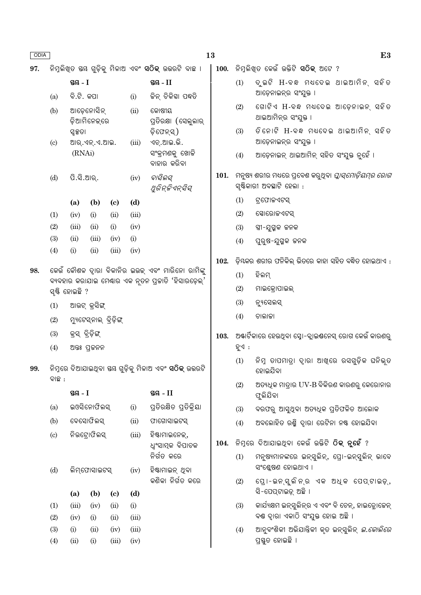|--|

97.

|                             | ସ୍ତୟ - I   |                            |                            |       | ସ୍ତୟ - II                                   |
|-----------------------------|------------|----------------------------|----------------------------|-------|---------------------------------------------|
| (a)                         | ବି.ଟି. କପା |                            |                            | (i)   | ଜିନ୍ ଚିକିହା ପଦ୍ଧତି                          |
| (b)                         | ସ୍ୱକ୍ଷତା   | ଆଡେନୋସିନ୍<br>ଡ଼ିଆମିନେକ୍ରରେ |                            | (ii)  | କୋଷୀୟ<br>ପ୍ତିରକ୍ଷା (ସେଲୁଲାର୍<br>ଡିଫେନ୍ସ)    |
| $\left( \mathrm{c} \right)$ | (RNAi)     | ଆର୍.ଏନ୍.ଏ.ଆଇ.              |                            | (iii) | ଏଚ୍.ଆଇ.ଭି.<br>ସଂକ୍ରମଣକୁ ଖୋଜି<br>ବାହାର କରିବା |
| (d)                         | ପି.ସି.ଆର୍. |                            |                            | (iv)  | ବାସିଲସ୍<br>ଥୁରିନ୍ଜିଏନ୍ସିସ୍                  |
|                             | (a)        | (b)                        | $\left( \mathrm{e}\right)$ | (d)   |                                             |
| (1)                         | (iv)       | (i)                        | (ii)                       | (iii) |                                             |
| (2)                         | (iii)      | (ii)                       | (i)                        | (iv)  |                                             |
| (3)                         | (ii)       | (iii)                      | (iv)                       | (i)   |                                             |
| (4)                         | (i)        | (ii)                       | (iii)                      | (iv)  |                                             |

କେଉଁ କୌଶଳ ଦ୍ୱାରା ବିକାନିର ଇଉକ୍ ଏବଂ ମାରିନୋ ରାମିଙ୍କୁ 98. ବ୍ୟବହାର କରାଯାଇ ମେଷାର ଏକ ନୃତନ ପ୍ରଜାତି 'ହିସାରଡ଼େଲ୍' ସଷ୍ଟି ହୋଇଛି ?

- ଆଉଟ୍ କ୍ରସିଙ୍ଗ୍  $(1)$
- $(2)$ ମ୍ୟୁଟେସ୍ନାଲ୍ ବ୍ରିଡ଼ିଙ୍ଗ୍
- $(3)$ କ୍ରସ୍ ବ୍ରିଡ଼ିଙ୍ଗ୍
- ଅତ୍ତଃ ପ୍ରକନନ  $(4)$

 $ac$ 

ନିମ୍ନରେ ଦିଆଯାଇଥିବା ୟୟ ଗୁଡ଼ିକୁ ମିଳାଅ ଏବଂ **ସଠିକ୍** ଉତ୍ତରଟି 99. ବାଛ :

T1

|                           | 1972 - T |              |                            |       | 912 - II                                          |  |  |  |
|---------------------------|----------|--------------|----------------------------|-------|---------------------------------------------------|--|--|--|
| (a)                       |          | ଇଓସିନୋଫିଲସ୍  |                            | (i)   | ପ୍ତିରକ୍ଷିତ ପ୍ରତିକ୍ରିୟା                            |  |  |  |
| (b)                       |          | ବେସୋଫିଲସ୍    |                            | (ii)  | ଫାଗୋସାଇଟସ୍                                        |  |  |  |
| $\left( \text{c} \right)$ |          | ନିଉଟ୍ରୋଫିଲସ୍ |                            | (iii) | ହିଷ୍ଟାମାଇନେକ୍,<br>ଧ୍ୱଂସାତ୍ମକ ବିପାଚକ<br>ନିର୍ଗତ କରେ |  |  |  |
| (d)                       |          | ଲିମ୍ଫୋସାଇଟସ୍ |                            | (iv)  | ହିଷ୍ଟାମାଇନ୍ ଥିବା<br>କଣିକା ନିର୍ଗତ କରେ              |  |  |  |
|                           | (a)      | (b)          | $\left( \mathrm{e}\right)$ | (d)   |                                                   |  |  |  |
| (1)                       | (iii)    | (iv)         | (ii)                       | (i)   |                                                   |  |  |  |
| (2)                       | (iv)     | (i)          | (ii)                       | (iii) |                                                   |  |  |  |
| (3)                       | (i)      | (ii)         | (iv)                       | (iii) |                                                   |  |  |  |
| (4)                       | (ii)     | (i)          | (iii)                      | (iv)  |                                                   |  |  |  |

| 100.  ନିମ୍ନଲିଖ୍ତ କେଉଁ ଉକ୍ତିଟି <b>ସଠିକ୍</b> ଅଟେ ? |  |  |  |  |  |  |  |
|--------------------------------------------------|--|--|--|--|--|--|--|
|--------------------------------------------------|--|--|--|--|--|--|--|

- $(1)$ ଦ୍ଇଟି H-ବନ୍ଧ ମଧ୍ୟଦେଇ ଥାଇଆମିନ୍ ସହିତ ଆଡ଼େନାଇନ୍ର ସଂଯୁକ୍ତ ।
- $(2)$ ଗୋଟିଏ H-ବନ୍ଧ ମଧ୍ୟଦେଇ ଆଡ଼େନାଇନ୍ ସହିତ ଥାଇଆମିନ୍ର ସଂଯୁକ୍ତ ।
- ତିନୋଟି H-ବନ୍ଧ ମଧ୍ୟଦେଇ ଥାଇଆମିନ୍ ସହିତ  $(3)$ ଆଡ଼େନାଇନ୍ର ସଂଯୁକ୍ତ ।
- ଆଡ଼େନାଇନ୍ ଥାଇଆମିନ୍ ସହିତ ସଂଯୁକ୍ତ ନୁହେଁ ।  $(4)$
- 101. ମନୁଷ୍ୟ ଶରୀର ମଧ୍ୟରେ ପ୍ରବେଶ କରୁଥିବା *ପ୍ଲାସ୍ମୋଡ଼ିୟମ୍ର ରୋଗ* ସ୍ଷିକାରୀ ଅବସ୍ଥାଟି ହେଲା :
	- $(1)$ ଟ୍ରଫୋଜଏଟସ୍
	- $(2)$ ସୋରୋଜଏଟସ୍
	- ସ୍ତ୍ରୀ-ଯୁଗ୍ମକ ଜନକ  $(3)$
	- $(4)$ ପୁରୁଷ-ଯୁଗ୍ମକ ଜନକ
- ଡ଼ିୟକର ଶରୀର ଫନିକିଲ୍ ଭିତରେ କାହା ସହିତ ବନ୍ଧିତ ହୋଇଥାଏ : 102.
	- $(1)$ ହିଲମ୍
	- $(2)$ ମାଇକ୍ରୋପାଇଲ୍
	- $(3)$ ନ୍ୟୁସେଲସ୍
	- $(4)$ ଚାଲାକା
- 103. ଅଷ୍ଟାର୍ଟିକାରେ ହେଉଥିବା ସ୍ରୋ-ବ୍ଲାଇଣ୍ଟନେସ୍ ରୋଗ କେଉଁ କାରଣର ହୁଏ :
	- $(1)$ ନିମ୍ନ ତାପମାତ୍ରା ଦାରା ଆଖୁରେ ରସଗୁଡ଼ିକ ଘନିଭ୍ତ ହୋଇଯିବା
	- ଅତ୍ୟଧିକ ମାତ୍ରାର UV-B ବିକିରଣ କାରଣରୁ କେରୋନାର  $(2)$ ଫୁଲିଯିବା
	- ବରଫରୁ ଆସୁଥିବା ଅତ୍ୟଧିକ ପ୍ରତିଫଳିତ ଆଲୋକ  $(3)$
	- ଅବଲୋହିତ ରଶ୍ମି ଦ୍ୱାରା ରେଟିନା ନଷ୍ଟ ହୋଇଯିବା  $(4)$

#### 104. ନିମ୍ନରେ ଦିଆଯାଇଥିବା କେଉଁ ଉକ୍ତିଟି ଠିକ୍ ନୁହେଁ ?

- ମନୁଷ୍ୟମାନଙ୍କରେ ଇନ୍ସୁଲିନ୍, ପ୍ରୋ-ଇନ୍ସୁଲିନ୍ ଭାବେ  $(1)$ ସଂଶ୍ଳେଷଣ ହୋଇଥାଏ ।
- ପ୍ରୋ-ଇନ୍ସୁଲିନ୍ର ଏକ ଅଧ୍କ ପେପ୍ଟାଇଡ଼୍,  $(2)$ ସି-ପେପ୍ଟାଇଡ଼୍ ଅଛି ।
- କାର୍ଯ୍ୟକ୍ଷମ ଇନ୍ସୁଲିନ୍ର ଏ ଏବଂ ବି ଚେନ୍, ହାଇଡ୍ରୋଜେନ୍  $(3)$ ବଣ୍ଠ ଦ୍ୱାରା ଏକାଠି ସଂଯୁକ୍ତ ହୋଇ ଅଛି ।
- $(4)$ ଆନୁବଂଶିକୀ ଅଭିଯାନ୍ତିକୀ କୃତ ଇନ୍ସୁଲିନ୍ *ଇ.କୋଲିରେ* ପ୍ରସ୍ତୁତ ହୋଇଛି ।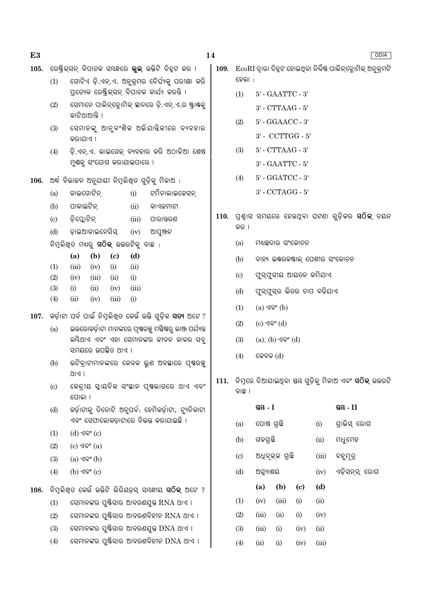| 105. |            | ରେଷ୍ଟ୍ରିକ୍ସନ୍ ବିପାଚକ ସୟନ୍ଧରେ <b>ଭୁଲ୍</b> ଉକ୍ତିଟି ଚିହ୍ନଟ କର ।                                    | - EcoRI ଦ୍ୱାରା ଚିହୁଟ ହୋଇଥିବା ନିର୍ଦ୍ଦିଷ୍ଟ ପାଲିନ୍ଡ୍ରୋମିକ୍ ଅନୁକ୍ରମଟି<br>109. |                                |                                       |                                       |      |                           |                                                    |
|------|------------|-------------------------------------------------------------------------------------------------|---------------------------------------------------------------------------|--------------------------------|---------------------------------------|---------------------------------------|------|---------------------------|----------------------------------------------------|
|      | (1)        | ଗୋଟିଏ ଡ଼ି.ଏନ୍.ଏ. ଅନୁକ୍ରମର ଦୈର୍ଘ୍ୟକୁ ପରୀକ୍ଷା କରି                                                 |                                                                           | ହେଲା :                         |                                       |                                       |      |                           |                                                    |
|      |            | ପ୍ରତ୍ୟେକ ରେଷ୍ଟ୍ରିକ୍ସନ୍ ବିପାଚକ କାର୍ଯ୍ୟ କରନ୍ତି ।                                                  |                                                                           | (1)                            |                                       | $5'$ - $\text{GAATTC}$ - $3'$         |      |                           |                                                    |
|      | (2)        | ସେମାନେ ପାଲିନ୍ଡୋମିକ୍ ସାନରେ ଡ଼ି.ଏନ୍.ଏ.ର ଷ୍ଟ୍ରାଷ୍ଟକୁ<br>କାଟିଥାଆନ୍ତି ।                              |                                                                           |                                |                                       | $3'$ - $\operatorname{CTTAAG}$ - $5'$ |      |                           |                                                    |
|      | (3)        | ସେମାନଙ୍କୁ ଆନୁବଂଶିକ ଅଭିଯାନ୍ତିକୀରେ ବ୍ୟବହାର                                                        |                                                                           | (2)                            |                                       | $5'$ - $\operatorname{GGAACC}$ - $3'$ |      |                           |                                                    |
|      |            | କରାଯାଏ ।                                                                                        |                                                                           | $3'$ - $\mbox{CCTTGG}$ - $5'$  |                                       |                                       |      |                           |                                                    |
|      | (4)        | ଡ଼ି.ଏନ୍.ଏ. ଲାଇଗେକ୍ ବ୍ୟବହାର କରି ଅଠାଳିଆ ଶେଷ                                                       |                                                                           | (3)                            | $5'$ - $\operatorname{CTTAAG}$ - $3'$ |                                       |      |                           |                                                    |
|      |            | ମୁଷକୁ ସଂଯୋଗ କରାଯାଇପାରେ ।                                                                        |                                                                           | $3^\circ$ - GAATTC - $5^\circ$ |                                       |                                       |      |                           |                                                    |
| 106. |            | ଅର୍ଦ୍ଧ ବିଭାଜନ ଅନୁଯାୟୀ ନିମ୍ନଲିଖିତ ଗୁଡ଼ିକୁ ମିଳାଅ :                                                | $5'$ - $\text{GGATCC}$ - $3'$<br>(4)                                      |                                |                                       |                                       |      |                           |                                                    |
|      | (a)        | ଟର୍ମିନାଲାଇଚେସନ୍<br>କାଇଗୋଟିନ୍<br>(i)                                                             |                                                                           |                                |                                       | $3^{\circ}$ - CCTAGG - $5^{\circ}$    |      |                           |                                                    |
|      | (b)        | ପାକାଇଟିନ୍<br>(ii)<br>କାଏକମାଟା                                                                   |                                                                           |                                |                                       |                                       |      |                           |                                                    |
|      | (c)        | ଡ଼ିସ୍ଲୋଟିନ୍<br>(iii)<br>ପାରାନ୍ତରଣ                                                               |                                                                           |                                |                                       |                                       |      |                           | 110. ପ୍ରଶ୍ୱାସ ସମୟରେ ହେଉଥିବା ଘଟଣା ଗୁଡ଼ିକର ସଠିକ୍ ଚୟନ |
|      | (d)        | ଡ଼ାଇଆକାଇନେସିସ୍<br>(iv)<br>ଆପୁଞ୍ଜନ                                                               |                                                                           | କର ।                           |                                       |                                       |      |                           |                                                    |
|      |            | ନିମ୍ନଲିଖିତ ମଧ୍ୟରୁ <b>ସଠିକ୍</b> ଉଭରଟିକୁ ବାଛ :                                                    |                                                                           | (a)<br>ମଧ୍ୟଛଦାର ସଂକୋଚନ         |                                       |                                       |      |                           |                                                    |
|      | (1)        | (b)<br>(a)<br>$\left( \mathrm{c}\right)$<br>(d)<br>(iii)<br>(iv)<br>(i)<br>(ii)                 |                                                                           | (b)                            | ବାହ୍ୟ ଇଣ୍ଟରକଷ୍ଟାଲ୍ ପେଶୀର ସଂକୋଚନ       |                                       |      |                           |                                                    |
|      | (2)        | (i)<br>(iv)<br>(iii)<br>(ii)                                                                    |                                                                           | $\left( \mathrm{c}\right)$     |                                       |                                       |      | ଫୁସ୍ଫୁସୀୟ ଆୟତନ କମିଯାଏ     |                                                    |
|      | (3)        | (ii)<br>(iv)<br>(i)<br>(iii)                                                                    |                                                                           | (d)                            |                                       |                                       |      | ଫୁସ୍ଫୁସ୍ର ଭିତର ଚାପ ବଢିଯାଏ |                                                    |
|      | (4)        | (ii)<br>(i)<br>(iv)<br>(iii)                                                                    |                                                                           | (1)                            | $(a)$ $\sqrt{ }$ <sup>°</sup> $(b)$   |                                       |      |                           |                                                    |
| 107. |            | କର୍ଡ଼ାଟା ପର୍ବ ପାଇଁ ନିମ୍ନଲିଖିତ କେଉଁ ଉକ୍ତି ଗୁଡ଼ିକ <b>ସତ୍ୟ</b> ଅଟେ ?                               |                                                                           | (2)                            | $(c)$ ଏବଂ $(d)$                       |                                       |      |                           |                                                    |
|      | (a)        | ଇଉରୋକର୍ଡ଼ାଟା ମାନଙ୍କରେ ପୃଷରଜ୍ଜ ମସ୍ତିଷରୁ ଲାଞ୍ଜ ପର୍ଯ୍ୟନ୍ତ                                          |                                                                           |                                |                                       |                                       |      |                           |                                                    |
|      |            | ଲୟିଥାଏ ଏବଂ ଏହା ସେମାନଙ୍କର ଜୀବନ କାଳର ସବୁ<br>ସମୟରେ ଉପଛିତ ଥାଏ ।                                     |                                                                           | (3)                            |                                       | $(a), (b)$ $\sqrt{9}$ ° $(d)$         |      |                           |                                                    |
|      | (b)        | ଭଟିବ୍ରାଟାମାନଙ୍କରେ କେବଳ ଭୁଣ ଅବସ୍ଥାରେ ପୃଷ୍ଠଜୁ                                                     |                                                                           | (4)<br>କେବଳ $(d)$              |                                       |                                       |      |                           |                                                    |
|      |            | P  S                                                                                            |                                                                           |                                |                                       |                                       |      |                           |                                                    |
|      | (c)        | କେନ୍ଦ୍ରୀୟ ସ୍ନାୟବିକ ସଂସ୍ଥାନ ପୃଷଭାଗରେ ଥାଏ ଏବଂ<br>ପୋଲା ।                                           | 111.                                                                      | ବାଛ ।                          |                                       |                                       |      |                           |                                                    |
|      | (d)        | କର୍ଡ଼ାଟାକୁ ତିନୋଟି ଅନୁପର୍ବ: ହେମିକର୍ଡ଼ାଟା, ଟ୍ୟୁନିକାଟା                                             |                                                                           |                                | ସ୍ତୟ $-I$                             |                                       |      |                           | ସ୍ତୟ - $II$                                        |
|      |            | ଏବଂ ସେଫାଲୋକଡ଼ାଟାରେ ବିଭକ୍ତ କରାଯାଇଛି ।                                                            |                                                                           | (a)                            | ପୋଷ ଗ୍ରଛି                             |                                       |      | (i)                       | ଗ୍ରାଭିସ୍ ରୋଗ                                       |
|      | (1)        | $(d)$ ଏବଂ $(c)$                                                                                 |                                                                           | (b)                            | ଗଳଗ୍ରଛି                               |                                       |      | (ii)                      | ମଧୁମେହ                                             |
|      | (2)        | $(c)$ ଏବଂ $(a)$<br>$(a)$ $\sqrt{ }$ <sup>o</sup> $(b)$                                          |                                                                           | $\left( \mathrm{c}\right)$     |                                       | ଅଧିବୃକ୍କ ଗ୍ରଛି                        |      | (iii)                     | ବହୁମୂତ୍ର                                           |
|      | (3)<br>(4) | $(b)$ $\sqrt{9}$ ° $(c)$                                                                        |                                                                           | (d)                            | ଅଗ୍ନ୍ୟାଶୟ                             |                                       |      | (iv)                      | ଏଡ଼ିସନ୍ସ୍ ରୋଗ                                      |
|      |            |                                                                                                 |                                                                           |                                |                                       |                                       |      |                           |                                                    |
| 108. |            | ିନିମୁଲିଖିତ କେଉଁ ଉକ୍ତିଟି ଭିରିୟଡ଼ସ୍ ସ୍ୟଦ୍ଧୀୟ <b>ସଠିକ୍</b> ଅଟେ ?                                   |                                                                           |                                | (a)                                   | (b)                                   | (c)  | (d)                       |                                                    |
|      | (1)        | ସେମାନଙ୍କର ପୁଷ୍ଟିସାର ଆବରଣଯୁକ୍ତ RNA ଥାଏ ।                                                         |                                                                           | (1)                            | (iv)                                  | (iii)                                 | (i)  | (ii)                      |                                                    |
|      | (2)        | ସେମାନଙ୍କର ପୁଷ୍ଟିସାର ଆବରଣବିହୀନ RNA ଥାଏ ।                                                         |                                                                           | (2)                            | (iii)                                 | (ii)                                  | (i)  | (iv)                      |                                                    |
|      | (3)        | ସେମାନଙ୍କର ପୁଷ୍ଟିସାର ଆବରଣଯୁକ୍ତ DNA ଥାଏ ।<br>ସେମାନଙ୍କର ପୁଷ୍ଟିସାର ଆବରଣବିହୀନ $\overline{DNA}$ ଥାଏ । |                                                                           | (3)                            | (iii)                                 | (i)                                   | (iv) | (ii)                      |                                                    |
|      | (4)        |                                                                                                 |                                                                           | (4)                            | (ii)                                  | (i)                                   | (iv) | (iii)                     |                                                    |

 $E3$ 

### $14$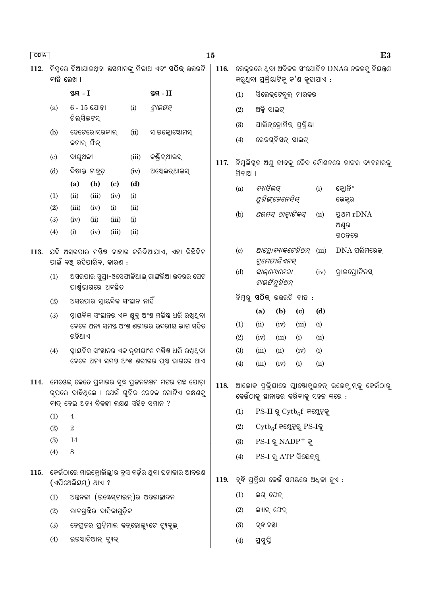| <b>ODIA</b> | 15                                                                          |                                                                                                      |                    |                             |                |                                                                                                 |                                             | E <sub>3</sub>                                   |                                   |                  |              |             |                 |  |
|-------------|-----------------------------------------------------------------------------|------------------------------------------------------------------------------------------------------|--------------------|-----------------------------|----------------|-------------------------------------------------------------------------------------------------|---------------------------------------------|--------------------------------------------------|-----------------------------------|------------------|--------------|-------------|-----------------|--|
| 112.        | ବାଛି ଲେଖ ।                                                                  |                                                                                                      |                    |                             |                | ଭେକ୍ଟରରେ ଥିବା ଅବିକଳ ସଂଯୋଜିତ DNAର ନକଲକୁ ନିୟନ୍ତ୍ରଣ<br>116.<br>କରୁଥିବା ପ୍ରକ୍ରିୟାଟିକୁ କ'ଣ କୁହାଯାଏ : |                                             |                                                  |                                   |                  |              |             |                 |  |
|             |                                                                             | ସ୍ଥ $-1$<br>$6 - 15$ ଯୋଡ଼ା<br>ଗିଲ୍ସିଲଟସ୍<br>ହେଟେରୋସରକାଲ୍                                             |                    |                             | ସ୍ତୟ $-II$     |                                                                                                 | (1)                                         | ସିଲେକ୍ଟେବୁଲ୍ ମାରକର                               |                                   |                  |              |             |                 |  |
|             | (a)                                                                         |                                                                                                      |                    | (i)                         | ଟ୍ରାଇଗନ୍       |                                                                                                 | ଅକ୍ସି ସାଇଟ୍<br>(2)                          |                                                  |                                   |                  |              |             |                 |  |
|             | (b)                                                                         |                                                                                                      |                    | (ii)                        | ସାଇକ୍ଲୋଷ୍ଟୋମସ୍ |                                                                                                 | (3)                                         | ପାଲିନ୍ଡ୍ରୋମିକ୍ ପ୍ରକ୍ରିୟା                         |                                   |                  |              |             |                 |  |
|             |                                                                             | କଡାଲ୍ ଫିନ୍                                                                                           |                    |                             |                |                                                                                                 |                                             | ରେକଗ୍ନିସନ୍ ସାଇଟ୍<br>(4)                          |                                   |                  |              |             |                 |  |
|             | $\left( \mathrm{c}\right)$                                                  | ବାୟୁଥଳୀ                                                                                              |                    |                             | (iii)          | କଣ୍ଡିଚ୍ଥାଇସ୍                                                                                    | 117.                                        | ନିମ୍ନଲିଖିତ ଅଣୁ ଜୀବକୁ ଜୈବ କୌଶଳରେ ତାଙ୍କର ବ୍ୟବହାରକୁ |                                   |                  |              |             |                 |  |
|             | (d)                                                                         |                                                                                                      | ବିଷାକ୍ତ ନାହୁଡ଼     |                             | (iv)           | ଅଷ୍ଟେଇଚ୍ଥାଇସ୍                                                                                   |                                             |                                                  | ମିଳାଅ ।                           |                  |              |             |                 |  |
|             |                                                                             | (a)                                                                                                  | (b)                | $\left( \mathbf{c} \right)$ | (d)            |                                                                                                 |                                             | (a)                                              | ବ୍ୟାସିଲସ୍                         |                  |              | (i)         | କ୍ଲୋନିଂ         |  |
|             | (1)                                                                         | (ii)                                                                                                 | (iii)              | (iv)                        | (i)            |                                                                                                 |                                             |                                                  | ଥୁରିଙ୍ଗେନେସିସ୍                    |                  |              |             | ଭେକ୍ଟର          |  |
|             | (2)                                                                         | (iii)                                                                                                | (iv)               | (i)                         | (ii)           |                                                                                                 |                                             | (b)                                              |                                   | ଥରମସ୍ ଆକ୍ୱାଟିକସ୍ |              | (ii)        | <b>gan</b> rDNA |  |
|             | (3)<br>(4)                                                                  | (iv)<br>(i)                                                                                          | (ii)<br>(iv)       | (iii)<br>(iii)              | (i)<br>(ii)    |                                                                                                 |                                             |                                                  |                                   |                  |              |             | ଅଣୁର<br>ଗଠନରେ   |  |
| 113.        | ଯଦି ଅସରପାର ମୟିଷ ବାହାର କରିଦିଆଯାଏ, ଏହା କିଛିଦିନ<br>ପାଇଁ ବଞ୍ଚ୍ ରହିପାରିବ, କାରଣ : |                                                                                                      |                    |                             |                |                                                                                                 |                                             | (c)                                              | ଆଗ୍ରୋବ୍ୟାକଟେରିଅମ୍<br>ଟୁମେଫାସିଏନସ୍ |                  |              | (iii)       | $DNA$ ପଲିମରେକ୍  |  |
|             | (1)                                                                         |                                                                                                      |                    |                             |                | ଅସରପାର ସୁପ୍ର।-ଓସେଫାକିଆଲ୍ ଗାଙ୍ଗଲିଆ ଉଦରର ପେଟ                                                      |                                             | (d)                                              | ସାଲ୍ମୋନେଲା<br>ଟାଇଫିମୁରିଅମ୍        |                  |              | (iv)        | କ୍ରାଇପ୍ରୋଟିନସ୍  |  |
|             | ପାର୍ଶ୍ୱଭାଗରେ ଅବସ୍ଥିତ<br>ଅସରପାର ସ୍ୱାୟବିକ ସଂସ୍ଥାନ ନାହିଁ<br>(2)                |                                                                                                      |                    |                             |                | ନିମ୍ନରୁ <b>ସଠିକ୍</b> ଉତ୍ତରଟି ବାଛ :                                                              |                                             |                                                  |                                   |                  |              |             |                 |  |
|             | (3)                                                                         | ସ୍ୱାୟବିକ ସଂସ୍ଥାନର ଏକ କ୍ଷୁଦ୍ର ଅଂଶ ମୟିଷ ଧରି ରଖିଥିବା                                                    |                    |                             |                |                                                                                                 | (a)                                         | (b)                                              | $\left( \mathbf{c} \right)$       | (d)              |              |             |                 |  |
|             |                                                                             | ରହିଥାଏ                                                                                               |                    |                             |                | ବେଳେ ଅନ୍ୟ ସମୟ ଅଂଶ ଶରୀରର ଉଦରୀୟ ଭାଗ ସହିତ                                                          |                                             | (1)<br>(2)                                       | (ii)<br>(iv)                      | (iv)<br>(iii)    | (iii)<br>(i) | (i)<br>(ii) |                 |  |
|             | (4)                                                                         |                                                                                                      |                    |                             |                | ସ୍ନାୟବିକ ସଂସ୍ଥାନର ଏକ ତୃତୀୟାଂଶ ମୟିଷ ଧରି ରଖିଥିବା                                                  |                                             | (3)                                              | (iii)                             | (ii)             | (iv)         | (i)         |                 |  |
|             |                                                                             |                                                                                                      |                    |                             |                | ବେଳେ ଅନ୍ୟ ସମୟ ଅଂଶ ଶରୀରର ପୃଷ ଭାଗରେ ଥାଏ                                                           |                                             | (4)                                              | (iii)                             | (iv)             | (i)          | (ii)        |                 |  |
| 114.        |                                                                             | ମେଷେଲ୍ କେତେ ପ୍ରକାରର ସୁଦ୍ଧ ପ୍ରଜନନକ୍ଷମ ମଟର ଗଛ ଯୋଡ଼ା<br>ରୂପରେ ବାଛିଥିଲେ । ଯେଉଁ ଗୁଡ଼ିକ କେବଳ ଗୋଟିଏ ଲକ୍ଷଣକୁ |                    |                             | 118.           | ିଆଲୋକ ପ୍ରକ୍ରିୟାରେ ପ୍ଲାଷ୍ଟୋକୁଇନନ୍ ଇଲେକ୍ଯନ୍କୁ କେଉଁଠାରୁ<br>କେଉଁଠାକୁ ସ୍ଥାନାନ୍ତର କରିବାକୁ ସହଜ କରେ :   |                                             |                                                  |                                   |                  |              |             |                 |  |
|             | ବାଦ୍ ଦେଇ ଅନ୍ୟ ବିକଳ୍ପୀ ଲକ୍ଷଣ ସହିତ ସମାନ ?<br>(1)                              |                                                                                                      |                    |                             |                |                                                                                                 |                                             | $PS-II \& Cytb_{6}f$ କମ୍ପେକକୁ<br>(1)             |                                   |                  |              |             |                 |  |
|             | (2)                                                                         | $\overline{\mathbf{4}}$<br>$\sqrt{2}$                                                                |                    |                             |                | (2)                                                                                             | $\mathrm{Cytb}_{6}$ f କମ୍ଳେକ୍ସରୁ PS-Iକୁ     |                                                  |                                   |                  |              |             |                 |  |
|             | (3)                                                                         | 14                                                                                                   |                    |                             |                |                                                                                                 |                                             | (3)                                              | $PS-I \otimes NADP^+ \otimes$     |                  |              |             |                 |  |
|             | (4)                                                                         | 8                                                                                                    |                    |                             |                |                                                                                                 |                                             | (4)                                              | PS-I ରୁ ATP ସିଛେକ୍କୁ              |                  |              |             |                 |  |
| 115.        |                                                                             | କେଉଁଠାରେ ମାଇକ୍ରୋଭିଲ୍ଲୀର ବ୍ରସ ବର୍ଡ଼ର ଥିବା ଘନାକାର ଆବରଣ<br>(ଏପିଥେଲିୟମ୍) ଥାଏ ?                           |                    |                             |                |                                                                                                 | 119.  ବ୍ଛି ପ୍ରକ୍ରିୟା କେଉଁ ସମୟରେ ଅଧିକା ହୁଏ : |                                                  |                                   |                  |              |             |                 |  |
|             | (1)                                                                         |                                                                                                      |                    |                             |                | ଅନ୍ତନଳୀ (ଇଷ୍ଟେସ୍ଟାଇନ୍)ର ଅନ୍ତରାଚ୍ଛାଦନ                                                            |                                             | (1)<br>ଲଗ୍ ଫେକ୍                                  |                                   |                  |              |             |                 |  |
|             | (2)                                                                         |                                                                                                      |                    | ଲାଳଗ୍ରଛିର ବାହିକାଗୁଡ଼ିକ      |                |                                                                                                 |                                             | (2)<br>ଲ୍ୟାଗ୍ ଫେକ୍                               |                                   |                  |              |             |                 |  |
|             | (3)                                                                         |                                                                                                      |                    |                             |                | ନେପ୍ରନର ପ୍ରକ୍ସିମାଲ କନ୍ଭୋଲ୍ୟୁଟେ ଟ୍ୟୁବୁଲ୍                                                         |                                             | (3)                                              | ବୃଦ୍ଧାବସ୍ଥା                       |                  |              |             |                 |  |
|             | (4)                                                                         |                                                                                                      | ଇଉଷ୍ଟାଚିଆନ୍ ଟ୍ୟୁବ୍ |                             |                |                                                                                                 |                                             | (4)                                              | ପ୍ରସ୍ତି                           |                  |              |             |                 |  |
|             |                                                                             |                                                                                                      |                    |                             |                |                                                                                                 |                                             |                                                  |                                   |                  |              |             |                 |  |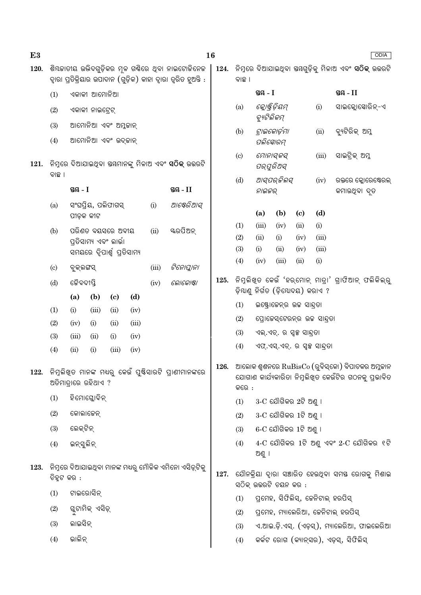| ଶିୟଜାତୀୟ ଉଭିଦଗୁଡ଼ିକର ମୂଳ ଗର୍ଣିରେ ଥିବା ନାଇଟୋଜିନେଜ<br>ନିମ୍ନରେ ଦିଆଯାଇଥିବା ସୟଗୁଡ଼ିକୁ ମିଳାଅ ଏବଂ <b>ସଠିକ୍</b> ଉତ୍ତରଟି<br>120.<br>124.<br>ଦ୍ୱାରା ପ୍ରତିକ୍ରିୟାର ଉପାଦାନ (ଗୁଡ଼ିକ) କାହା ଦ୍ୱାରା ତ୍ୱରିତ ହୁଅନ୍ତି :<br>ବାଛ ।          |                                            |  |  |  |  |  |
|-----------------------------------------------------------------------------------------------------------------------------------------------------------------------------------------------------------------------|--------------------------------------------|--|--|--|--|--|
| ସ୍ତୟ $-I$<br>ଏକାକୀ ଆମୋନିଆ<br>(1)                                                                                                                                                                                      | ସ୍ତୟ $-II$                                 |  |  |  |  |  |
| କ୍ଲୋଷ୍ଟିଡ଼ିୟମ୍<br>(a)<br>(i)<br>(2)<br>ଏକାକୀ ନାଇଟ୍ରେଟ୍<br>ବ୍ୟୁଟିଲିକମ୍                                                                                                                                                 | ସାଇକ୍ଲୋସୋରିନ୍-ଏ                            |  |  |  |  |  |
| ଆମୋନିଆ ଏବଂ ଅମ୍ଳକାନ୍<br>(3)<br>ଟ୍ରାଇକୋର୍ଡ଼ମା<br>(b)<br>(ii)                                                                                                                                                            | ବ୍ୟଟିରିକ୍ ଅମ୍ଳ                             |  |  |  |  |  |
| ଆମୋନିଆ ଏବଂ ଉଦ୍କାନ୍<br>(4)<br>ପଲିସୋରମ୍                                                                                                                                                                                 |                                            |  |  |  |  |  |
| ମୋନାସ୍କସ୍<br>(iii)<br>$\left( \circ \right)$<br>121.<br>ପର୍ପୁରିଅସ୍<br>ବାଛ ।                                                                                                                                           | ସାଇଟ୍ରିକ୍ ଅମ୍ଳ                             |  |  |  |  |  |
| ଆସ୍ପର୍ଜିଲସ୍<br>(d)<br>(iv)<br>ସ୍ତୟ $-I$<br>ସ୍ତୟ - $II$<br>ନାଇଜର୍                                                                                                                                                      | ରକ୍ତରେ କ୍ଳୋରେଷ୍ଟେରଲ୍<br>କମାଉଥିବା ଦୃତ       |  |  |  |  |  |
| ଆଷେରିଆସ୍<br>ସଂଘପ୍ରିୟ, ପଲିଫାଗସ୍<br>(i)<br>(a)<br>(b)<br>(d)<br>(a)<br>(c)<br>ପୀଡ଼କ କୀଟ                                                                                                                                 |                                            |  |  |  |  |  |
| (iii)<br>(1)<br>(iv)<br>(ii)<br>(i)                                                                                                                                                                                   |                                            |  |  |  |  |  |
| ୟରପିଅନ୍<br>ପରିଣତ ବୟସରେ ଅବୀୟ<br>(ii)<br>(b)<br>(2)<br>(ii)<br>(iii)<br>(i)<br>(iv)<br>ପ୍ରତିସାମ୍ୟ ଏବଂ ଲାର୍ଭା                                                                                                            |                                            |  |  |  |  |  |
| (3)<br>(i)<br>(ii)<br>(iii)<br>(iv)<br>ସମୟରେ ଦ୍ୱିପାର୍ଶ୍ୱ ପ୍ରତିସାମ୍ୟ                                                                                                                                                   |                                            |  |  |  |  |  |
| (4)<br>(iii)<br>(ii)<br>(i)<br>(iv)<br>(iii)<br>ଟିନୋପ୍ଲାନା<br>ବୁକ୍ଲଙ୍ଗସ୍<br>$\left( \mathrm{c}\right)$                                                                                                                |                                            |  |  |  |  |  |
| ନିମୁଲିଖ୍ଡ କେଉଁ 'ହର୍ମୋନ୍ ମାତ୍ରା' ଗ୍ରାଫିଆନ୍ ଫଲିକିଲ୍ରୁ<br>125.<br>ଜୈବଦୀପ୍ତି<br>(d)<br>ଲୋକୋଷ୍ଟା<br>(iv)                                                                                                                   |                                            |  |  |  |  |  |
| ଡ଼ିୟାଣୁ ନିର୍ଗତ (ଡ଼ିଯୋଦୟ) କରାଏ ?<br>(d)<br>(a)<br>(b)<br>$\left( \mathrm{c}\right)$                                                                                                                                    |                                            |  |  |  |  |  |
| (1)<br>ଇଷ୍ଟ୍ରୋଜେନ୍ର ଉଚ୍ଚ ସାନ୍ଦ୍ରତା<br>(1)<br>(iii)<br>(i)<br>(ii)<br>(iv)                                                                                                                                             |                                            |  |  |  |  |  |
| (2)<br>ପ୍ରୋଜେସ୍ଟେରନ୍ର ଉଚ୍ଚ ସାନ୍ଦ୍ରତା<br>(2)<br>(ii)<br>(iii)<br>(iv)<br>(i)                                                                                                                                           |                                            |  |  |  |  |  |
| (3)<br>ଏଲ୍.ଏଚ୍. ର ସ୍ୱଳ୍ପ ସାନ୍ଦ୍ରତା<br>(3)<br>(iii)<br>(iv)<br>(ii)<br>(i)                                                                                                                                             |                                            |  |  |  |  |  |
| (4)<br>ଏଫ୍.ଏସ୍.ଏଚ୍. ର ସ୍ୱଳ୍ପ ସାନ୍ଦତା<br>(iii)<br>(4)<br>(ii)<br>(i)<br>(iv)                                                                                                                                           |                                            |  |  |  |  |  |
| ଆଲୋକ ଶ୍ୱଶନରେ RuBisCo (ରୁବିସ୍କୋ) ବିପାଚକର ଅମ୍ଳକାନ<br>126.<br>ନିମ୍ନଲିଖ୍ଡ ମାନଙ୍କ ମଧ୍ୟରୁ କେଉଁ ପୁଷ୍ଟିସାରଟି ପ୍ରାଣୀମାନଙ୍କରେ<br>122.<br>ଯୋଗାଣ କାର୍ଯ୍ୟକାରିତା ନିମ୍ନଲିଖ୍ଡ କେଉଁଟିର ଗଠନକୁ ପ୍ରଭାବିତ<br>ଅତିମାତ୍ରାରେ ରହିଥାଏ ?<br>କରେ : |                                            |  |  |  |  |  |
| ହିମୋଗ୍ଳୋବିନ୍<br>(1)<br>$3-C$ ଯୌଗିକର $2$ ଟି ଅଣୁ ।<br>(1)                                                                                                                                                               |                                            |  |  |  |  |  |
| (2)<br>କୋଲାଜେନ୍<br>$3-C$ ଯୌଗିକର 1ଟି ଅଣୁ ।<br>(2)                                                                                                                                                                      |                                            |  |  |  |  |  |
| ଲେକ୍ଟିନ୍<br>$6$ - $C$ ଯୌଗିକର $1$ ଟି ଅଣୁ ।<br>(3)<br>(3)                                                                                                                                                               |                                            |  |  |  |  |  |
| $4-C$ ଯୌଗିକର $1$ ଟି ଅଣୁ ଏବଂ $2-C$ ଯୌଗିକର ୧ଟି<br>(4)<br>ଇନ୍ସୁଲିନ୍<br>(4)<br>ଅଣୁ ।                                                                                                                                      |                                            |  |  |  |  |  |
| ିନିମୁରେ ଦିଆଯାଇଥିବା ମାନଙ୍କ ମଧ୍ୟରୁ ମୌଳିକ ଏମିନୋ ଏସିଡ୍ସଟିକୁ<br>123.<br>ଯୌନକ୍ରିୟା ଦ୍ୱାରା ସଞ୍ଚାରିତ ହେଉଥିବା ସମୟ ରୋଗକୁ ମିଶାଇ<br>127.<br>ଚିହ୍ନଟ କର :<br>ସଠିକ୍ ଉତ୍ତରଟି ଚୟନ କର :                                                 |                                            |  |  |  |  |  |
| ଟାଇରୋସିନ୍<br>(1)<br>ପ୍ରମେହ, ସିଫିଲିସ୍, ଜେନିଟାଲ୍ ହରପିସ୍<br>(1)                                                                                                                                                          |                                            |  |  |  |  |  |
| ଗୁଟାମିକ୍ ଏସିଡ଼୍<br>(2)<br>(2)                                                                                                                                                                                         | ପ୍ରମେହ, ମ୍ୟାଲେରିଆ, ଜେନିଟାଲ୍ ହରପିସ୍         |  |  |  |  |  |
| ଲାଇସିନ୍<br>(3)<br>(3)                                                                                                                                                                                                 | ଏ.ଆଇ.ଡ଼ି.ଏସ୍. (ଏଡ଼ସ୍), ମ୍ୟାଲେରିଆ, ଫାଇଲେରିଆ |  |  |  |  |  |
| ଭାଲିନ୍<br>କର୍କଟ ରୋଗ (କ୍ୟାନ୍ସର), ଏଡ଼ସ୍, ସିଫିଲିସ୍<br>(4)<br>(4)                                                                                                                                                         |                                            |  |  |  |  |  |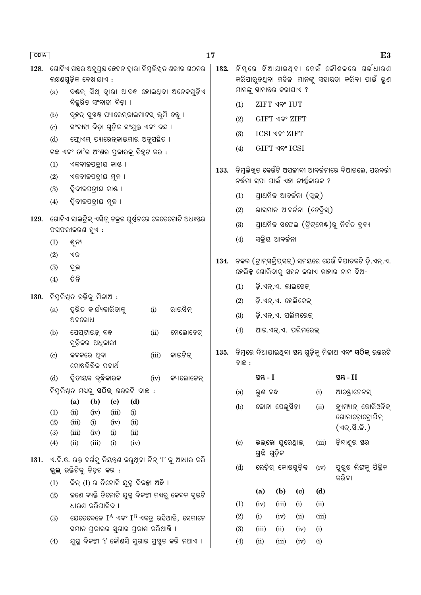| ODIA |                            |                                                                                                                                            |                                    | 17   |                                                       |                                                                                             |                                                                                             |                             |                       | E3                              |  |
|------|----------------------------|--------------------------------------------------------------------------------------------------------------------------------------------|------------------------------------|------|-------------------------------------------------------|---------------------------------------------------------------------------------------------|---------------------------------------------------------------------------------------------|-----------------------------|-----------------------|---------------------------------|--|
| 128. |                            | ଗୋଟିଏ ଗଛର ଅନୁପ୍ରସ୍ଥ ଛେଦନ ଦ୍ୱାରା ନିମ୍ନଲିଖିତ ଶରୀର ଗଠନର<br>ଲକ୍ଷଣଗୁଡ଼ିକ ଦେଖାଯାଏ :                                                              | 132.                               |      |                                                       |                                                                                             | ନିମ୍ନରେ ଦିଆଯାଇଥ୍ବା କେଉଁ କୌଶଳରେ ଗର୍ଭଧାରଣ<br>କରିପାରୁନଥିବା ମହିଳା ମାନଙ୍କୁ ସହାୟତା କରିବା ପାଇଁ ଭୁଣ |                             |                       |                                 |  |
|      | (a)                        | ବୟଲ୍ ସିଥ୍ ଦ୍ୱାରା ଆବଦ୍ଧ ହୋଇଥିବା ଅନେକଗୁଡ଼ିଏ                                                                                                  |                                    |      | ମାନଙ୍କୁ ସ୍ଥାନାତ୍ତର କରାଯାଏ ?                           |                                                                                             |                                                                                             |                             |                       |                                 |  |
|      |                            | ବିଚ୍ଛରିତ ସଂବାହୀ ବିଡ଼ା ।                                                                                                                    |                                    |      | (1)                                                   | <b>ZIFT ଏବଂ IUT</b>                                                                         |                                                                                             |                             |                       |                                 |  |
|      | (b)<br>(c)                 | ବୃହତ୍ ସୁସ୍ୱଷ୍ଟ ପ୍ୟାରେନ୍କାଇମାଟସ୍ ଭୂମି ତନ୍ତୁ ।<br>ସଂବାହୀ ବିଡ଼ା ଗୁଡ଼ିକ ସଂଯୁକ୍ତ ଏବଂ ବନ୍ଦ ।                                                     |                                    |      | <b>GIFT ଏବଂ ZIFT</b><br>(2)                           |                                                                                             |                                                                                             |                             |                       |                                 |  |
|      | (d)                        |                                                                                                                                            |                                    |      | (3)                                                   | ICSI ଏବଂ ZIFT                                                                               |                                                                                             |                             |                       |                                 |  |
|      |                            | ଗଛ ଏବଂ ତା'ର ଅଂଶର ପ୍ରକାରକୁ ଚିହୁଟ କର :                                                                                                       | ଫ୍ଲୋଏମ୍ ପ୍ୟାରେନ୍କାଇମାର ଅନୁପକ୍ଷିତ । |      |                                                       |                                                                                             |                                                                                             | GIFT ଏବଂ ICSI               |                       |                                 |  |
|      | (1)                        | ଏକବୀଜପତ୍ରୀୟ କାଣ୍ଠ ।                                                                                                                        |                                    |      |                                                       |                                                                                             |                                                                                             |                             |                       |                                 |  |
|      | (2)                        | ଏକବୀଜପତ୍ରୀୟ ମୂଳ ।                                                                                                                          |                                    |      |                                                       | ିନିମୁଲିଖୁତ କେଉଁଟି ଅପକୀବୀ ଆବର୍କନାରେ ଦିଆଗଲେ, ପରବର୍ତ୍ତୀ<br>ନର୍ଦ୍ଧମା ସଫା ପାଇଁ ଏହା ଜୀର୍ଷ୍ଣକାରକ ? |                                                                                             |                             |                       |                                 |  |
|      | (3)                        | ଦ୍ୱିବୀଜପତ୍ରୀୟ କାଣ୍ଠ ।                                                                                                                      |                                    |      | ପ୍ରାଥମିକ ଆବର୍ଜନା (ସ୍କୁକ୍)<br>(1)                      |                                                                                             |                                                                                             |                             |                       |                                 |  |
|      | (4)                        | ଦ୍ୱିବୀଜପତ୍ରୀୟ ମୂଳ ।                                                                                                                        |                                    |      |                                                       |                                                                                             |                                                                                             |                             |                       |                                 |  |
| 129. |                            | ଗୋଟିଏ ସାଇଟ୍ରିକ୍ ଏସିଡ଼୍ ଚକ୍ରର ଘୂର୍ଷନରେ କେତେଗୋଟି ଅଧଃସ୍ତର                                                                                     |                                    | (2)  | ଭାସମାନ ଆବର୍ଜନା (ଡେବ୍ରିସ୍)                             |                                                                                             |                                                                                             |                             |                       |                                 |  |
|      |                            | ଫସଫରୀକରଣ ହୁଏ :                                                                                                                             |                                    | (3)  | ପ୍ରାଥମିକ ସଫେଇ (ଟ୍ରିଟ୍ମେଷ୍)ରୁ ନିର୍ଗତ ଦ୍ରବ୍ୟ            |                                                                                             |                                                                                             |                             |                       |                                 |  |
|      | (1)                        | ଶୂନ୍ୟ                                                                                                                                      |                                    |      | (4)                                                   |                                                                                             | ସକ୍ରିୟ ଆବର୍ଜନା                                                                              |                             |                       |                                 |  |
|      | (2)                        | ଏକ                                                                                                                                         |                                    | 134. | ନକଲ (ଟ୍ରାନ୍ସକ୍ରିପ୍ସନ୍) ସମୟରେ ଯେଉଁ ବିପାଚକଟି ଡ଼ି.ଏନ୍.ଏ. |                                                                                             |                                                                                             |                             |                       |                                 |  |
|      | (3)                        | ଦୁଇ                                                                                                                                        |                                    |      | ହେଲିକ୍ସ ଖୋଲିବାକୁ ସହଜ କରାଏ ତାହାର ନାମ ଦିଅ-              |                                                                                             |                                                                                             |                             |                       |                                 |  |
|      | (4)                        | ତିନି                                                                                                                                       |                                    |      | (1)                                                   |                                                                                             | ଡ଼ି.ଏନ୍.ଏ. ଲାଇଗେକ୍                                                                          |                             |                       |                                 |  |
| 130. |                            | ନିମୁଲିଖ୍ତ ଉକ୍ତିକୁ ମିଳାଅ :                                                                                                                  |                                    | (2)  | ଡ଼ି.ଏନ୍.ଏ. ହେଲିକେଇ୍                                   |                                                                                             |                                                                                             |                             |                       |                                 |  |
|      | (a)                        | ତ୍ୱରିତ କାର୍ଯ୍ୟକାରିତାକୁ<br>ରାଇସିନ୍<br>(i)<br>ଅବରୋଧ                                                                                          |                                    |      | (3)                                                   | ଡ଼ି.ଏନ୍.ଏ. ପଲିମରେକ୍                                                                         |                                                                                             |                             |                       |                                 |  |
|      | (b)                        | ମେଲୋନେଟ୍<br>ପେପ୍ଟାଇଡ଼୍ ବନ୍ଧ<br>(ii)<br>ଗୁଡ଼ିକର ଅଧିକାରୀ                                                                                     |                                    |      | ଆର.ଏନ୍.ଏ. ପଲିମରେକ୍<br>(4)                             |                                                                                             |                                                                                             |                             |                       |                                 |  |
|      | $\left( \mathrm{c}\right)$ | କାଇଟିନ୍<br>କବକରେ ଥିବା<br>(iii)<br>କୋଷଭିଭିକ ପଦାର୍ଥ                                                                                          |                                    | 135. | ବାଛ :                                                 |                                                                                             |                                                                                             |                             |                       |                                 |  |
|      | (d)                        | ଦ୍ୱିତୀୟକ ବୃଦ୍ଧିକାରକ                                                                                                                        | କ୍ୟାଲୋଜେନ୍<br>(iv)                 |      |                                                       | ସ୍ତୟ $-I$                                                                                   |                                                                                             |                             |                       | ସ୍ଥ $-II$                       |  |
|      |                            | ନିମ୍ନଲିଖିତ ମଧ୍ୟରୁ ସଠିକ୍ ଉଭରଟି ବାଛ <b>଼</b>                                                                                                 |                                    |      | (a)                                                   | ଭୁଣ ବନ୍ଧ                                                                                    |                                                                                             |                             | (i)                   | ଆଣ୍ଡ୍ରୋଜେନସ୍                    |  |
|      |                            | (d)<br>(b)<br>$\left( \mathbf{c} \right)$<br>(a)                                                                                           |                                    |      | ଜୋନା ପେଲୁସିଡ଼ା<br>(b)                                 |                                                                                             |                                                                                             |                             | (ii)                  | ହ୍ୟୁମ୍ୟାନ୍ କୋରିଓନିକ୍            |  |
|      | (1)<br>(2)                 | (ii)<br>(iv)<br>(iii)<br>(i)<br>(i)<br>(iii)<br>(iv)<br>(ii)                                                                               |                                    |      |                                                       |                                                                                             |                                                                                             |                             |                       | ଗୋନାଡ଼ୋଟ୍ରୋପିନ୍<br>(ଏଚ୍.ସି.ଜି.) |  |
|      | (3)<br>(4)                 | (ii)<br>(iii)<br>(iv)<br>(i)<br>(ii)<br>(iii)<br>(i)<br>(iv)                                                                               |                                    |      | (c)                                                   |                                                                                             | ଭଲ୍ଭୋ ୟୁରେଥ୍ରାଲ୍                                                                            |                             | (iii)                 | ଡ଼ିଯାଣୁର ସର                     |  |
| 131. |                            | ଏ.ବି.ଓ. ରକ୍ତ ବର୍ଗକୁ ନିୟନ୍ତ୍ରଣ କରୁଥିବା ଜିନ୍ 'I' କୁ ଆଧାର କରି<br>ଭୁଲ୍ ଉକ୍ତିଟିକୁ ଚିହ୍ନଟ କର <b>଼</b><br>ଚ୍ଚିନ୍ (I) ର ତିନୋଟି ଯୁଗ୍ମ ବିକଳ୍ପୀ ଅଛି । |                                    |      | (d)                                                   | ଗ୍ରଛି ଗୁଡ଼ିକ<br>ଲେଡ଼ିଗ୍ କୋଷଗୁଡ଼ିକ<br>(iv)<br>କରିବା                                          |                                                                                             |                             | ପୁରୁଷ ଲିଙ୍ଗକୁ ପିଚ୍ଛିଳ |                                 |  |
|      | (1)                        |                                                                                                                                            |                                    |      |                                                       |                                                                                             |                                                                                             |                             |                       |                                 |  |
|      | (2)                        | କଣେ ବ୍ୟକ୍ତି ତିନୋଟି ଯୁଗ୍ମ ବିକଳ୍ପୀ ମଧ୍ୟରୁ କେବଳ ଦୁଇଟି                                                                                         |                                    |      |                                                       | (a)                                                                                         | (b)                                                                                         | $\left( \mathbf{c} \right)$ | (d)                   |                                 |  |
|      |                            | ଧାରଣ କରିପାରିବ ।                                                                                                                            |                                    |      | (1)                                                   | (iv)                                                                                        | (iii)                                                                                       | (i)                         | (ii)                  |                                 |  |
|      | (3)                        | ଯେତେବେଳେ $I^A$ ଏବଂ $I^B$ ଏକତ୍ ରହିଥାନ୍ତି, ସେମାନେ                                                                                            |                                    |      | (2)                                                   | (i)                                                                                         | (iv)                                                                                        | (ii)                        | (iii)                 |                                 |  |
|      | (4)                        | ସମାନ ପ୍ରକାରର ସୁଗାର ପ୍ରକାଶ କରିଥାନ୍ତି ।<br>ଯୁଗ୍ମ ବିକଳ୍ପୀ 'i' କୌଣସି ସୁଗାର ପ୍ରସ୍ତୁତ କରି ନଥାଏ ।                                                 |                                    |      | (3)<br>(4)                                            | (iii)<br>(ii)                                                                               | (ii)<br>(iii)                                                                               | (iv)<br>(iv)                | (i)<br>(i)            |                                 |  |
|      |                            |                                                                                                                                            |                                    |      |                                                       |                                                                                             |                                                                                             |                             |                       |                                 |  |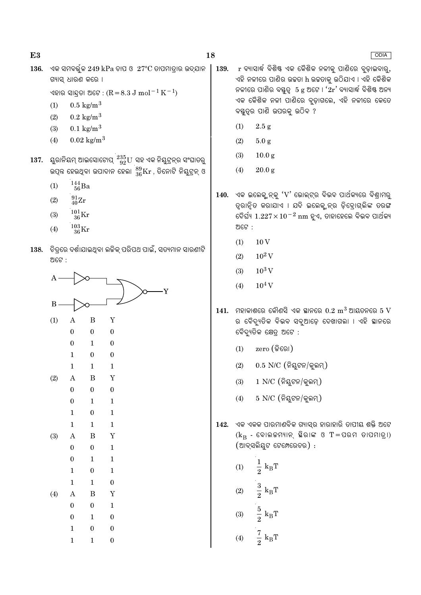| × |               |
|---|---------------|
|   | ۰.<br>w<br>۰. |

 $136.$  ଏକ ସମବର୍ତ୍ତଳ  $249$  kPa ଚାପ ଓ  $27^{\circ}$ C ତାପମାତାର ଉଦ୍ଯାନ ଗ୍ୟାସ୍ ଧାରଣ କରେ ।

ଏହାର ସାନ୍ଦତା ଅଟେ : ( $R = 8.3$  J mol $^{-1}$  K $^{-1}$ )

- $0.5 \text{ kg/m}^3$  $(1)$
- $(2)$  $0.2 \text{ kg/m}^3$
- $0.1 \text{ kg/m}^3$  $(3)$
- $0.02 \text{ kg/m}^3$  $(4)$
- 137. ୟୁରାନିୟମ୍ ଆଇସୋଟୋପ୍  $^{235}_{92}$ U୍ ସହ ଏକ ନିୟୁଟ୍ରନ୍ର ସଂଘାତରୁ ଉତ୍ପନ୍ନ ହେଉଥିବା ଉପାଦାନ ହେଲା  $^{89}_{36}\mathrm{Kr}$  , ଡିନୋଟି ନିଯୁଟ୍ରନ୍ ଓ
	- $\frac{144}{56}$ Ba  $(1)$
	- $\frac{91}{40}\text{Zr}$  $(2)$
	- $\frac{101}{36}\mathrm{Kr}$  $(3)$
	- $^{103}_{26}\mathrm{Kr}$  $(4)$
- ିଚିତ୍ରରେ ଦର୍ଶାଯାଇଥିବା ଲଜିକ୍ ପରିପଥ ପାଇଁ, ସତ୍ୟମାନ ସାରଣୀଟି 138. ଅଟେ $\cdot$



- r ବ୍ୟାସାର୍ଦ୍ଧ ବିଶିଷ୍ଟ ଏକ କୈଶିକ ନଳୀକ୍ ପାଣିରେ ବ୍ଡାଇବାର୍, 139. ଏହି ନଳୀରେ ପାଣିର ଉଚ୍ଚତା h ଉଚ୍ଚତାକୁ ଉଠିଯାଏ । ଏହି କୈଶିକ ନଳୀରେ ପାଣିର ବୟତ୍ତ 5 g ଅଟେ ।  $2r'$  ବ୍ୟାସାର୍ଦ୍ଧ ବିଶିଷ୍ଟ ଅନ୍ୟ ଏକ କୈଶିକ ନଳୀ ପାଣିରେ ବୃଡ଼ାଗଲେ, ଏହି ନଳୀରେ କେତେ ବୟୁତ୍ର ପାଣି ଉପରକ୍ ଉଠିବ ?
	- $(1)$  $2.5 g$
	- $(2)$  $5.0 g$
	- $(3)$  $10.0<sub>g</sub>$
	- $20.0 g$  $(4)$
- 140. ଏକ ଇଲେକ୍ୱ୍ନନ୍କୁ 'V' ଭୋଲ୍ଟ୍ର ବିଭବ ପାର୍ଥକ୍ୟରେ ବିଶ୍ରାମରୁ ତ୍ୱରାନ୍ୱିତ କରାଯାଏ । ଯଦି ଇଲେକ୍ଟନ୍ର ଡ଼ିବ୍ରୋଗ୍ଲିଙ୍କ ତରଙ୍ଗ ଦୈର୍ଘ୍ୟ  $1.227 \times 10^{-2}$  nm ହୁଏ, ତାହାହେଲେ ବିଭବ ପାର୍ଥକ୍ୟ ଅଟେ :
	- $10V$  $(1)$
	- $10^2$  V  $(2)$
	- $10^3$  V  $(3)$
	- $10^4$  V  $(4)$
- $141.$  ମହାକାଶରେ କୌଣସି ଏକ ସ୍ଥାନରେ  $0.2 \text{ m}^3$  ଆୟତନରେ  $5 \text{ V}$ ର ବୈଦ୍ୟତିକ ବିଭବ ସବ୍ଆଡେ ଦେଖାଗଲା । ଏହି ସ୍ଥାନରେ ବୈଦ୍ୟତିକ କ୍ଷେତ୍ର ଅଟେ :
	- $zero$  (କିରୋ)  $(1)$
	- $0.5$  N/C (ନିୟୁଟନ/କୁଲମ୍)  $(2)$
	- $(3)$  $1$  N/C (ନିୟୁଟନ/କୁଲମ୍)
	- $5$  N/C  $($ ନିୟୁଟନ/କୁଲମ୍)  $(4)$
- 142. ଏକ ଏକକ ପାରମାଣବିକ ଗ୍ୟାସ୍ର ହାରାହାରି ତାପୀୟ ଶକ୍ତି ଅଟେ  $(k_B - \epsilon \hat{\Theta} \hat{\Theta} \hat{\Theta})$  ଛିରାଙ୍କ ଓ T=ପରମ ତାପମାତ୍ରା) (ଆବ୍ସଲିୟୁଟ ଟେମ୍ପେରେଚର) :
	- $\frac{1}{2}$  $k_B T$  $(1)$  $\frac{3}{2}$  $k_BT$  $(2)$  $\frac{5}{2}$   $\textbf{k}_{\textrm{B}}\textbf{T}$  $(3)$
	- $\frac{7}{2}$  k<sub>B</sub>T  $(4)$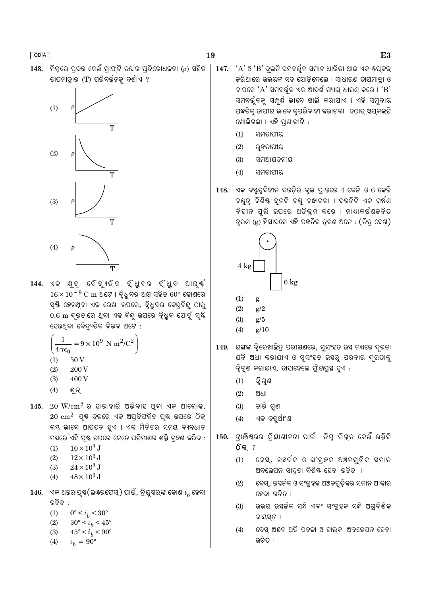$143.$  ନିମ୍ବରେ ପ୍ରଦଭ କେଉଁ ଗାଫ୍ଟି ତ୍ୟାର ପ୍ତିରୋଧକତା ( $\rho$ ) ସହିତ ତାପମାତାର (T) ପରିବର୍ତ୍ତନକୁ ଦର୍ଶାଏ ?



144. ଏକ କ୍ଷଦ ବୈଦ୍ୟତିକ ଦୃଧୁବର ଦୃଧୁବ ଆଘ୍ଷ୍  $16 \times 10^{-9}$  C m ଅଟେ । ଦ୍ୱିଧୁବର ଅକ୍ଷ ସହିତ 60° କୋଣରେ ସ୍ୟି ହେଉଥିବା ଏକ ରେଖା ଉପରେ, ଦ୍ୱିଧୁବର କେନ୍ଦ୍ରବିନ୍ଦୁ ଠାରୁ 0.6 m ଦ୍ରତାରେ ଥିବା ଏକ ବିନ୍ଦୁ ଉପରେ ଦ୍ୱିଧିବ ଯୋଗୁଁ ସ୍<del>ଷ୍ଟି</del> ହେଉଥିବା ବୈଦ୍ୟୁତିକ ବିଭବ ଅଟେ :

$$
\left(\frac{1}{4\pi\epsilon_0} = 9 \times 10^9 \text{ N m}^2/\text{C}^2\right)
$$

- $(1)$ 50V
- $(2)$ 200 V
- 400 V  $(3)$
- $(4)$ ଶୁନ୍

 $145.$   $20 \text{ W/cm}^2$  ର ହାରାହାରି ଅଭିବାହ ଥିବା ଏକ ଆଲୋକ,  $20 \text{ cm}^2$  ପ୍ଷ ତଳରେ ଏକ ଅପ୍ତିଫଳିତ ପ୍ଷ ଉପରେ ଠିକ୍ ଲୟ ଭାବେ ଆପତନ ହୁଏ । ଏକ ମିନିଟର ସମୟ ବ୍ୟବଧାନ ମଧ୍ୟରେ ଏହି ପଷ୍ଠ ଉପରେ କେତେ ପରିମାଣର ଶକ୍ତି ଗହଣ କରିବ :

- $10 \times 10^3$  J  $(1)$
- $12\times10^3$  J  $(2)$
- $24 \times 10^3$  J  $(3)$
- $48 \times 10^3$  J  $(4)$
- 146. ଏକ ଅନ୍ତରାପୃଷ(ଇଷ୍ରଫେସ୍) ପାଇଁ, ବ୍ରିୟୃଷ୍ର୍ଙ୍କ କୋଣ  $i_h$  ହେବା ଉଚିତ :
	- $(1)$  $0^{\circ} < i_b < 30^{\circ}$
	- $(2)$  $30^{\circ} < i_b < 45^{\circ}$
	- $(3)$  $45^{\circ} < i_h < 90^{\circ}$
	- $i_b = 90^{\circ}$  $(4)$
- $147.$   $A'$ ଓ  $B'$ ଦ୍ଇଟି ସମବର୍ତ୍ତଳ ସମାନ ଧାରିତା ଥାଇ ଏକ ଷ୍ଟପ୍କକ୍ କରିଆରେ ଉଭୟଙ୍କ ସହ ଯୋଡ଼ିଦେଲେ । ସାଧାରଣ ତାପମାତ୍ରା ଓ ଚାପରେ ' $\rm A$ ' ସମବର୍ତ୍ତଳ ଏକ ଆଦର୍ଶ ଗ୍ୟାସ୍ ଧାରଣ କରେ । ' $\rm B$ ' ସମବର୍ତ୍ତଳକୁ ସମ୍ପୂର୍ଣ୍ଣ ଭାବେ ଖାଲି କରାଯାଏ । ଏହି ସମ୍ବଦାୟ ପଦ୍ଧତିକ୍ ତାପୀୟ ଭାବେ କ୍ପରିବାହୀ କରାଗଲା । ହଠାତ୍ ଷ୍ଟପ୍କକ୍ଟି ଖୋଲିଗଲା । ଏହି ପଣାଳୀଟି :
	- $(1)$ ସମତାପୀୟ
	- $(2)$ ରୁଦ୍ଧତାପୀୟ
	- ସମଆୟତନୀୟ  $(3)$
	- $(4)$ ସମଚାପୀୟ
- ଏକ ବସ୍ତୁତ୍ୱବିହୀନ ଦଉଡ଼ିର ଦୁଇ ପ୍ରାନ୍ତରେ 4 କେଜି ଓ 6 କେଜି 148. ବୟୁତ୍ୱ ବିଶିଷ୍ଟ ଦୁଇଟି ବୟୁ ବନ୍ଧାଗଲା । ଦଉଡ଼ିଟି ଏକ ଘର୍ଷଣ ବିହୀନ ପୁଲି ଉପରେ ଅତିକ୍ରମ କରେ । ମାଧାକର୍ଷଣଚ୍ଚନିତ ତ୍ରଣ (g) ହିସାବରେ ଏହି ପଦ୍ଧତିର ତ୍ୱରଣ ଅଟେ : (ଚିତ୍ର ଦେଖ)



- $(1)$ g
- $(2)$  $g/2$
- $(3)$  $g/5$
- $(4)$  $g/10$
- 149. ୟଙ୍ଗଙ୍କ ଦୃିରେଖାଚ୍ଛିଦ୍ ପରୀକ୍ଷଣରେ, ସ୍ୱସଂହତ ଉସ୍ୟ ମଧ୍ୟରେ ଦ୍ରତା ଯଦି ଅଧା କରାଯାଏ ଓ ସୁସଂହତ ଉସ୍କୁ ପରଦାର ଦୂରତାକୁ ଦୃିଗୁଣ କରାଯାଏ, ତାହାହେଲେ ଫ୍ୱିଞ୍ଜପ୍ରସ୍ଥ ହୁଏ :
	- $(1)$ ଦ୍ୱି ଗୁଣ
	- $(2)$ ଅଧା
	- $(3)$ ଚାରି ଗଣ
	- $(4)$ ଏକ ଚତୁର୍ଥାଂଶ
- ଟାଞ୍ଜିଷ୍ରର କି୍ୟାଶୀଳତା ପାଇଁ ନିମ୍ନ ଲିଖିତ କେଉଁ ଉକ୍ତିଟି 150.  $\widehat{O}$  କ୍ $\widehat{S}$ 
	- ବେସ୍, ଉହର୍କକ ଓ ସଂଗ୍ହକ ଅଞ୍ଚଳଗୁଡ଼ିକ ସମାନ  $(1)$ ଅବଲେପନ ସାନ୍ଦ୍ରା ବିଶିଷ୍ଟ ହେବା ଉଚିତ ।
	- ବେସ୍, ଉହର୍ଚ୍ଚକ ଓ ସଂଗହକ ଅଞ୍ଚଳଗୁଡିକର ସମାନ ଆକାର  $(2)$ ହେବା ଉଚିତ ।
	- ଉଭୟ ଉହର୍ଚ୍ଚକ ସନ୍ଧି ଏବଂ ସଂଗ୍ହକ ସନ୍ଧି ଅଗ୍ଦିଶିକ  $(3)$ ବାୟସ୍ତ ।
	- ବେସ୍ ଅଞ୍ଚଳ ଅତି ପତଳା ଓ ହାଲ୍କା ଅବଲେପନ ହେବା  $(4)$ ର୍ନିତ ।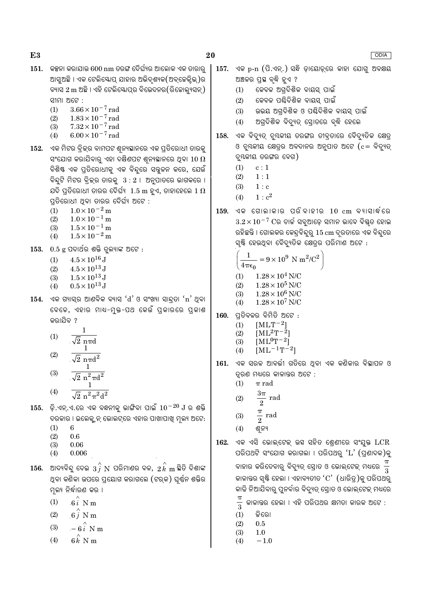- $151.$  କକ୍ସନା କରାଯାଉ 600 nm ତରଙ୍ଗ ଦୈର୍ଘ୍ୟର ଆଲୋକ ଏକ ତାରାର ଆସୁଅଛି । ଏକ ଟେଲିୟୋପ୍ ଯାହାର ଅଭିଦୃଶ୍ୟକ(ଅବ୍କେକ୍କିଭ୍)ର ବ୍ୟାସ 2 m ଅଛି । ଏହି ଟେଲିସ୍କୋପର ବିଭେଦନର(ରିଜୋଲ୍ୟସନ୍) ସୀମା ଅଟେ :
	- $3.66 \times 10^{-7}$  rad  $(1)$
	- $1.83 \times 10^{-7}$  rad<br> $7.32 \times 10^{-7}$  rad  $(2)$
	- $(3)$  $(4)$  $6.00 \times 10^{-7}$  rad
- 152. ଏକ ମିଟର ବ୍ରିକ୍ର ବାମପଟ ଶ୍ରନ୍ୟସ୍ଥାନରେ ଏକ ପ୍ରତିରୋଧୀ ତାରକୁ ସଂଯୋଗ କରାଯିବାରୁ ଏହା ଦକ୍ଷିଣପଟ ଶ୍ରନ୍ୟସ୍ଥାନରେ ଥିବା  $10\ \Omega$ ବିଶିଷ୍ଟ ଏକ ପ୍ରତିରୋଧୀକୁ ଏକ ବିନ୍ଦୁରେ ସନ୍ତ୍ରଳନ କରେ, ଯେଉଁ ବିନ୍ଦୁଟି ମିଟର ବ୍ରିକ୍ର ତାରକୁ  $3:2$  । ଅନୁପାତରେ ଭାଗକରେ । ଯଦି ପ୍ରତିରୋଧୀ ତାରର ଦୈର୍ଘ୍ୟ  $\,$  1.5 m ହୁଏ, ତାହାହେଲେ  $\,$ 1 $\,\Omega$ ପ୍ରତିରୋଧୀ ଥିବା ତାରର ଦୈର୍ଘ୍ୟ ଅଟେ :
	- $1.0 \times 10^{-2}$  m  $(1)$
	- $(2)$  $1.0 \times 10^{-1}$  m
	- $1.5 \times 10^{-1}$  m  $(3)$  $1.5 \times 10^{-2}$  m
	- $(4)$
- $153.$   $0.5$  g ପଦାର୍ଥର ଶକ୍ତି ତ୍ରଲ୍ୟାଙ୍କ ଅଟେ :
	- $(1)$  $4.5 \times 10^{16}$  J
	- $4.5 \times 10^{13}$  J  $(2)$
	- $1.5 \times 10^{13}$  J  $(3)$  $(4)$  $0.5 \times 10^{13}$  J
- $154.$  ଏକ ଗ୍ୟାସ୍ର ଆଣବିକ ବ୍ୟାସ ' $d$ ' ଓ ସଂଖ୍ୟା ସାନ୍ଦତା 'n' ଥବା ବେଳେ, ଏହାର ମାଧ-ମୁକ୍ତ-ପଥ କେଉଁ ପ୍ରକାରରେ ପ୍ରକାଶ କରାଯିବ ?
	- $\mathbf{1}$  $(1)$  $\sqrt{2}$  nπd 1  $(2)$  $\sqrt{2}$  n $\pi d^2$
	- $\mathbf{1}$  $(3)$  $\sqrt{2}$  n<sup>2</sup> $\pi$ d<sup>2</sup>  $\mathbf{1}$  $(4)$  $\sqrt{2}$  n<sup>2</sup> $\pi^2$ d<sup>2</sup>
- $155.$  ଡ଼ି.ଏନ୍.ଏ.ରେ ଏକ ବନ୍ଧନୀକୁ ଭାଙ୍ଗିବା ପାଇଁ  $10^{-20}$   $J$  ର ଶକ୍ତି ଦରକାର । ଇଲେକ୍ୱ୍ରନ୍ ଭୋଲଟ୍ରେ ଏହାର ପାଖାପାଖି ମୁଲ୍ୟ ଅଟେ:  $(1)$ 6
	- $(2)$ 0.6
	- $(3)$ 0.06
	- 0.006  $(4)$
- ଆଦ୍ୟବିନ୍ଦୁ ଦେଇ  $\,3\,\overset{\small\frown} {i}\,$   $\,$  ପରିମାଣର ବଳ,  $\,2\,\overset{\smallfrown} {k}\,$  m ଛିତି ଦିଶାଙ୍କ 156. ଥବା କଣିକା ଉପରେ ପ୍ରୟୋଗ କରାଗଲେ (ଟର୍କ) ଘର୍ଷ୍ନ ଶକ୍ତିର ମଲ୍ୟ ନିର୍ଦ୍ଧାରଣ କର ।
	- $6i$  N m  $(1)$
	- $6i$  N m  $(2)$
	- $(3)$  $-6i$  N m
	- $(4)$  $6k$  N m
- ଏକ p-n (ପି.ଏନ୍.) ସନ୍ଧି ଡାୟୋଡ଼ରେ କାହା ଯୋଗ୍ ଅବକ୍ଷୟ  $157.$ ଅଞ୍ଚଳର ପ୍ରସ୍ଥ ବୃଦ୍ଧି ହୁଏ ?
	- କେବଳ ଅଗଦିଶିକ ବାୟସ ପାଇଁ  $(1)$
	- କେବଳ ପଶ୍ଚିଦିଶିକ ବାୟସ ପାଇଁ  $(2)$
	- ଉଭୟ ଅଗ୍ଦିଶିକ ଓ ପଣ୍ଢିଦିଶିକ ବାୟସ୍ ପାଇଁ  $(3)$
	- ଅଗ୍ଦିଶିକ ବିଦ୍ୟତ୍ ସୋତରେ ବ୍ଦି ହେଲେ  $(4)$
- ଏକ ବିଦ୍ୟୁତ୍ ବୃୟକୀୟ ତରଙ୍ଗର ତୀବ୍ରତାରେ ବୈଦ୍ୟୁତିକ କ୍ଷେତ୍ର 158. ଓ ଚ୍ୟକୀୟ କ୍ଷେତ୍ର ଅବଦାନର ଅନୁପାତ ଅଟେ ( $c = \widehat{q}$ ଦ୍ୟାତ୍ ବୃୟକୀୟ ତରଙ୍ଗର ବେଗ)
	- $c:1$  $(1)$
	- $(2)$  $1:1$
	- $(3)$  $1 : c$
	- $1: c^2$  $(4)$
- ଏକ ଗୋଲାକାର ପରିବାହୀର  $10\;\mathrm{cm}$  ବ୍ୟାସାର୍ଦ୍ଧରେ 159.  $3.2 \times 10^{-7}$  Cର ଚାର୍ଚ୍ଚ ସବୁଆଡ଼େ ସମାନ ଭାବେ ବିଷ୍ଣୂତ ହୋଇ ରହିଛନ୍ତି । ଗୋଲକର କେନ୍ଦ୍ୱବିନ୍ଦୁର୍ 15 cm ଦ୍ରତାରେ ଏକ ବିନ୍ଦୁରେ ସ୍ୟି ହେଉଥିବା ବୈଦ୍ୟୁତିକ କ୍ଷେତ୍ରର ପରିମାଣ ଅଟେ :

$$
\left(\frac{1}{4} = 9 \times 10^9 \text{ N m}^2/\text{C}^2\right)
$$

 $(4\pi\epsilon_0)$  $1.28\times10^4$  N/C  $(1)$ 

- $1.28 \times 10^5$  N/C  $(2)$
- $1.28 \times 10^6$  N/C  $(3)$
- $1.28\times10^7$  N/C  $(4)$
- ପ୍ତିବଳର ବିମିତି ଅଟେ : 160.
	- $[MLT^{-2}]$  $(1)$
	- $[ML^2T^{-2}]$  $(2)$
	- $[ML^{0}T^{-2}]$  $(3)$  $[ML^{-1}T^{-2}]$
	- $(4)$
- 161. ଏକ ସରଳ ଆବର୍ତ୍ତୀ ଗତିରେ ଥିବା ଏକ କଣିକାର ବିସ୍ଥାପନ ଓ ତ୍ରଣ ମଧ୍ୟରେ କାଳାନ୍ତର ଅଟେ :
	- $(1)$  $\pi$  rad
	- $3\pi$ rad  $(2)$  $\overline{2}$
	- $\frac{\pi}{2}$  rad  $(3)$
	- $(4)$ ଶ୍ୱନ୍ୟ
- ଏକ ଏସି ଭୋଲ୍ଟେକ୍ ଉହ ସହିତ ଶେଣୀରେ ସଂଯୁକ୍ତ  $LCR$ 162. ପରିପଥଟି ସଂଯୋଗ କରାଗଲା । ପରିପଥର  $'L'$  (ପ୍ଣାଦକ)କ ବାହାର କରିଦେବାରୁ ବିଦ୍ୟୁତ୍ ସ୍ରୋତ ଓ ଭୋଲ୍ଟେକ୍ ମଧ୍ୟରେ କାଳାନ୍ତର ସ୍ୱଷ୍ଟି ହେଲା । ଏହାବ୍ୟତୀତ ' $\mathrm{C}^\prime$  (ଧାରିତ୍ର)କୁ ପରିପଥରୁ କାଢି ନିଆଯିବାରୁ ପୁନର୍ବାର ବିଦ୍ୟୁତ୍ ସ୍ରୋତ ଓ ଭୋଲ୍ଟେକ୍ ମଧ୍ୟରେ  $\frac{\pi}{3}$ କାଳାନ୍ତର ହେଲା । ଏହି ପରିପଥର କ୍ଷମତା କାରକ ଅଟେ : କିରୋ  $(1)$ 
	- $(2)$  $0.5$
	- $(3)$  $1<sub>0</sub>$
	- $(4)$  $-1.0$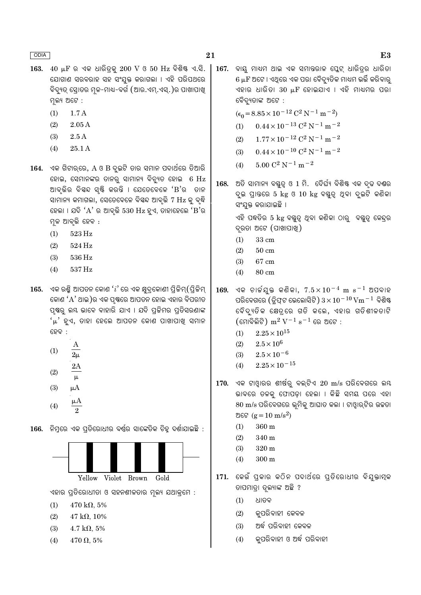- $163.$   $40 \mu$ F ର ଏକ ଧାରିତ୍କ  $200 \text{ V}$  ଓ  $50 \text{ Hz}$  ବିଶିଷ୍ ଏ.ସି. ଯୋଗାଣ ସରବରାହ ସହ ସଂଯୁକ୍ତ କରାଗଲା । ଏହି ପରିପଥରେ ବିଦ୍ୟୁତ ସୋତର ମଳ-ମାଧ-ବର୍ଗ (ଆର.ଏମ.ଏସ.)ର ପାଖାପାଖ ମ୍ନଲ୍ୟ ଅଟେ :
	- $(1)$  $1.7A$
	- $(2)$  $2.05A$
	- $(3)$  $2.5A$
	- $(4)$ 25.1 A
- $164.$  ଏକ ଗିଟାର୍ରେ,  $A \& B$  ଦ୍ଇଟି ତାର ସ୍ମାନ ପଦାର୍ଥରେ ତିଆରି ହୋଇ, ସେମାନଙ୍କର ତାନର୍ ସାମାନ୍ୟ ବିବ୍ୟୁତ ହୋଇ 6 Hz ଆବ୍ଭିର ବିସ୍କଦ ସ୍ୟି କରନ୍ତି । ଯେତେବେଳେ 'B'ର ତାନ ସାମାନ୍ୟ କମାଗଲା, ସେତେବେଳେ ବିୟଦ ଆବର୍ତ୍ତି 7 Hz କ୍ ବ୍<sup></sup>ଦ୍ଧି ହେଲା । ଯଦି ' $A$ ' ର ଆବୃତ୍ତି 530  $Hz$  ହୁଏ, ତାହାହେଲେ ' $B$ 'ର ମଳ ଆବ୍ତି ହେବ :
	- 523 Hz  $(1)$
	- $(2)$ 524 Hz
	- $(3)$ 536 Hz
	- 537 Hz  $(4)$
- $165.$  ଏକ ରଶ୍ମି ଆପତନ କୋଣ  $'i'$ ରେ ଏକ କ୍ଷଦକୋଣୀ ପିଚ୍ଚିମ୍ $($ ପିଚ୍ଚିମ୍ କୋଣ 'A' ଥାଇ )ର ଏକ ପଷ୍ଠରେ ଆପତନ ହୋଇ ଏହାର ବିପରୀତ ପ୍ଷର ଲୟ ଭାବେ ବାହାରି ଯାଏ । ଯଦି ପ୍ରଚିମର ପ୍ରତିସରଣାଙ୍କ 'μ' ହଏ, ତାହା ହେଲେ ଆପତନ କୋଣ ପାଖାପାଖ ସମାନ େ ବର୍ଦ୍ଦ
	- $(1)$  $(2)$  $\mu$  $(3)$  $\mu A$ μA
	- $(4)$
- 166. ନିମ୍ରରେ ଏକ ପ୍ରତିରୋଧୀର ବର୍ଷ୍ଣର ସାଙ୍କେତିକ ଚିହୁ ଦର୍ଶାଯାଇଛି :



ଏହାର ପ୍ରତିରୋଧୀତା ଓ ସହନଶୀଳତାର ମ୍ଳକ୍ୟ ଯଥାକ୍ରମେ :

- $470 \text{ k}\Omega, 5\%$  $(1)$
- $(2)$  $47 k\Omega, 10\%$
- $(3)$  $4.7 \text{ k}\Omega, 5\%$
- $(4)$  $470 \Omega_{0.} 5\%$

167. ବାୟ ମାଧ୍ୟମ ଥାଇ ଏକ ସମାନ୍ତରାଳ ପ୍ଲେଟ୍ ଧାରିତ୍ର ଧାରିତା 6  $\mu$ F ଅଟେ । ଏଥିରେ ଏକ ପରା ବୈଦ୍ୟୁତିକ ମାଧ୍ୟମ ଭର୍ତ୍ତି କରିବାର୍ ବୈଦ୍ୟୁତାଙ୍କ ଅଟେ :

 $(\epsilon_0 = 8.85 \times 10^{-12} \text{ C}^2 \text{ N}^{-1} \text{ m}^{-2})$ 

- $0.44 \times 10^{-13}$  C<sup>2</sup> N<sup>-1</sup> m<sup>-2</sup>  $(1)$
- $1.77 \times 10^{-12}$  C<sup>2</sup> N<sup>-1</sup> m<sup>-2</sup>  $(2)$
- $0.44 \times 10^{-10}$  C<sup>2</sup> N<sup>-1</sup> m<sup>-2</sup>  $(3)$
- $5.00 C^2 N^{-1} m^{-2}$  $(4)$
- 168. ଅତି ସାମାନ୍ୟ ବୟୁତ୍ୱ ଓ 1 ମି. ଦୈର୍ଘ୍ୟ ବିଶିଷ୍ଟ ଏକ ଦୃଢ ଦଣ୍ଡର ଦ୍ର ପାତରେ 5 kg ଓ 10 kg ବୟୁତ୍ୱ ଥିବା ଦ୍ରୁଟି କଣିକା ସଂଯୁକ୍ତ କରାଯାଇଛି ।

ଏହି ପଦ୍ଧତିର 5 kg ବୟୁତ୍ୱ ଥିବା କଣିକା ଠାରୁ ବସ୍ତୁତ୍ୱ କେନ୍ଦ୍ରର ଦ୍ରତା ଅଟେ (ପାଖାପାଖ୍ୱ)

- 33 cm  $(1)$
- $(2)$  $50 \text{ cm}$
- $(3)$ 67 cm
- 80 cm  $(4)$
- ଏକ ଚାର୍ଜୟୁକ୍ତ କଣିକା,  $7.5 \times 10^{-4}$  m s $^{-1}$  ଅପବାହ 169. ପରିବେଗରେ (ଡ୍ରିଫ୍ଟ ଭେଲୋସିଟି)  $3 \times 10^{-10}$  Vm  $^{-1}$  ବିଶିଷ୍ଟ ବୈଦ୍ୟତିକ କ୍ଷେତ୍ରେ ଗତି କଲେ, ଏହାର ଗତିଶୀଳତାଟି  $(\epsilon \sin \widehat{\delta} \widehat{\mathbb{R}})$  m $^2$  V $^{-1}$  s $^{-1}$  ରେ ଅଟେ :
	- $2.25 \times 10^{15}$  $(1)$
	- $(2)$  $2.5\times10^6$
	- $2.5 \times 10^{-6}$  $(3)$
	- $(4)$  $2.25 \times 10^{-15}$
- $170.$  ଏକ ଟାଓ୍ନାରର ଶୀର୍ଷରୁ ବଲ୍ଟିଏ  $20 \text{ m/s}$  ପରିବେଗରେ ଲୟ ଭାବରେ ତଳକ୍ ଫୋପଡ଼ା ହେଲା । କିଛି ସମୟ ପରେ ଏହା  $80 \text{ m/s}$  ପରିବେଗରେ ଭ୍ରମିକ୍ ଆଘାତ କଲା । ଟାଓ୍ୱାର୍ଟିର ଉଚ୍ଚତା ଅଟେ ( $\epsilon = 10 \text{ m/s}^2$ )
	- 360 m  $(1)$
	- $(2)$ 340 m
	- $(3)$ 320 m
	- $(4)$  $300<sub>m</sub>$
- 171. କେଉଁ ପ୍କାର କଠିନ ପଦାର୍ଥରେ ପ୍ତିରୋଧୀର ବିଯୁକ୍ତାମ୍ବ ତାପମାତ୍ରା ତ୍ଲ୍ୟାଙ୍କ ଅଛି ?
	- ଧାତବ  $(1)$
	- $(2)$ କୁପରିବାହୀ କେବଳ
	- ଅର୍ଦ୍ଧ ପରିବାହୀ କେବଳ  $(3)$
	- କପରିବାହୀ ଓ ଅର୍ଦ୍ଧ ପରିବାହୀ  $(4)$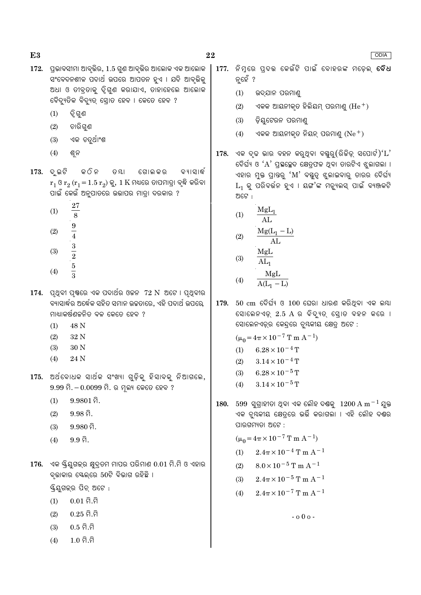- $172.$  ପ୍ରଭାବସୀମା ଆବ୍ତିର,  $1.5$  ଗଣ ଆବ୍ତିର ଆଲୋକ ଏକ ଆଲୋକ ସଂବେଦନଶୀଳ ପଦାର୍ଥ ଉପରେ ଆପତନ ହୁଏ । ଯଦି ଆବୃଭିକୁ ଅଧା ଓ ତୀବ୍ତାକ୍ ଦୂଗଣ କରାଯାଏ, ତାହାହେଲେ ଆଲୋକ ବୈଦ୍ୟୁତିକ ବିଦ୍ୟୁତ୍ ସୋତ ହେବ । କେତେ ହେବ ?
	- ଦ୍ୱି ଗୁଣ  $(1)$
	- $(2)$ ଚାରିଗୁଣ
	- ଏକ ଚତୁର୍ଥାଂଶ  $(3)$
	- $(4)$ ଶ୍ୱନ
- $173.$  ଦ୍ଲଟି କ ଠି ନ ତ ୟା ଗୋଲ କର ବ୍ୟାସାର୍ଦ୍ଧ  $r_1$  ଓ  $r_2$   $(r_1 = 1.5 r_2)$  କୁ, 1  $K$  ମଧ୍ୟରେ ତାପମାତ୍ରା ବ୍ଲି କରିବା ପାଇଁ କେଉଁ ଅନୁପାତରେ ଉଭାପର ମାତ୍ରା ଦରକାର ?
	- 27  $(1)$  $\overline{8}$  $\frac{9}{4}$   $\frac{3}{2}$   $\frac{5}{3}$  $(2)$
	-
	- $(3)$
	- $(4)$
- $174.$  ପ୍ଥବୀ ପ୍ଷରେ ଏକ ପଦାର୍ଥର ଓଚ୍ଚନ  $72 \text{ N}$  ଅଟେ । ପ୍ଥବୀର ବ୍ୟାସାର୍ଦ୍ଧର ଅର୍ଦ୍ଧେକ ସହିତ ସମାନ ଉଚ୍ଚତାରେ, ଏହି ପଦାର୍ଥ ଉପରେ, ମାଧ୍ୟାକର୍ଷଣଚ୍ଚନିତ ବଳ କେତେ ହେବ ?
	- 48 N  $(1)$
	- $(2)$ 32 N
	- 30<sub>N</sub>  $(3)$
	- 24 N  $(4)$
- 175. ଅର୍ଥବୋଧକ ସାର୍ଥକ ସଂଖ୍ୟା ଗଡ଼ିକ ହିସାବକ ନିଆଗଲେ,  $9.99$  ମି $. -0.0099$  ମି $.$  ର ମ୍ଲ୍ୟ କେତେ ହେବ ?
	- $9.9801$  ମି.  $(1)$
	- $9.98\,\hat{a}$ .  $(2)$
	- $9.980$  ମି.  $(3)$
	- $9.9\,\hat{a}$ .  $(4)$
- $176.$  ଏକ ୟିୟୁଗକ୍ର କ୍ଷୁଦ୍ତମ ମାପର ପରିମାଣ  $0.01$  ମି.ମି ଓ ଏହାର ବ୍ଭାକାର ସ୍କେଲ୍ରେ 50ଟି ବିଭାଗ ରହିଛି ।

ୟିୟଗକ୍ର ପିଚ୍ ଅଟେ :

- $0.01$  ମି.ମି  $(1)$
- $(2)$  $0.25 \, \widehat{\Omega}$ .ମି
- $0.5 \hat{\Omega} \cdot \hat{\Omega}$  $(3)$
- $1<sub>0</sub>$ ດີ ດີ  $(4)$
- 177. ନିମ୍ରେ ପ୍ଦଭ କେଉଁଟି ପାଇଁ ବୋହରଙ୍କ ମଡେଲ୍ **ବୈଧ** ନ୍ତହେଁ ?
	- $(1)$ ଉଦ୍ଯାନ ପରମାଣ୍
	- ଏକକ ଆୟନୀକୃତ ହିଲିୟମ୍ ପରମାଣୁ  $(\text{He}^+)$  $(2)$
	- ଡ଼ିୟଟେରନ ପରମାଣ୍  $(3)$
	- ଏକକ ଆୟନୀକୃତ ନିୟନ୍ ପରମାଣୁ  $(\mathrm{Ne}^+)$  $(4)$
- 178. ଏକ ଦୃଢ ଭାର ବହନ କରୁଥିବା ବୟୁରୁ(ରିଜିଡ଼୍ ସପୋର୍ଟ)' $L$ ' ଦୈର୍ଘ୍ୟ ଓ 'A' ପ୍ରସ୍ଥଳ୍ପେଦ କ୍ଷେତ୍ରଫଳ ଥିବା ତାରଟିଏ ଝୁଲାଗଲା । ଏହାର ମୁକ୍ତ ପ୍ରାନ୍ତରୁ 'M' ବ୍ୟୁତ୍ୱ ଝୁଲାଇବାରୁ ତାରର ଦୈର୍ଘ୍ୟ  $\mathrm{L_{1}}$  କ୍ର ପରିବର୍ତ୍ତନ ହୁଏ । ୟଙ୍ଗ'ଙ୍କ ମଡ୍ୟୁଲସ୍ ପାଇଁ ବ୍ୟଞ୍ଜକଟି ଅଟେ :
	- $MgL_1$  $(1)$  $AI<sub>1</sub>$  $Mg(L_1 - L)$

$$
(2) \quad \frac{\text{Mg}(L_1 - L)}{\text{AL}}
$$

$$
(3) \qquad \frac{\overline{A L_1}}{A L_1}
$$

$$
(4) \qquad \frac{\text{MgL}}{\text{A(L}_1 - \text{L})}
$$

 $179.50 \text{ cm}$  ଦୈର୍ଘ୍ୟ ଓ  $100$  ଘେରା ଧାରଣ କରିଥିବା ଏକ ଲୟା ସୋଲେନଏଡ଼୍ 2.5 A ର ବିଦ୍ୟୁତ୍ ସ୍ରୋତ ବହନ କରେ । ସୋଲେନଏଡ୍ର କେନ୍ଦ୍ରରେ ବୃୟକୀୟ କ୍ଷେତ୍ର ଅଟେ :

$$
(\mu_0 = 4\pi \times 10^{-7} \text{ T m A}^{-1})
$$

$$
(1) \qquad 6.28 \times 10^{-4} \, \mathrm{T}
$$

- $3.14 \times 10^{-4}$  T  $(2)$
- $6.28 \times 10^{-5}$  T  $(3)$
- $3.14 \times 10^{-5}$  T  $(4)$
- 180.  $599$  ସୁଗ୍ରାହୀତା ଥିବା ଏକ ଲୌହ ଦଶ୍ଚକୁ  $1200 \text{ A m}^{-1}$  ଯୁକ୍ତ ଏକ ଚୃୟକୀୟ କ୍ଷେତ୍ରେ ଭର୍ତ୍ତି କରାଗଲା । ଏହି ଲୌହ ଦଣ୍ଠର ପାରଗମ୍ୟତା ଅଟେ :

$$
(\mu_0 = 4\pi \times 10^{-7} \text{ T m A}^{-1})
$$

(1) 
$$
2.4\pi \times 10^{-4}
$$
 T m A<sup>-1</sup>

- $8.0 \times 10^{-5}$  T m A<sup>-1</sup>  $(2)$
- $2.4\pi \times 10^{-5}$  T m A<sup>-1</sup>  $(3)$
- $2.4\pi \times 10^{-7}$  T m A<sup>-1</sup>  $(4)$

 $-0.00 -$